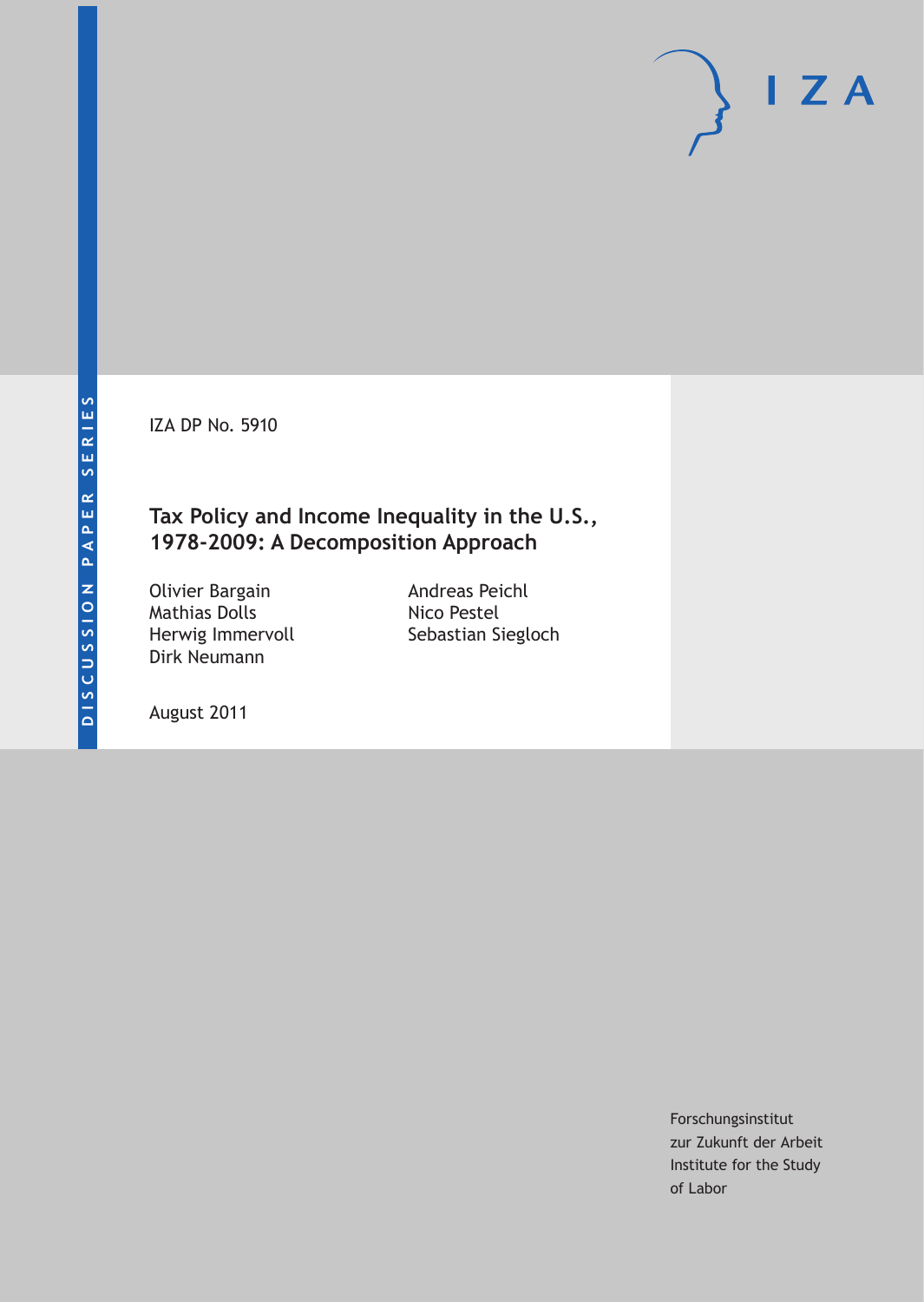IZA DP No. 5910

## **Tax Policy and Income Inequality in the U.S., 1978-2009: A Decomposition Approach**

Olivier Bargain Mathias Dolls Herwig Immervoll Dirk Neumann

Andreas Peichl Nico Pestel Sebastian Siegloch

August 2011

Forschungsinstitut zur Zukunft der Arbeit Institute for the Study of Labor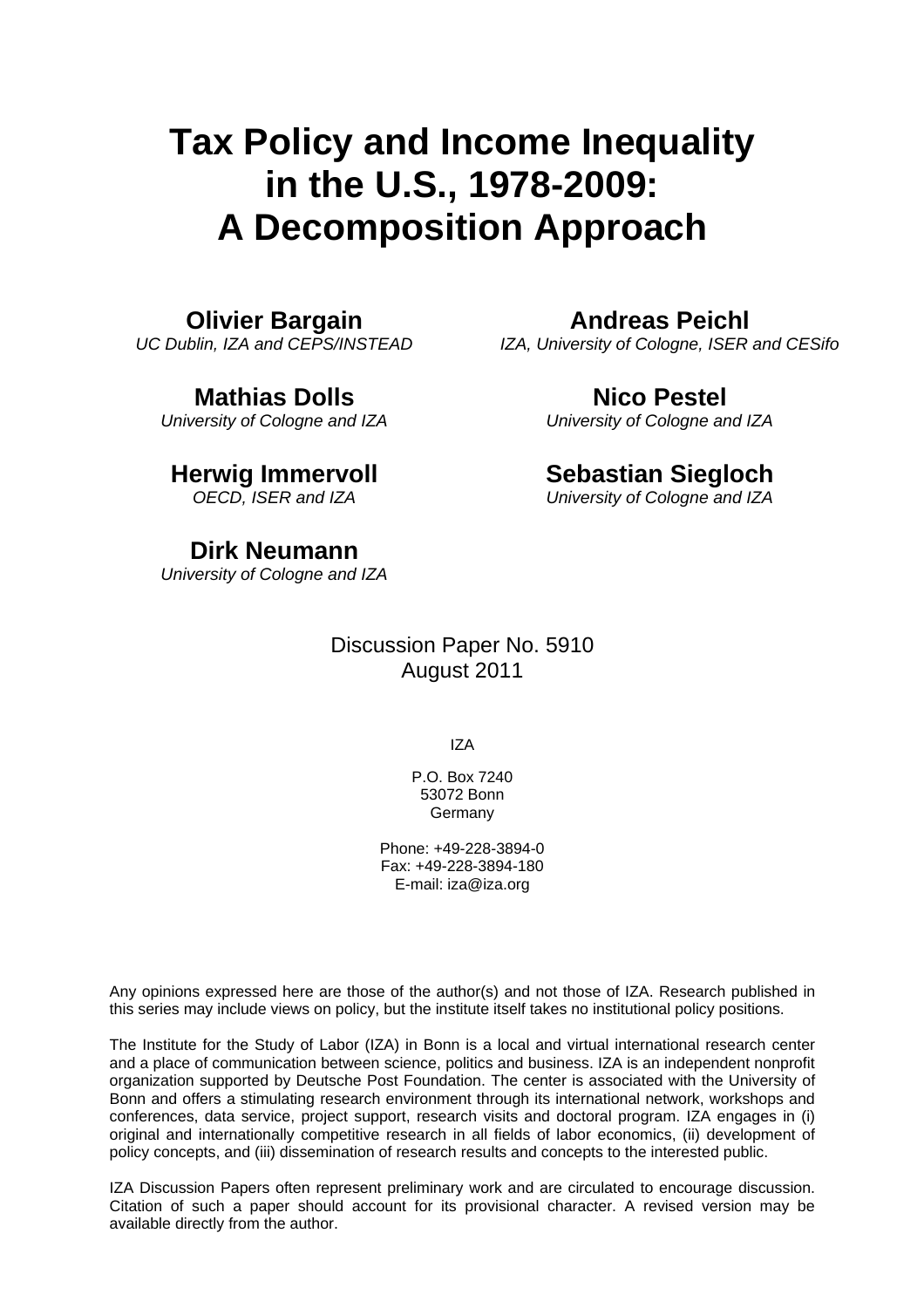# **Tax Policy and Income Inequality in the U.S., 1978-2009: A Decomposition Approach**

#### **Olivier Bargain**

*UC Dublin, IZA and CEPS/INSTEAD* 

#### **Mathias Dolls**

*University of Cologne and IZA* 

## **Herwig Immervoll**

*OECD, ISER and IZA* 

#### **Dirk Neumann**

*University of Cologne and IZA* 

#### Discussion Paper No. 5910 August 2011

IZA

P.O. Box 7240 53072 Bonn **Germany** 

Phone: +49-228-3894-0 Fax: +49-228-3894-180 E-mail: [iza@iza.org](mailto:iza@iza.org)

Any opinions expressed here are those of the author(s) and not those of IZA. Research published in this series may include views on policy, but the institute itself takes no institutional policy positions.

The Institute for the Study of Labor (IZA) in Bonn is a local and virtual international research center and a place of communication between science, politics and business. IZA is an independent nonprofit organization supported by Deutsche Post Foundation. The center is associated with the University of Bonn and offers a stimulating research environment through its international network, workshops and conferences, data service, project support, research visits and doctoral program. IZA engages in (i) original and internationally competitive research in all fields of labor economics, (ii) development of policy concepts, and (iii) dissemination of research results and concepts to the interested public.

IZA Discussion Papers often represent preliminary work and are circulated to encourage discussion. Citation of such a paper should account for its provisional character. A revised version may be available directly from the author.

## **Andreas Peichl**

*IZA, University of Cologne, ISER and CESifo* 

## **Nico Pestel**

*University of Cologne and IZA* 

#### **Sebastian Siegloch**

*University of Cologne and IZA*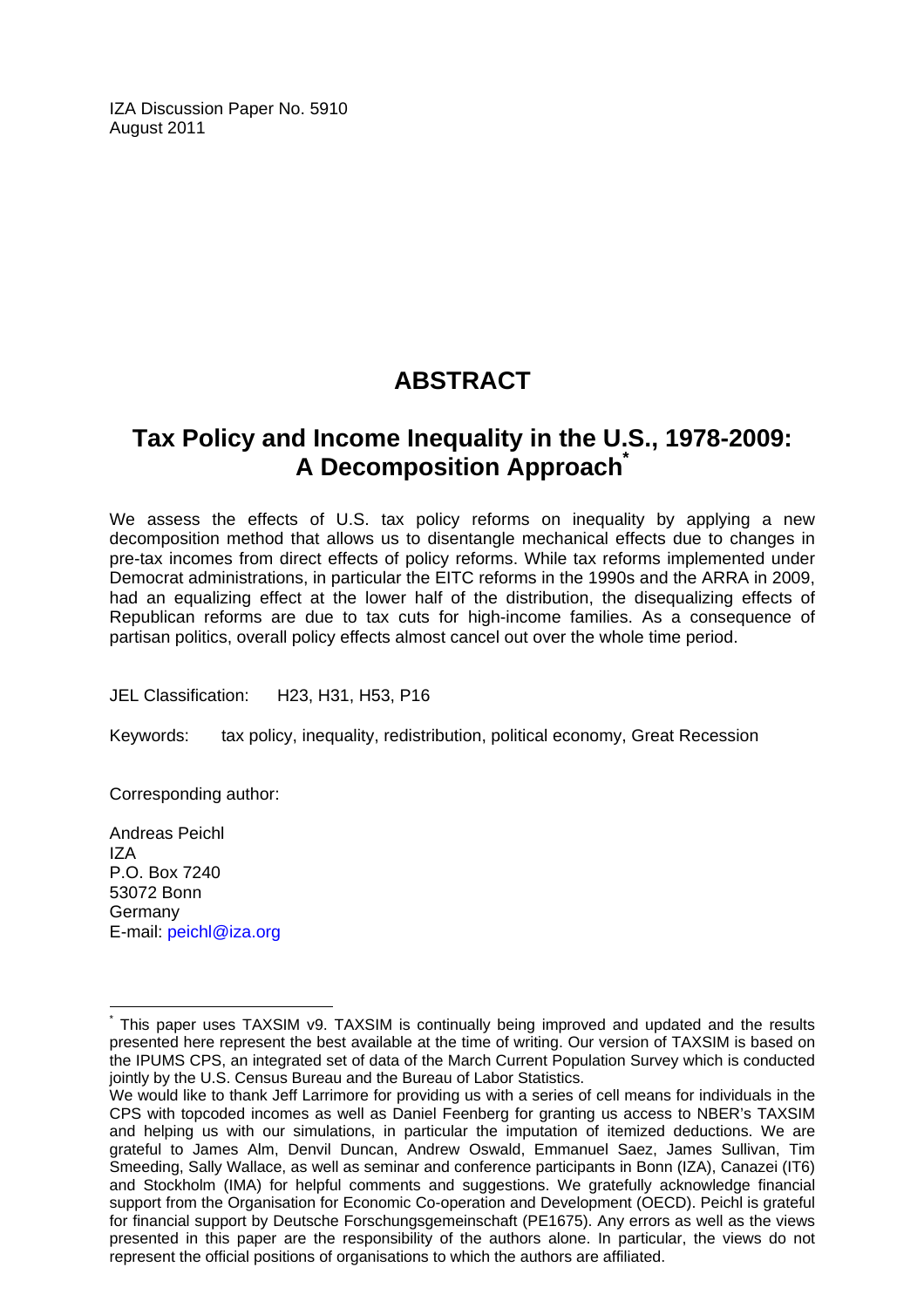IZA Discussion Paper No. 5910 August 2011

## **ABSTRACT**

## **Tax Policy and Income Inequality in the U.S., 1978-2009: A Decomposition Approac[h\\*](#page-2-0)**

We assess the effects of U.S. tax policy reforms on inequality by applying a new decomposition method that allows us to disentangle mechanical effects due to changes in pre-tax incomes from direct effects of policy reforms. While tax reforms implemented under Democrat administrations, in particular the EITC reforms in the 1990s and the ARRA in 2009, had an equalizing effect at the lower half of the distribution, the disequalizing effects of Republican reforms are due to tax cuts for high-income families. As a consequence of partisan politics, overall policy effects almost cancel out over the whole time period.

JEL Classification: H23, H31, H53, P16

Keywords: tax policy, inequality, redistribution, political economy, Great Recession

Corresponding author:

Andreas Peichl IZA P.O. Box 7240 53072 Bonn Germany E-mail: [peichl@iza.org](mailto:peichl@iza.org) 

 $\overline{a}$ 

<span id="page-2-0"></span><sup>\*</sup> This paper uses TAXSIM v9. TAXSIM is continually being improved and updated and the results presented here represent the best available at the time of writing. Our version of TAXSIM is based on the IPUMS CPS, an integrated set of data of the March Current Population Survey which is conducted jointly by the U.S. Census Bureau and the Bureau of Labor Statistics.

We would like to thank Jeff Larrimore for providing us with a series of cell means for individuals in the CPS with topcoded incomes as well as Daniel Feenberg for granting us access to NBER's TAXSIM and helping us with our simulations, in particular the imputation of itemized deductions. We are grateful to James Alm, Denvil Duncan, Andrew Oswald, Emmanuel Saez, James Sullivan, Tim Smeeding, Sally Wallace, as well as seminar and conference participants in Bonn (IZA), Canazei (IT6) and Stockholm (IMA) for helpful comments and suggestions. We gratefully acknowledge financial support from the Organisation for Economic Co-operation and Development (OECD). Peichl is grateful for financial support by Deutsche Forschungsgemeinschaft (PE1675). Any errors as well as the views presented in this paper are the responsibility of the authors alone. In particular, the views do not represent the official positions of organisations to which the authors are affiliated.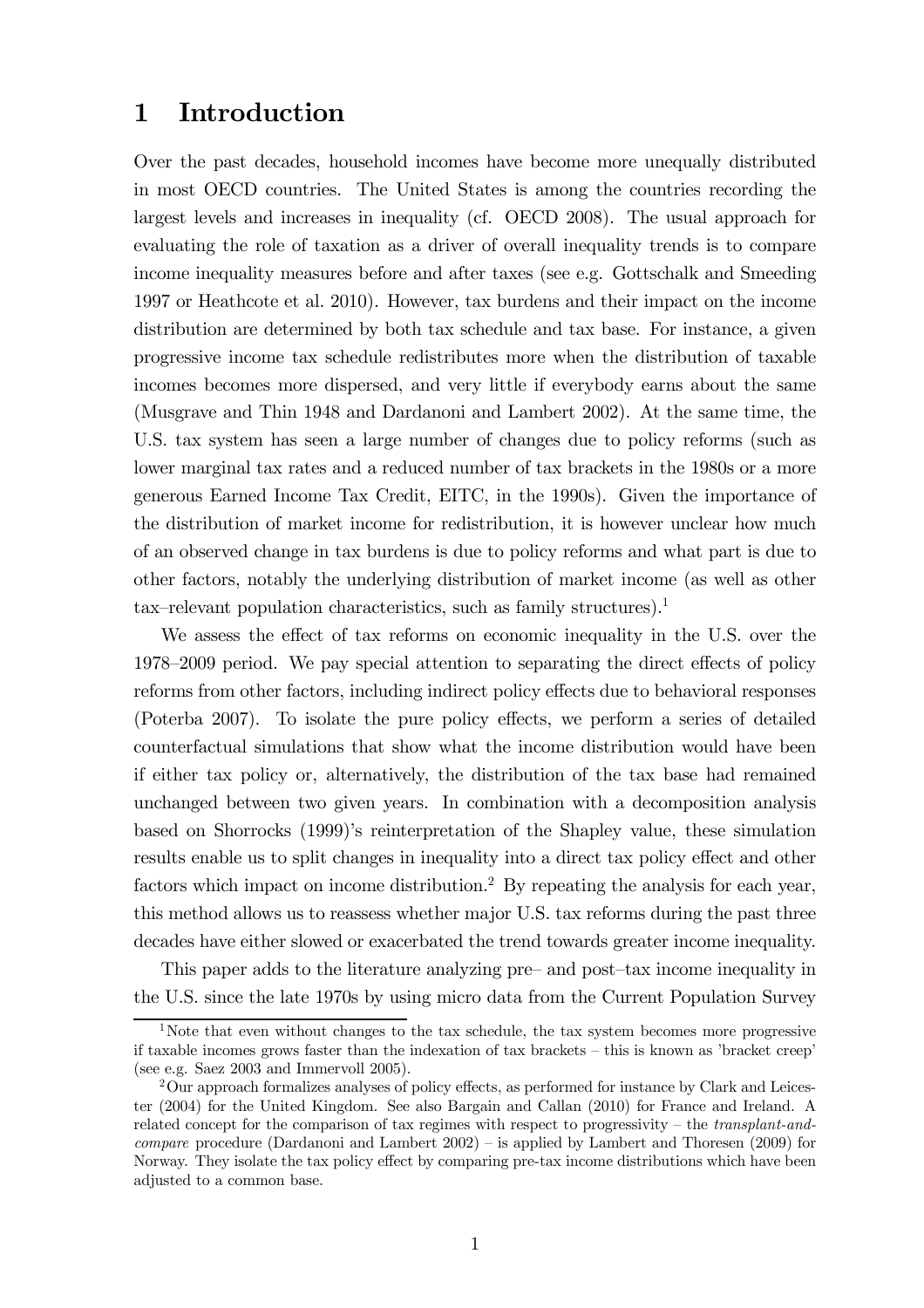#### 1 Introduction

Over the past decades, household incomes have become more unequally distributed in most OECD countries. The United States is among the countries recording the largest levels and increases in inequality (cf. OECD 2008). The usual approach for evaluating the role of taxation as a driver of overall inequality trends is to compare income inequality measures before and after taxes (see e.g. Gottschalk and Smeeding 1997 or Heathcote et al. 2010). However, tax burdens and their impact on the income distribution are determined by both tax schedule and tax base. For instance, a given progressive income tax schedule redistributes more when the distribution of taxable incomes becomes more dispersed, and very little if everybody earns about the same (Musgrave and Thin 1948 and Dardanoni and Lambert 2002). At the same time, the U.S. tax system has seen a large number of changes due to policy reforms (such as lower marginal tax rates and a reduced number of tax brackets in the 1980s or a more generous Earned Income Tax Credit, EITC, in the 1990s). Given the importance of the distribution of market income for redistribution, it is however unclear how much of an observed change in tax burdens is due to policy reforms and what part is due to other factors, notably the underlying distribution of market income (as well as other tax—relevant population characteristics, such as family structures).<sup>1</sup>

We assess the effect of tax reforms on economic inequality in the U.S. over the 1978—2009 period. We pay special attention to separating the direct effects of policy reforms from other factors, including indirect policy effects due to behavioral responses (Poterba 2007). To isolate the pure policy effects, we perform a series of detailed counterfactual simulations that show what the income distribution would have been if either tax policy or, alternatively, the distribution of the tax base had remained unchanged between two given years. In combination with a decomposition analysis based on Shorrocks (1999)'s reinterpretation of the Shapley value, these simulation results enable us to split changes in inequality into a direct tax policy effect and other factors which impact on income distribution.<sup>2</sup> By repeating the analysis for each year, this method allows us to reassess whether major U.S. tax reforms during the past three decades have either slowed or exacerbated the trend towards greater income inequality.

This paper adds to the literature analyzing pre— and post—tax income inequality in the U.S. since the late 1970s by using micro data from the Current Population Survey

<sup>&</sup>lt;sup>1</sup>Note that even without changes to the tax schedule, the tax system becomes more progressive if taxable incomes grows faster than the indexation of tax brackets — this is known as 'bracket creep' (see e.g. Saez 2003 and Immervoll 2005).

<sup>2</sup>Our approach formalizes analyses of policy effects, as performed for instance by Clark and Leicester (2004) for the United Kingdom. See also Bargain and Callan (2010) for France and Ireland. A related concept for the comparison of tax regimes with respect to progressivity – the transplant-andcompare procedure (Dardanoni and Lambert 2002) — is applied by Lambert and Thoresen (2009) for Norway. They isolate the tax policy effect by comparing pre-tax income distributions which have been adjusted to a common base.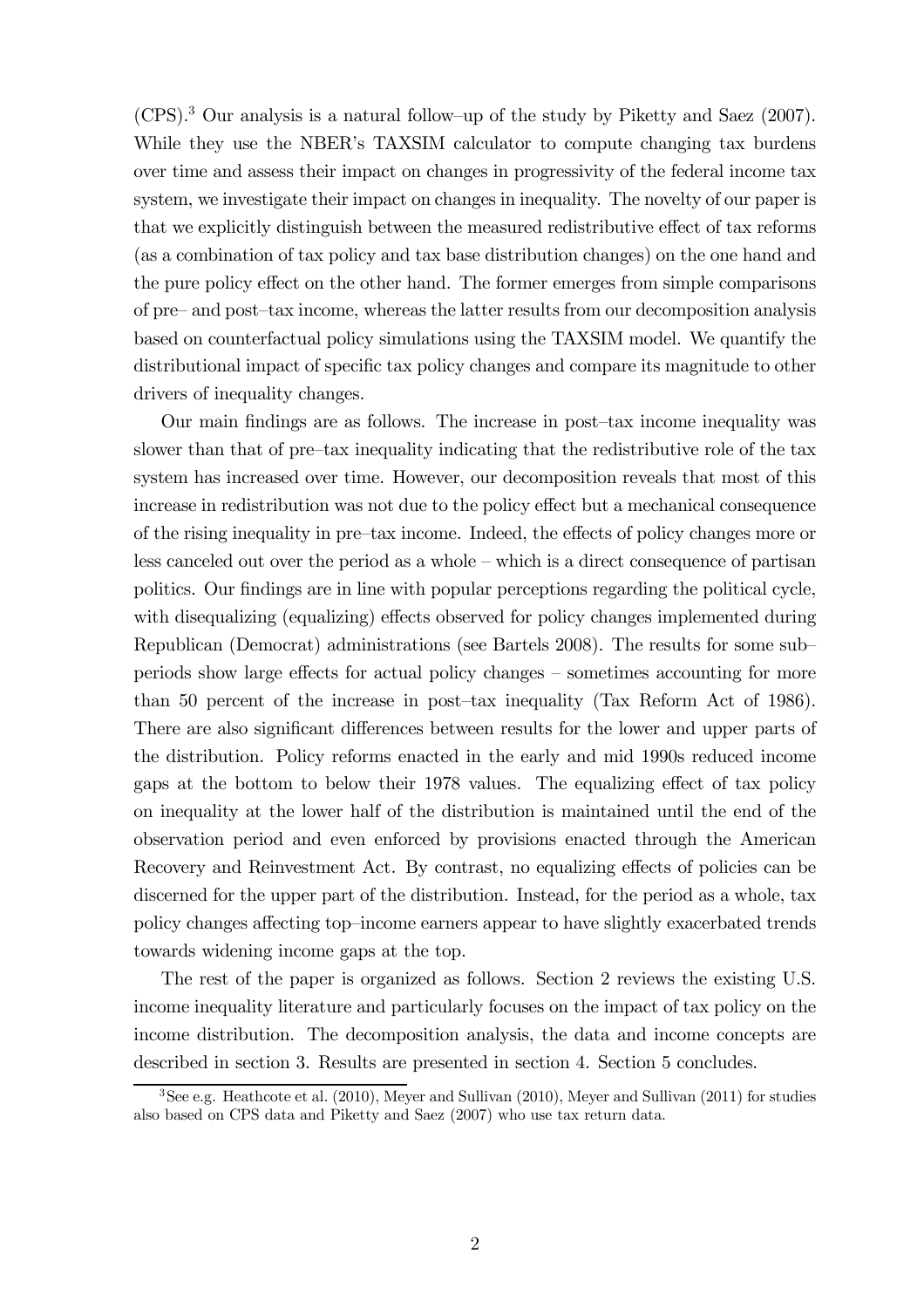(CPS).<sup>3</sup> Our analysis is a natural follow—up of the study by Piketty and Saez (2007). While they use the NBER's TAXSIM calculator to compute changing tax burdens over time and assess their impact on changes in progressivity of the federal income tax system, we investigate their impact on changes in inequality. The novelty of our paper is that we explicitly distinguish between the measured redistributive effect of tax reforms (as a combination of tax policy and tax base distribution changes) on the one hand and the pure policy effect on the other hand. The former emerges from simple comparisons of pre— and post—tax income, whereas the latter results from our decomposition analysis based on counterfactual policy simulations using the TAXSIM model. We quantify the distributional impact of specific tax policy changes and compare its magnitude to other drivers of inequality changes.

Our main findings are as follows. The increase in post—tax income inequality was slower than that of pre—tax inequality indicating that the redistributive role of the tax system has increased over time. However, our decomposition reveals that most of this increase in redistribution was not due to the policy effect but a mechanical consequence of the rising inequality in pre—tax income. Indeed, the effects of policy changes more or less canceled out over the period as a whole — which is a direct consequence of partisan politics. Our findings are in line with popular perceptions regarding the political cycle, with disequalizing (equalizing) effects observed for policy changes implemented during Republican (Democrat) administrations (see Bartels 2008). The results for some sub periods show large effects for actual policy changes — sometimes accounting for more than 50 percent of the increase in post—tax inequality (Tax Reform Act of 1986). There are also significant differences between results for the lower and upper parts of the distribution. Policy reforms enacted in the early and mid 1990s reduced income gaps at the bottom to below their 1978 values. The equalizing effect of tax policy on inequality at the lower half of the distribution is maintained until the end of the observation period and even enforced by provisions enacted through the American Recovery and Reinvestment Act. By contrast, no equalizing effects of policies can be discerned for the upper part of the distribution. Instead, for the period as a whole, tax policy changes affecting top—income earners appear to have slightly exacerbated trends towards widening income gaps at the top.

The rest of the paper is organized as follows. Section 2 reviews the existing U.S. income inequality literature and particularly focuses on the impact of tax policy on the income distribution. The decomposition analysis, the data and income concepts are described in section 3. Results are presented in section 4. Section 5 concludes.

 $3$ See e.g. Heathcote et al. (2010), Meyer and Sullivan (2010), Meyer and Sullivan (2011) for studies also based on CPS data and Piketty and Saez (2007) who use tax return data.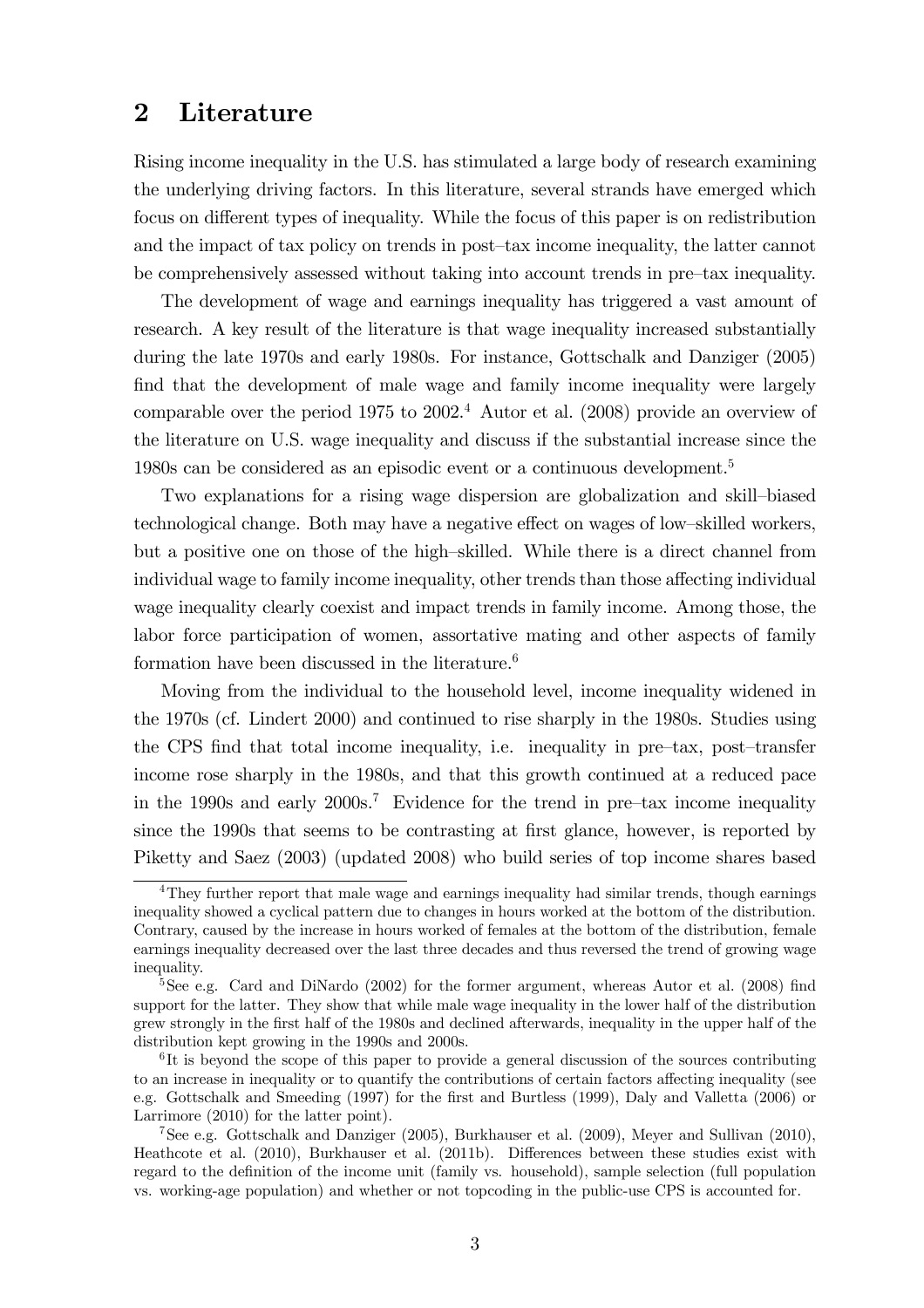#### 2 Literature

Rising income inequality in the U.S. has stimulated a large body of research examining the underlying driving factors. In this literature, several strands have emerged which focus on different types of inequality. While the focus of this paper is on redistribution and the impact of tax policy on trends in post—tax income inequality, the latter cannot be comprehensively assessed without taking into account trends in pre—tax inequality.

The development of wage and earnings inequality has triggered a vast amount of research. A key result of the literature is that wage inequality increased substantially during the late 1970s and early 1980s. For instance, Gottschalk and Danziger (2005) find that the development of male wage and family income inequality were largely comparable over the period  $1975$  to  $2002<sup>4</sup>$  Autor et al. (2008) provide an overview of the literature on U.S. wage inequality and discuss if the substantial increase since the 1980s can be considered as an episodic event or a continuous development.<sup>5</sup>

Two explanations for a rising wage dispersion are globalization and skill—biased technological change. Both may have a negative effect on wages of low—skilled workers, but a positive one on those of the high—skilled. While there is a direct channel from individual wage to family income inequality, other trends than those affecting individual wage inequality clearly coexist and impact trends in family income. Among those, the labor force participation of women, assortative mating and other aspects of family formation have been discussed in the literature.<sup>6</sup>

Moving from the individual to the household level, income inequality widened in the 1970s (cf. Lindert 2000) and continued to rise sharply in the 1980s. Studies using the CPS find that total income inequality, i.e. inequality in pre—tax, post—transfer income rose sharply in the 1980s, and that this growth continued at a reduced pace in the 1990s and early  $2000s$ .<sup>7</sup> Evidence for the trend in pre-tax income inequality since the 1990s that seems to be contrasting at first glance, however, is reported by Piketty and Saez (2003) (updated 2008) who build series of top income shares based

<sup>&</sup>lt;sup>4</sup>They further report that male wage and earnings inequality had similar trends, though earnings inequality showed a cyclical pattern due to changes in hours worked at the bottom of the distribution. Contrary, caused by the increase in hours worked of females at the bottom of the distribution, female earnings inequality decreased over the last three decades and thus reversed the trend of growing wage inequality.

<sup>&</sup>lt;sup>5</sup>See e.g. Card and DiNardo (2002) for the former argument, whereas Autor et al. (2008) find support for the latter. They show that while male wage inequality in the lower half of the distribution grew strongly in the first half of the 1980s and declined afterwards, inequality in the upper half of the distribution kept growing in the 1990s and 2000s.

<sup>&</sup>lt;sup>6</sup>It is beyond the scope of this paper to provide a general discussion of the sources contributing to an increase in inequality or to quantify the contributions of certain factors affecting inequality (see e.g. Gottschalk and Smeeding (1997) for the first and Burtless (1999), Daly and Valletta (2006) or Larrimore (2010) for the latter point).

<sup>7</sup>See e.g. Gottschalk and Danziger (2005), Burkhauser et al. (2009), Meyer and Sullivan (2010), Heathcote et al. (2010), Burkhauser et al. (2011b). Differences between these studies exist with regard to the definition of the income unit (family vs. household), sample selection (full population vs. working-age population) and whether or not topcoding in the public-use CPS is accounted for.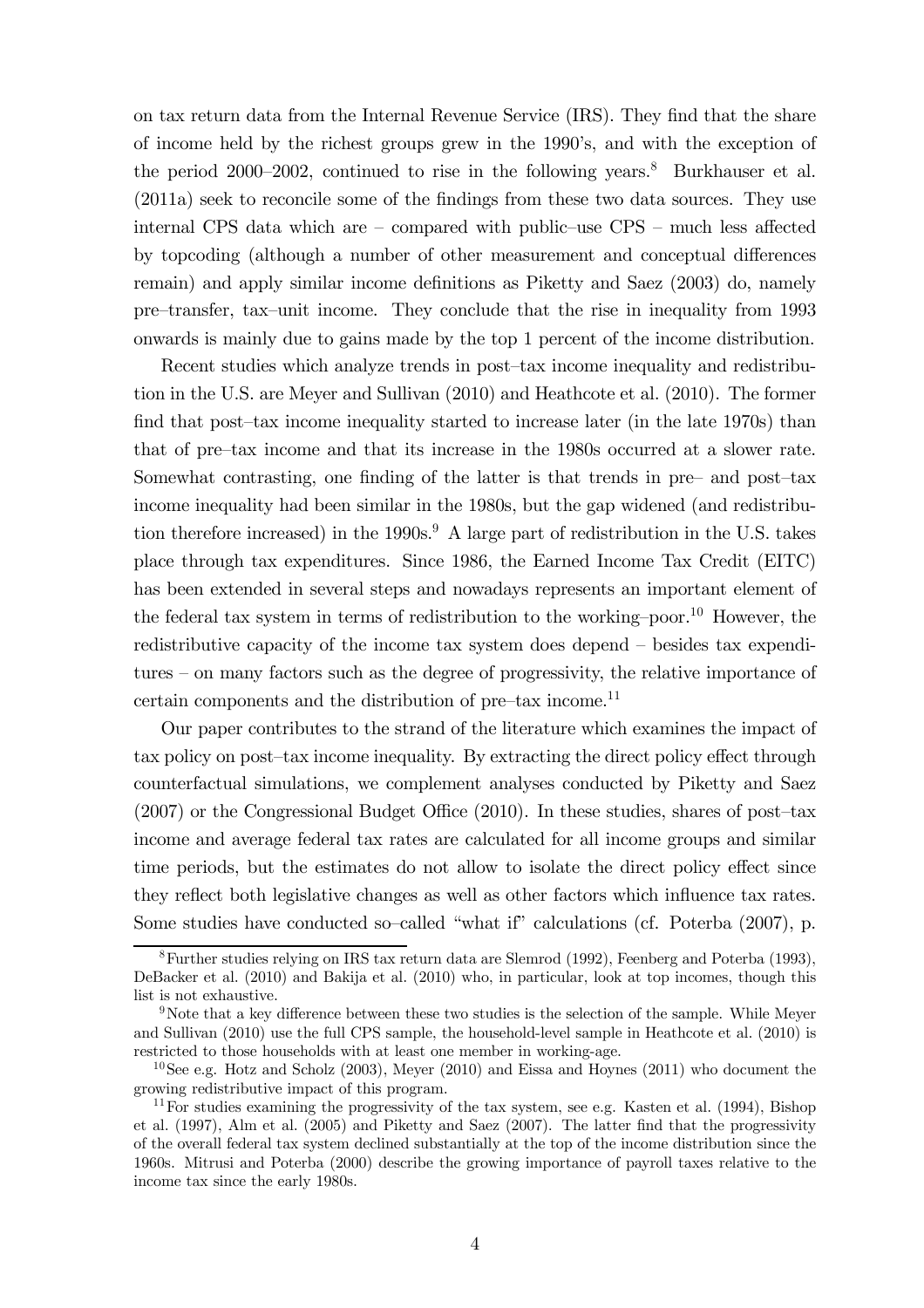on tax return data from the Internal Revenue Service (IRS). They find that the share of income held by the richest groups grew in the 1990's, and with the exception of the period 2000–2002, continued to rise in the following years.<sup>8</sup> Burkhauser et al. (2011a) seek to reconcile some of the findings from these two data sources. They use internal CPS data which are — compared with public—use CPS — much less affected by topcoding (although a number of other measurement and conceptual differences remain) and apply similar income definitions as Piketty and Saez (2003) do, namely pre—transfer, tax—unit income. They conclude that the rise in inequality from 1993 onwards is mainly due to gains made by the top 1 percent of the income distribution.

Recent studies which analyze trends in post—tax income inequality and redistribution in the U.S. are Meyer and Sullivan (2010) and Heathcote et al. (2010). The former find that post-tax income inequality started to increase later (in the late 1970s) than that of pre—tax income and that its increase in the 1980s occurred at a slower rate. Somewhat contrasting, one finding of the latter is that trends in pre— and post—tax income inequality had been similar in the 1980s, but the gap widened (and redistribution therefore increased) in the  $1990s<sup>9</sup>$ . A large part of redistribution in the U.S. takes place through tax expenditures. Since 1986, the Earned Income Tax Credit (EITC) has been extended in several steps and nowadays represents an important element of the federal tax system in terms of redistribution to the working-poor.<sup>10</sup> However, the redistributive capacity of the income tax system does depend — besides tax expenditures — on many factors such as the degree of progressivity, the relative importance of certain components and the distribution of pre—tax income.<sup>11</sup>

Our paper contributes to the strand of the literature which examines the impact of tax policy on post—tax income inequality. By extracting the direct policy effect through counterfactual simulations, we complement analyses conducted by Piketty and Saez (2007) or the Congressional Budget Office (2010). In these studies, shares of post—tax income and average federal tax rates are calculated for all income groups and similar time periods, but the estimates do not allow to isolate the direct policy effect since they reflect both legislative changes as well as other factors which influence tax rates. Some studies have conducted so-called "what if" calculations (cf. Poterba (2007), p.

<sup>8</sup>Further studies relying on IRS tax return data are Slemrod (1992), Feenberg and Poterba (1993), DeBacker et al. (2010) and Bakija et al. (2010) who, in particular, look at top incomes, though this list is not exhaustive.

<sup>9</sup>Note that a key difference between these two studies is the selection of the sample. While Meyer and Sullivan (2010) use the full CPS sample, the household-level sample in Heathcote et al. (2010) is restricted to those households with at least one member in working-age.

<sup>&</sup>lt;sup>10</sup>See e.g. Hotz and Scholz (2003), Meyer (2010) and Eissa and Hoynes (2011) who document the growing redistributive impact of this program.

<sup>&</sup>lt;sup>11</sup> For studies examining the progressivity of the tax system, see e.g. Kasten et al. (1994), Bishop et al. (1997), Alm et al. (2005) and Piketty and Saez (2007). The latter find that the progressivity of the overall federal tax system declined substantially at the top of the income distribution since the 1960s. Mitrusi and Poterba (2000) describe the growing importance of payroll taxes relative to the income tax since the early 1980s.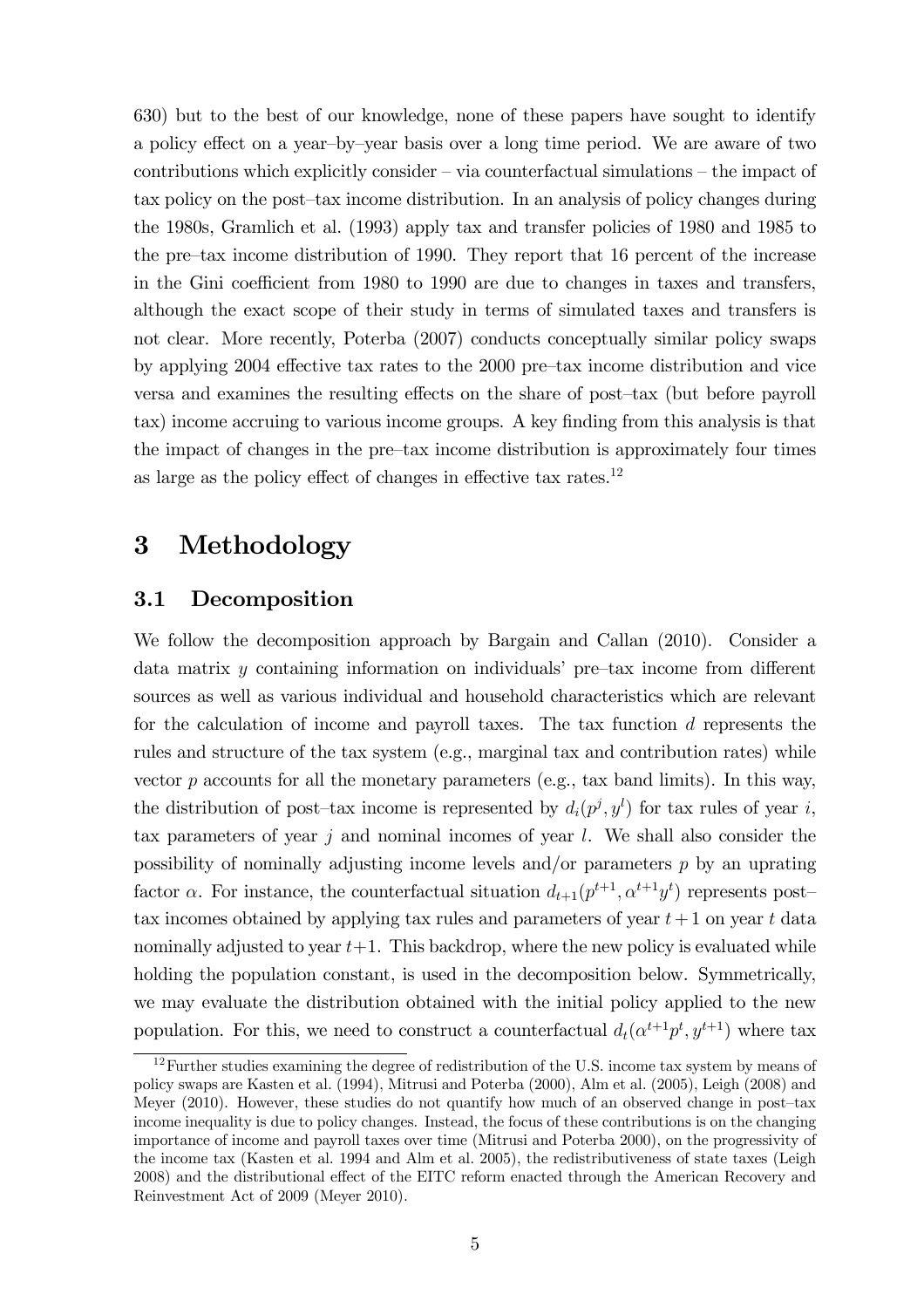630) but to the best of our knowledge, none of these papers have sought to identify a policy effect on a year—by—year basis over a long time period. We are aware of two contributions which explicitly consider — via counterfactual simulations — the impact of tax policy on the post—tax income distribution. In an analysis of policy changes during the 1980s, Gramlich et al. (1993) apply tax and transfer policies of 1980 and 1985 to the pre—tax income distribution of 1990. They report that 16 percent of the increase in the Gini coefficient from 1980 to 1990 are due to changes in taxes and transfers, although the exact scope of their study in terms of simulated taxes and transfers is not clear. More recently, Poterba (2007) conducts conceptually similar policy swaps by applying 2004 effective tax rates to the 2000 pre—tax income distribution and vice versa and examines the resulting effects on the share of post—tax (but before payroll tax) income accruing to various income groups. A key finding from this analysis is that the impact of changes in the pre—tax income distribution is approximately four times as large as the policy effect of changes in effective tax rates.<sup>12</sup>

#### 3 Methodology

#### 3.1 Decomposition

We follow the decomposition approach by Bargain and Callan (2010). Consider a data matrix y containing information on individuals' pre—tax income from different sources as well as various individual and household characteristics which are relevant for the calculation of income and payroll taxes. The tax function d represents the rules and structure of the tax system (e.g., marginal tax and contribution rates) while vector  $p$  accounts for all the monetary parameters (e.g., tax band limits). In this way, the distribution of post-tax income is represented by  $d_i(p^j, y^l)$  for tax rules of year i, tax parameters of year  $j$  and nominal incomes of year  $l$ . We shall also consider the possibility of nominally adjusting income levels and/or parameters p by an uprating factor  $\alpha$ . For instance, the counterfactual situation  $d_{t+1}(p^{t+1}, \alpha^{t+1}y^t)$  represents posttax incomes obtained by applying tax rules and parameters of year  $t+1$  on year t data nominally adjusted to year  $t+1$ . This backdrop, where the new policy is evaluated while holding the population constant, is used in the decomposition below. Symmetrically, we may evaluate the distribution obtained with the initial policy applied to the new population. For this, we need to construct a counterfactual  $d_t(\alpha^{t+1}p^t, y^{t+1})$  where tax

 $12$  Further studies examining the degree of redistribution of the U.S. income tax system by means of policy swaps are Kasten et al. (1994), Mitrusi and Poterba (2000), Alm et al. (2005), Leigh (2008) and Meyer (2010). However, these studies do not quantify how much of an observed change in post—tax income inequality is due to policy changes. Instead, the focus of these contributions is on the changing importance of income and payroll taxes over time (Mitrusi and Poterba 2000), on the progressivity of the income tax (Kasten et al. 1994 and Alm et al. 2005), the redistributiveness of state taxes (Leigh 2008) and the distributional effect of the EITC reform enacted through the American Recovery and Reinvestment Act of 2009 (Meyer 2010).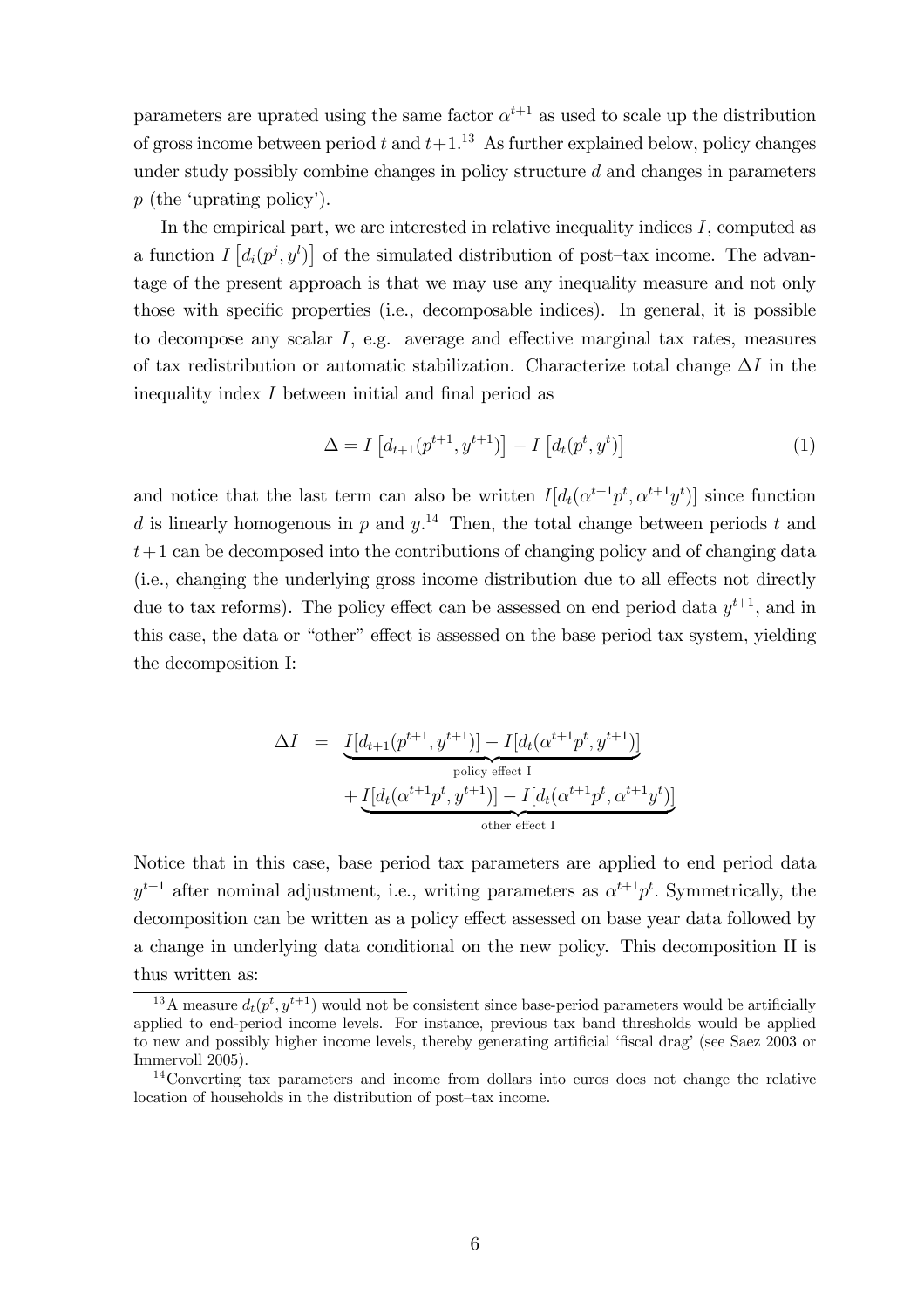parameters are uprated using the same factor  $\alpha^{t+1}$  as used to scale up the distribution of gross income between period t and  $t+1$ .<sup>13</sup> As further explained below, policy changes under study possibly combine changes in policy structure  $d$  and changes in parameters p (the 'uprating policy').

In the empirical part, we are interested in relative inequality indices  $I$ , computed as a function  $I\left[d_i(p^j, y^l)\right]$  of the simulated distribution of post-tax income. The advantage of the present approach is that we may use any inequality measure and not only those with specific properties (i.e., decomposable indices). In general, it is possible to decompose any scalar I, e.g. average and effective marginal tax rates, measures of tax redistribution or automatic stabilization. Characterize total change  $\Delta I$  in the inequality index I between initial and final period as

$$
\Delta = I \left[ d_{t+1}(p^{t+1}, y^{t+1}) \right] - I \left[ d_t(p^t, y^t) \right] \tag{1}
$$

and notice that the last term can also be written  $I[d_t(\alpha^{t+1}p^t, \alpha^{t+1}y^t)]$  since function d is linearly homogenous in p and  $y$ <sup>14</sup>. Then, the total change between periods t and  $t+1$  can be decomposed into the contributions of changing policy and of changing data (i.e., changing the underlying gross income distribution due to all effects not directly due to tax reforms). The policy effect can be assessed on end period data  $y^{t+1}$ , and in this case, the data or "other" effect is assessed on the base period tax system, yielding the decomposition I:

$$
\Delta I = \underbrace{I[d_{t+1}(p^{t+1}, y^{t+1})] - I[d_t(\alpha^{t+1}p^t, y^{t+1})]}_{\text{policy effect I}} + \underbrace{I[d_t(\alpha^{t+1}p^t, y^{t+1})] - I[d_t(\alpha^{t+1}p^t, \alpha^{t+1}y^t)]}_{\text{other effect I}}
$$

Notice that in this case, base period tax parameters are applied to end period data  $y^{t+1}$  after nominal adjustment, i.e., writing parameters as  $\alpha^{t+1}p^t$ . Symmetrically, the decomposition can be written as a policy effect assessed on base year data followed by a change in underlying data conditional on the new policy. This decomposition II is thus written as:

<sup>&</sup>lt;sup>13</sup>A measure  $d_t(p^t, y^{t+1})$  would not be consistent since base-period parameters would be artificially applied to end-period income levels. For instance, previous tax band thresholds would be applied to new and possibly higher income levels, thereby generating artificial 'fiscal drag' (see Saez 2003 or Immervoll 2005).

<sup>&</sup>lt;sup>14</sup>Converting tax parameters and income from dollars into euros does not change the relative location of households in the distribution of post—tax income.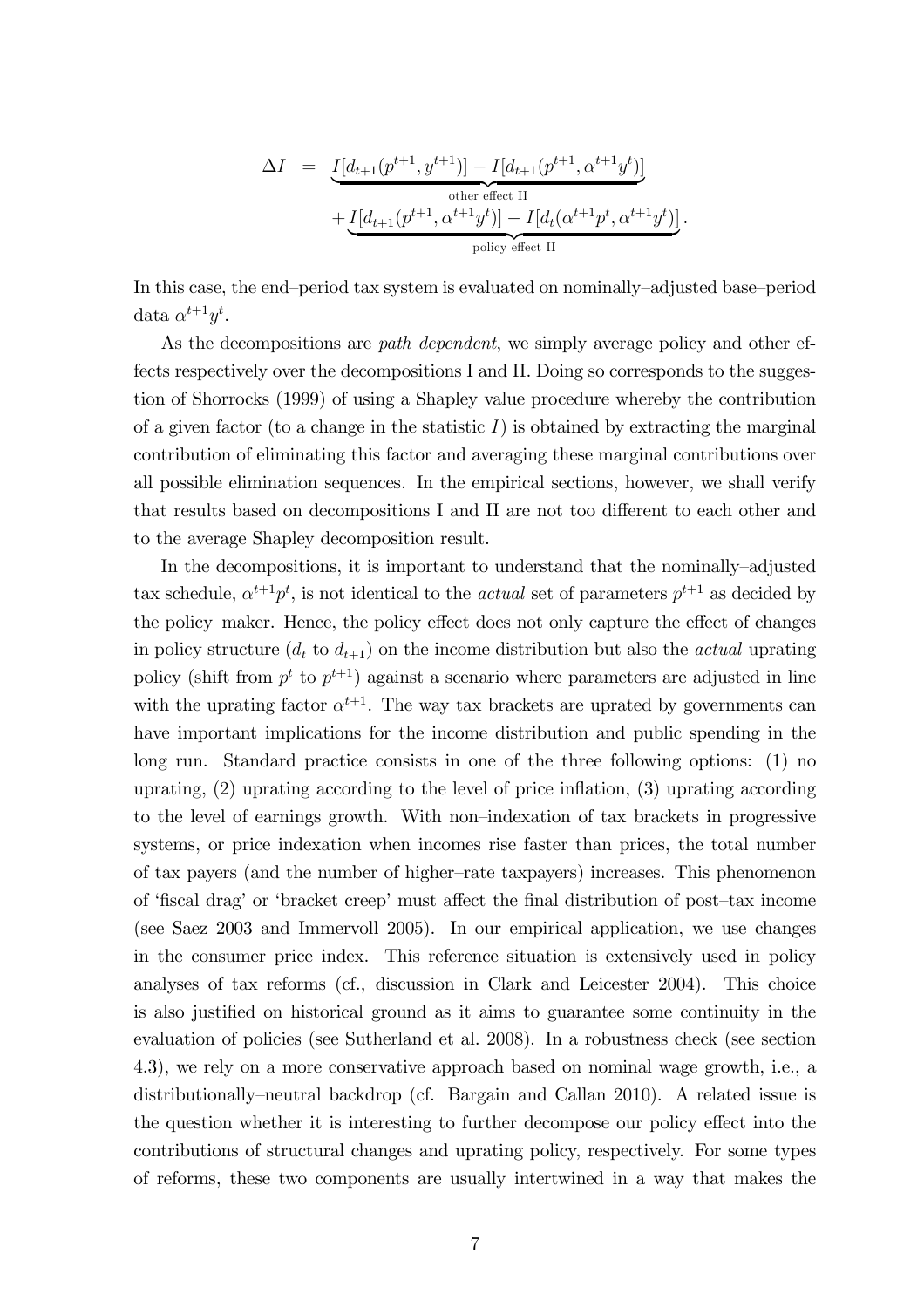$$
\Delta I = \underbrace{I[d_{t+1}(p^{t+1}, y^{t+1})] - I[d_{t+1}(p^{t+1}, \alpha^{t+1}y^t)]}_{\text{other effect II}} + \underbrace{I[d_{t+1}(p^{t+1}, \alpha^{t+1}y^t)] - I[d_t(\alpha^{t+1}p^t, \alpha^{t+1}y^t)]}_{\text{policy effect II}}.
$$

In this case, the end—period tax system is evaluated on nominally—adjusted base—period data  $\alpha^{t+1}y^t$ .

As the decompositions are *path dependent*, we simply average policy and other effects respectively over the decompositions I and II. Doing so corresponds to the suggestion of Shorrocks (1999) of using a Shapley value procedure whereby the contribution of a given factor (to a change in the statistic  $I$ ) is obtained by extracting the marginal contribution of eliminating this factor and averaging these marginal contributions over all possible elimination sequences. In the empirical sections, however, we shall verify that results based on decompositions I and II are not too different to each other and to the average Shapley decomposition result.

In the decompositions, it is important to understand that the nominally—adjusted tax schedule,  $\alpha^{t+1} p^t$ , is not identical to the *actual* set of parameters  $p^{t+1}$  as decided by the policy—maker. Hence, the policy effect does not only capture the effect of changes in policy structure  $(d_t \text{ to } d_{t+1})$  on the income distribution but also the *actual* uprating policy (shift from  $p^t$  to  $p^{t+1}$ ) against a scenario where parameters are adjusted in line with the uprating factor  $\alpha^{t+1}$ . The way tax brackets are uprated by governments can have important implications for the income distribution and public spending in the long run. Standard practice consists in one of the three following options: (1) no uprating, (2) uprating according to the level of price inflation, (3) uprating according to the level of earnings growth. With non—indexation of tax brackets in progressive systems, or price indexation when incomes rise faster than prices, the total number of tax payers (and the number of higher—rate taxpayers) increases. This phenomenon of 'fiscal drag' or 'bracket creep' must affect the final distribution of post—tax income (see Saez 2003 and Immervoll 2005). In our empirical application, we use changes in the consumer price index. This reference situation is extensively used in policy analyses of tax reforms (cf., discussion in Clark and Leicester 2004). This choice is also justified on historical ground as it aims to guarantee some continuity in the evaluation of policies (see Sutherland et al. 2008). In a robustness check (see section 4.3), we rely on a more conservative approach based on nominal wage growth, i.e., a distributionally—neutral backdrop (cf. Bargain and Callan 2010). A related issue is the question whether it is interesting to further decompose our policy effect into the contributions of structural changes and uprating policy, respectively. For some types of reforms, these two components are usually intertwined in a way that makes the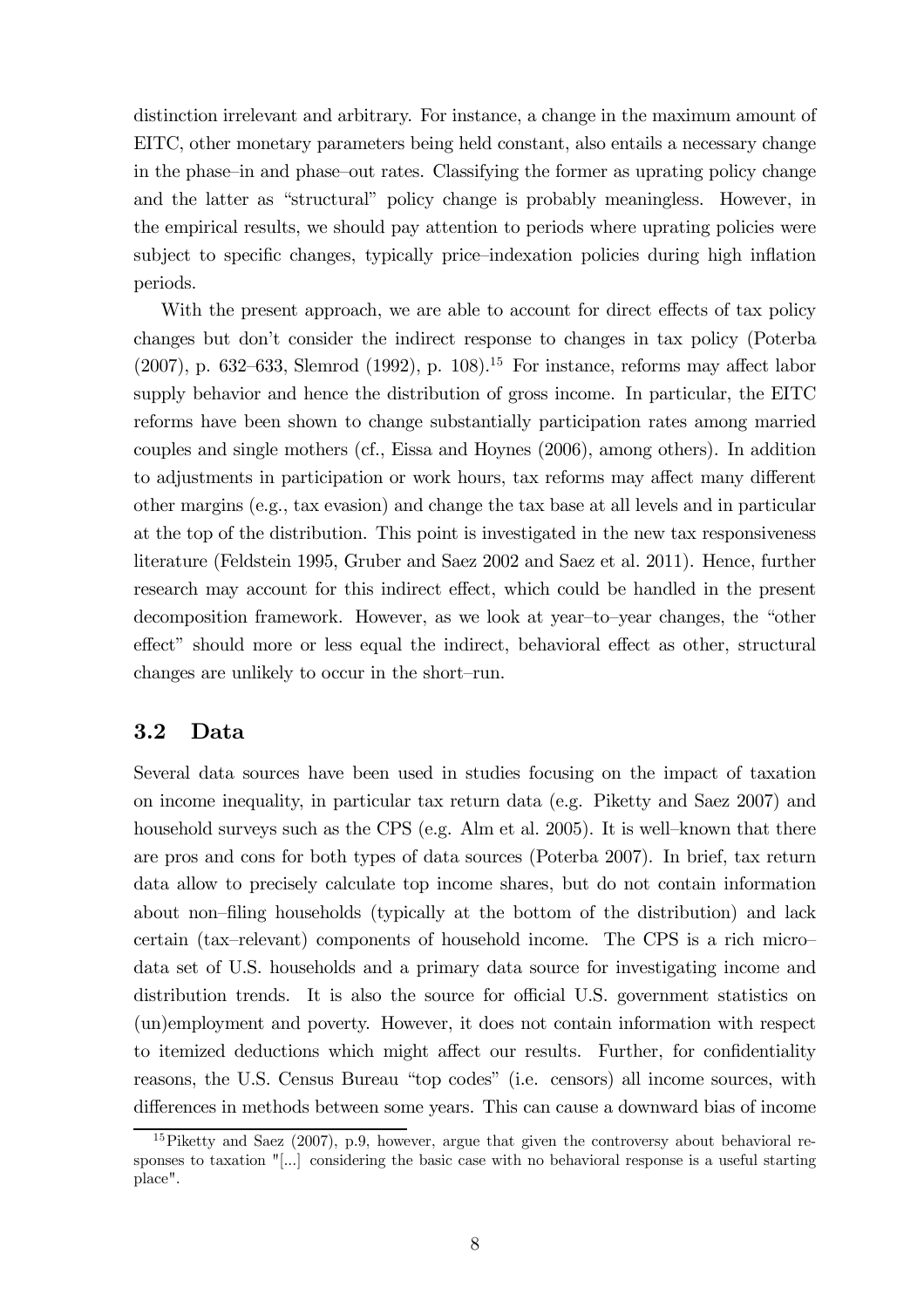distinction irrelevant and arbitrary. For instance, a change in the maximum amount of EITC, other monetary parameters being held constant, also entails a necessary change in the phase—in and phase—out rates. Classifying the former as uprating policy change and the latter as "structural" policy change is probably meaningless. However, in the empirical results, we should pay attention to periods where uprating policies were subject to specific changes, typically price—indexation policies during high inflation periods.

With the present approach, we are able to account for direct effects of tax policy changes but don't consider the indirect response to changes in tax policy (Poterba (2007), p. 632–633, Slemrod (1992), p. 108).<sup>15</sup> For instance, reforms may affect labor supply behavior and hence the distribution of gross income. In particular, the EITC reforms have been shown to change substantially participation rates among married couples and single mothers (cf., Eissa and Hoynes (2006), among others). In addition to adjustments in participation or work hours, tax reforms may affect many different other margins (e.g., tax evasion) and change the tax base at all levels and in particular at the top of the distribution. This point is investigated in the new tax responsiveness literature (Feldstein 1995, Gruber and Saez 2002 and Saez et al. 2011). Hence, further research may account for this indirect effect, which could be handled in the present decomposition framework. However, as we look at year—to—year changes, the "other effect" should more or less equal the indirect, behavioral effect as other, structural changes are unlikely to occur in the short—run.

#### 3.2 Data

Several data sources have been used in studies focusing on the impact of taxation on income inequality, in particular tax return data (e.g. Piketty and Saez 2007) and household surveys such as the CPS (e.g. Alm et al. 2005). It is well-known that there are pros and cons for both types of data sources (Poterba 2007). In brief, tax return data allow to precisely calculate top income shares, but do not contain information about non—filing households (typically at the bottom of the distribution) and lack certain (tax—relevant) components of household income. The CPS is a rich micro data set of U.S. households and a primary data source for investigating income and distribution trends. It is also the source for official U.S. government statistics on (un)employment and poverty. However, it does not contain information with respect to itemized deductions which might affect our results. Further, for confidentiality reasons, the U.S. Census Bureau "top codes" (i.e. censors) all income sources, with differences in methods between some years. This can cause a downward bias of income

 $15$ Piketty and Saez (2007), p.9, however, argue that given the controversy about behavioral responses to taxation "[...] considering the basic case with no behavioral response is a useful starting place".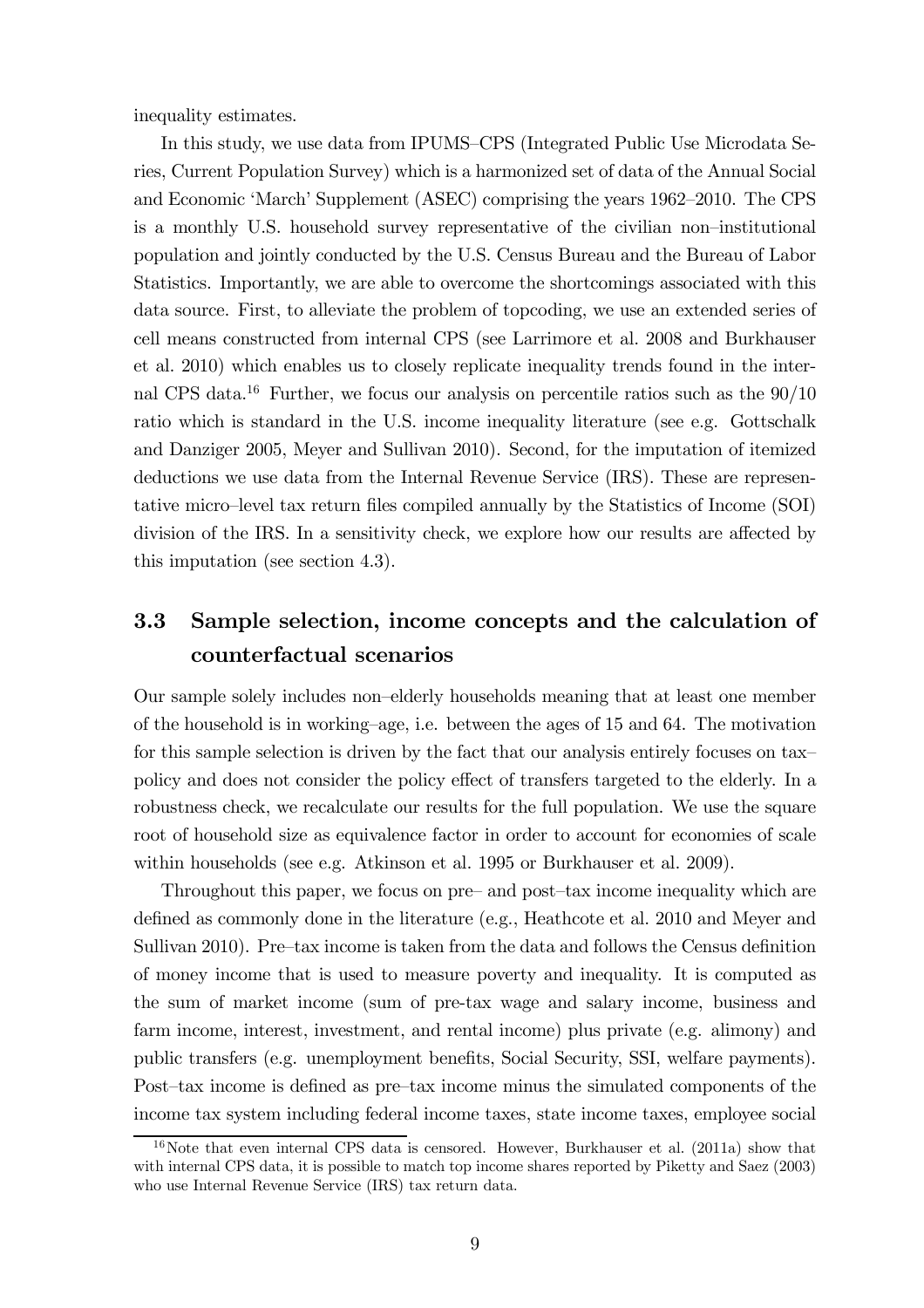inequality estimates.

In this study, we use data from IPUMS—CPS (Integrated Public Use Microdata Series, Current Population Survey) which is a harmonized set of data of the Annual Social and Economic 'March' Supplement (ASEC) comprising the years 1962—2010. The CPS is a monthly U.S. household survey representative of the civilian non—institutional population and jointly conducted by the U.S. Census Bureau and the Bureau of Labor Statistics. Importantly, we are able to overcome the shortcomings associated with this data source. First, to alleviate the problem of topcoding, we use an extended series of cell means constructed from internal CPS (see Larrimore et al. 2008 and Burkhauser et al. 2010) which enables us to closely replicate inequality trends found in the internal CPS data.<sup>16</sup> Further, we focus our analysis on percentile ratios such as the  $90/10$ ratio which is standard in the U.S. income inequality literature (see e.g. Gottschalk and Danziger 2005, Meyer and Sullivan 2010). Second, for the imputation of itemized deductions we use data from the Internal Revenue Service (IRS). These are representative micro—level tax return files compiled annually by the Statistics of Income (SOI) division of the IRS. In a sensitivity check, we explore how our results are affected by this imputation (see section 4.3).

## 3.3 Sample selection, income concepts and the calculation of counterfactual scenarios

Our sample solely includes non—elderly households meaning that at least one member of the household is in working—age, i.e. between the ages of 15 and 64. The motivation for this sample selection is driven by the fact that our analysis entirely focuses on tax policy and does not consider the policy effect of transfers targeted to the elderly. In a robustness check, we recalculate our results for the full population. We use the square root of household size as equivalence factor in order to account for economies of scale within households (see e.g. Atkinson et al. 1995 or Burkhauser et al. 2009).

Throughout this paper, we focus on pre— and post—tax income inequality which are defined as commonly done in the literature (e.g., Heathcote et al. 2010 and Meyer and Sullivan 2010). Pre—tax income is taken from the data and follows the Census definition of money income that is used to measure poverty and inequality. It is computed as the sum of market income (sum of pre-tax wage and salary income, business and farm income, interest, investment, and rental income) plus private (e.g. alimony) and public transfers (e.g. unemployment benefits, Social Security, SSI, welfare payments). Post—tax income is defined as pre—tax income minus the simulated components of the income tax system including federal income taxes, state income taxes, employee social

<sup>&</sup>lt;sup>16</sup>Note that even internal CPS data is censored. However, Burkhauser et al. (2011a) show that with internal CPS data, it is possible to match top income shares reported by Piketty and Saez (2003) who use Internal Revenue Service (IRS) tax return data.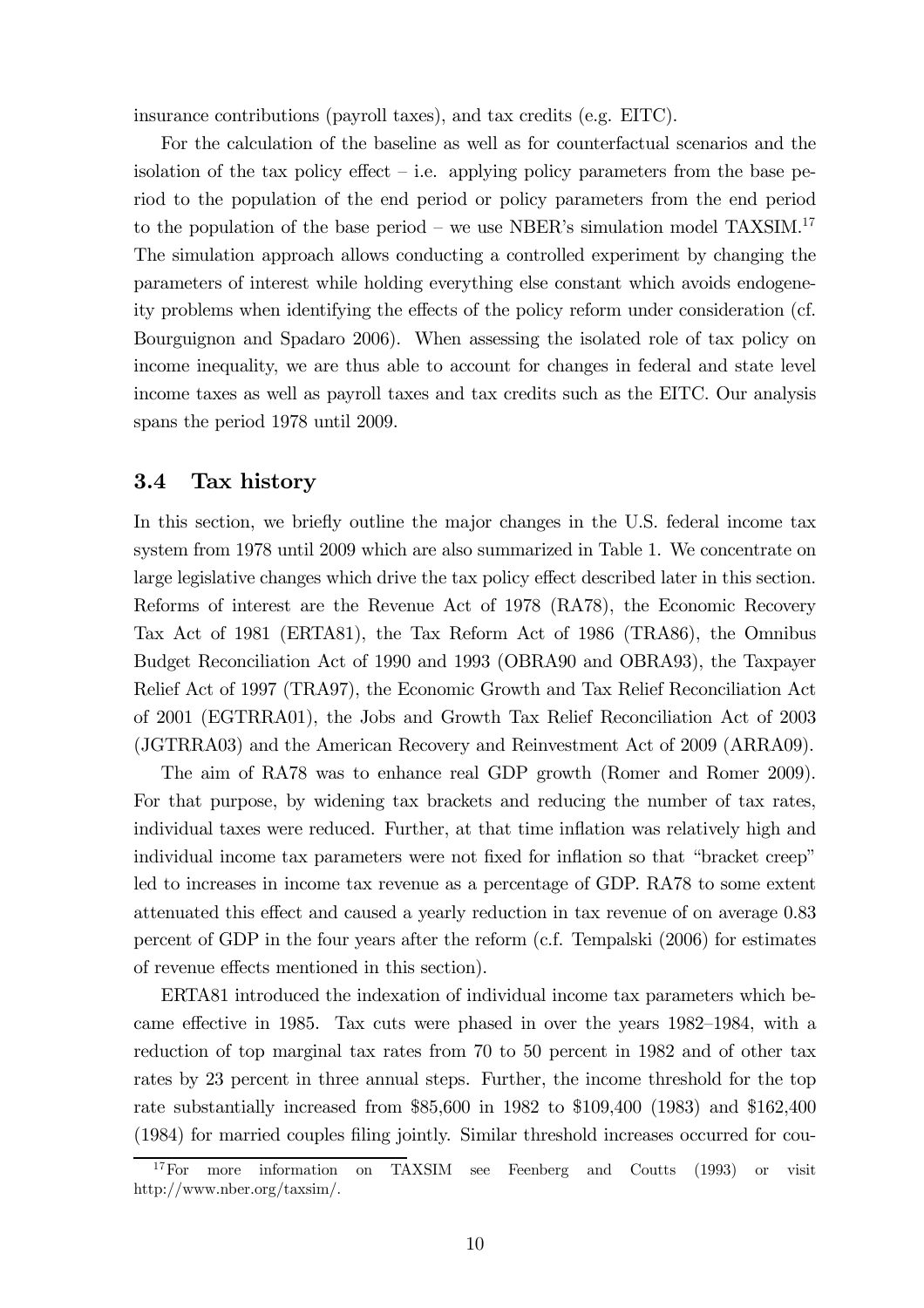insurance contributions (payroll taxes), and tax credits (e.g. EITC).

For the calculation of the baseline as well as for counterfactual scenarios and the isolation of the tax policy effect  $-$  i.e. applying policy parameters from the base period to the population of the end period or policy parameters from the end period to the population of the base period – we use NBER's simulation model TAXSIM.<sup>17</sup> The simulation approach allows conducting a controlled experiment by changing the parameters of interest while holding everything else constant which avoids endogeneity problems when identifying the effects of the policy reform under consideration (cf. Bourguignon and Spadaro 2006). When assessing the isolated role of tax policy on income inequality, we are thus able to account for changes in federal and state level income taxes as well as payroll taxes and tax credits such as the EITC. Our analysis spans the period 1978 until 2009.

#### 3.4 Tax history

In this section, we briefly outline the major changes in the U.S. federal income tax system from 1978 until 2009 which are also summarized in Table 1. We concentrate on large legislative changes which drive the tax policy effect described later in this section. Reforms of interest are the Revenue Act of 1978 (RA78), the Economic Recovery Tax Act of 1981 (ERTA81), the Tax Reform Act of 1986 (TRA86), the Omnibus Budget Reconciliation Act of 1990 and 1993 (OBRA90 and OBRA93), the Taxpayer Relief Act of 1997 (TRA97), the Economic Growth and Tax Relief Reconciliation Act of 2001 (EGTRRA01), the Jobs and Growth Tax Relief Reconciliation Act of 2003 (JGTRRA03) and the American Recovery and Reinvestment Act of 2009 (ARRA09).

The aim of RA78 was to enhance real GDP growth (Romer and Romer 2009). For that purpose, by widening tax brackets and reducing the number of tax rates, individual taxes were reduced. Further, at that time inflation was relatively high and individual income tax parameters were not fixed for inflation so that "bracket creep" led to increases in income tax revenue as a percentage of GDP. RA78 to some extent attenuated this effect and caused a yearly reduction in tax revenue of on average 0.83 percent of GDP in the four years after the reform (c.f. Tempalski (2006) for estimates of revenue effects mentioned in this section).

ERTA81 introduced the indexation of individual income tax parameters which became effective in 1985. Tax cuts were phased in over the years 1982—1984, with a reduction of top marginal tax rates from 70 to 50 percent in 1982 and of other tax rates by 23 percent in three annual steps. Further, the income threshold for the top rate substantially increased from \$85,600 in 1982 to \$109,400 (1983) and \$162,400 (1984) for married couples filing jointly. Similar threshold increases occurred for cou-

<sup>&</sup>lt;sup>17</sup>For more information on TAXSIM see Feenberg and Coutts (1993) or visit http://www.nber.org/taxsim/.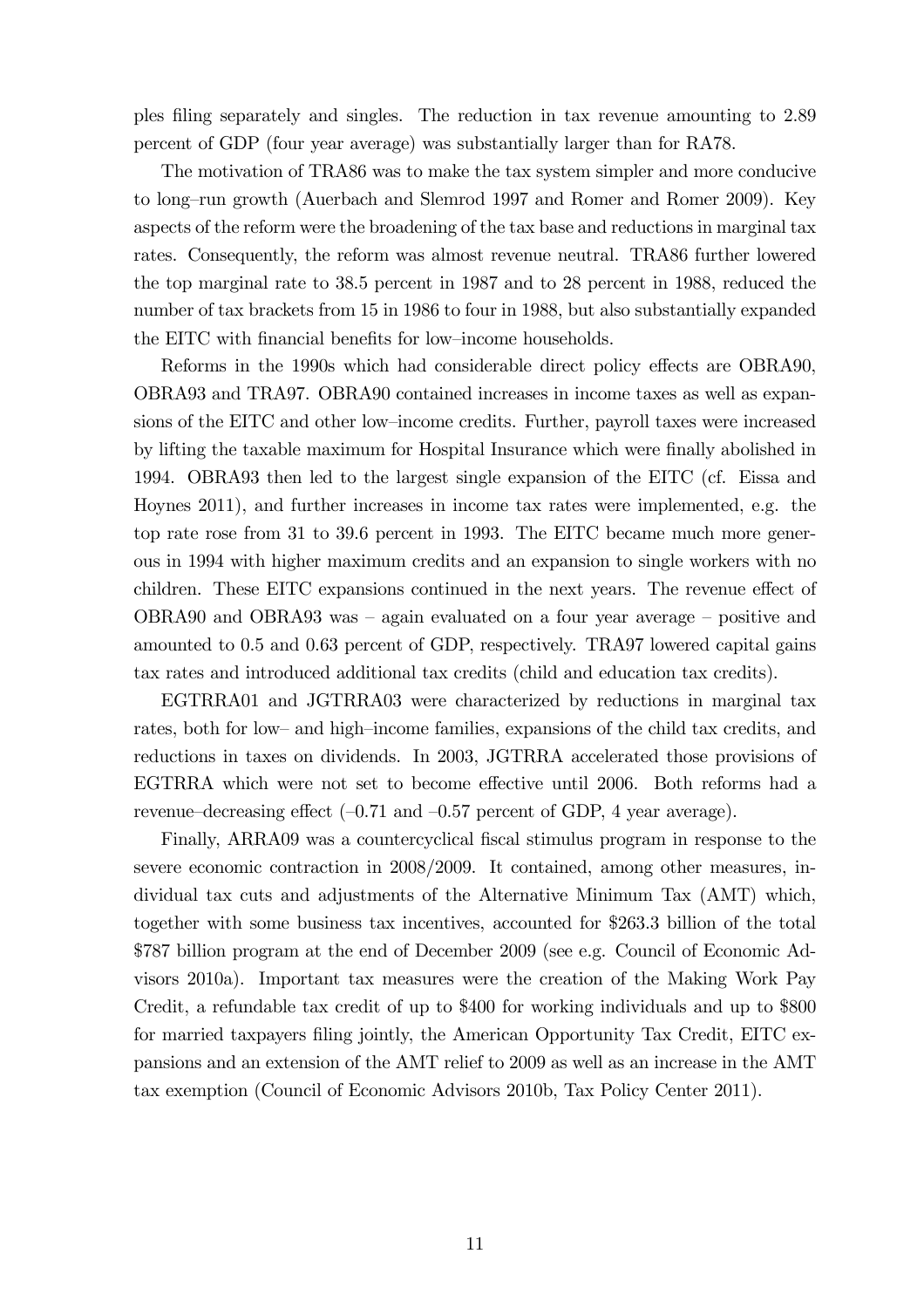ples filing separately and singles. The reduction in tax revenue amounting to 2.89 percent of GDP (four year average) was substantially larger than for RA78.

The motivation of TRA86 was to make the tax system simpler and more conducive to long—run growth (Auerbach and Slemrod 1997 and Romer and Romer 2009). Key aspects of the reform were the broadening of the tax base and reductions in marginal tax rates. Consequently, the reform was almost revenue neutral. TRA86 further lowered the top marginal rate to 38.5 percent in 1987 and to 28 percent in 1988, reduced the number of tax brackets from 15 in 1986 to four in 1988, but also substantially expanded the EITC with financial benefits for low—income households.

Reforms in the 1990s which had considerable direct policy effects are OBRA90, OBRA93 and TRA97. OBRA90 contained increases in income taxes as well as expansions of the EITC and other low—income credits. Further, payroll taxes were increased by lifting the taxable maximum for Hospital Insurance which were finally abolished in 1994. OBRA93 then led to the largest single expansion of the EITC (cf. Eissa and Hoynes 2011), and further increases in income tax rates were implemented, e.g. the top rate rose from 31 to 39.6 percent in 1993. The EITC became much more generous in 1994 with higher maximum credits and an expansion to single workers with no children. These EITC expansions continued in the next years. The revenue effect of OBRA90 and OBRA93 was — again evaluated on a four year average — positive and amounted to 0.5 and 0.63 percent of GDP, respectively. TRA97 lowered capital gains tax rates and introduced additional tax credits (child and education tax credits).

EGTRRA01 and JGTRRA03 were characterized by reductions in marginal tax rates, both for low— and high—income families, expansions of the child tax credits, and reductions in taxes on dividends. In 2003, JGTRRA accelerated those provisions of EGTRRA which were not set to become effective until 2006. Both reforms had a revenue—decreasing effect  $(-0.71 \text{ and } -0.57 \text{ percent of GDP}, 4 \text{ year average})$ .

Finally, ARRA09 was a countercyclical fiscal stimulus program in response to the severe economic contraction in 2008/2009. It contained, among other measures, individual tax cuts and adjustments of the Alternative Minimum Tax (AMT) which, together with some business tax incentives, accounted for \$263.3 billion of the total \$787 billion program at the end of December 2009 (see e.g. Council of Economic Advisors 2010a). Important tax measures were the creation of the Making Work Pay Credit, a refundable tax credit of up to \$400 for working individuals and up to \$800 for married taxpayers filing jointly, the American Opportunity Tax Credit, EITC expansions and an extension of the AMT relief to 2009 as well as an increase in the AMT tax exemption (Council of Economic Advisors 2010b, Tax Policy Center 2011).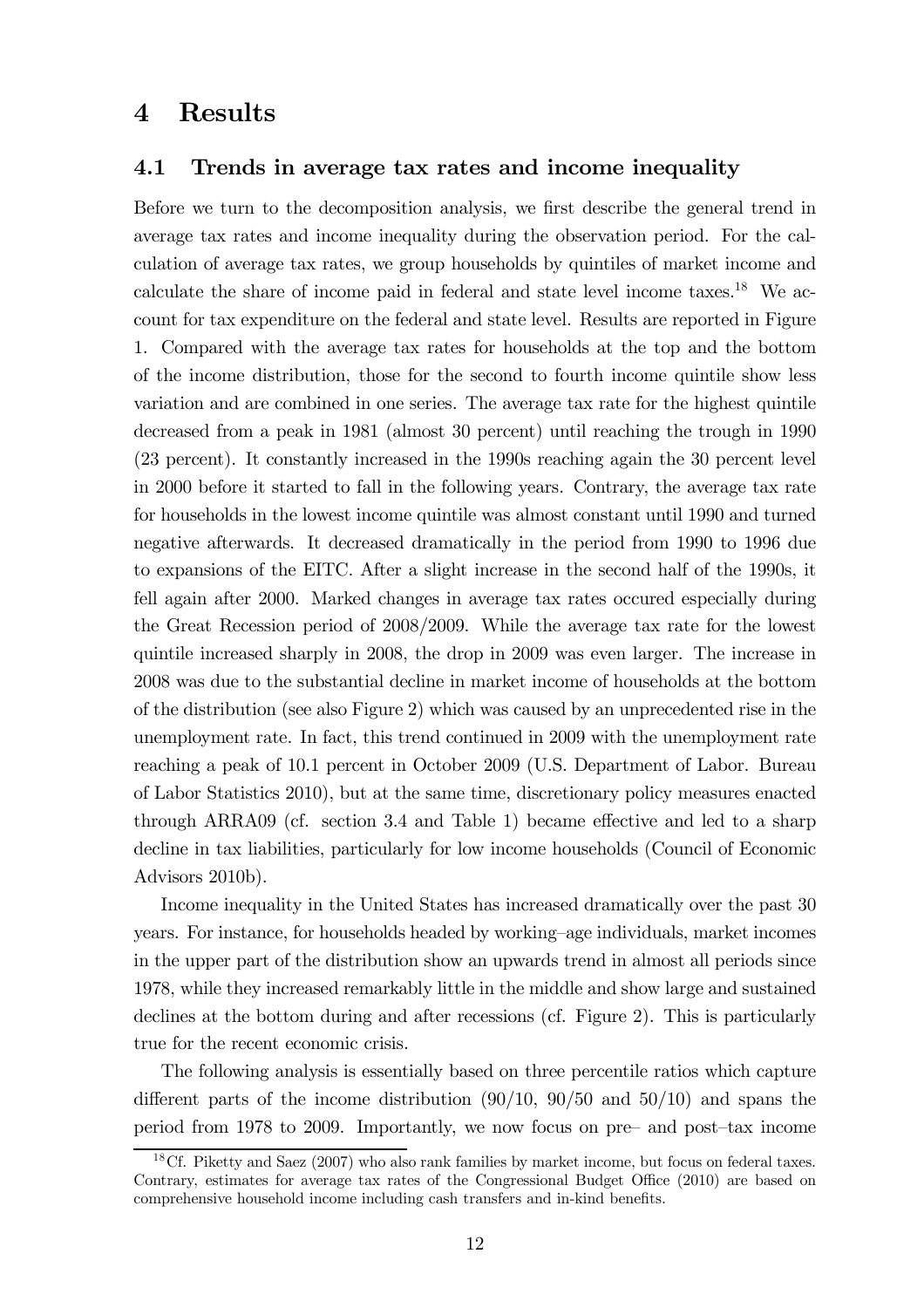#### 4 Results

#### 4.1 Trends in average tax rates and income inequality

Before we turn to the decomposition analysis, we first describe the general trend in average tax rates and income inequality during the observation period. For the calculation of average tax rates, we group households by quintiles of market income and calculate the share of income paid in federal and state level income taxes.<sup>18</sup> We account for tax expenditure on the federal and state level. Results are reported in Figure 1. Compared with the average tax rates for households at the top and the bottom of the income distribution, those for the second to fourth income quintile show less variation and are combined in one series. The average tax rate for the highest quintile decreased from a peak in 1981 (almost 30 percent) until reaching the trough in 1990 (23 percent). It constantly increased in the 1990s reaching again the 30 percent level in 2000 before it started to fall in the following years. Contrary, the average tax rate for households in the lowest income quintile was almost constant until 1990 and turned negative afterwards. It decreased dramatically in the period from 1990 to 1996 due to expansions of the EITC. After a slight increase in the second half of the 1990s, it fell again after 2000. Marked changes in average tax rates occured especially during the Great Recession period of 2008/2009. While the average tax rate for the lowest quintile increased sharply in 2008, the drop in 2009 was even larger. The increase in 2008 was due to the substantial decline in market income of households at the bottom of the distribution (see also Figure 2) which was caused by an unprecedented rise in the unemployment rate. In fact, this trend continued in 2009 with the unemployment rate reaching a peak of 10.1 percent in October 2009 (U.S. Department of Labor. Bureau of Labor Statistics 2010), but at the same time, discretionary policy measures enacted through ARRA09 (cf. section 3.4 and Table 1) became effective and led to a sharp decline in tax liabilities, particularly for low income households (Council of Economic Advisors 2010b).

Income inequality in the United States has increased dramatically over the past 30 years. For instance, for households headed by working—age individuals, market incomes in the upper part of the distribution show an upwards trend in almost all periods since 1978, while they increased remarkably little in the middle and show large and sustained declines at the bottom during and after recessions (cf. Figure 2). This is particularly true for the recent economic crisis.

The following analysis is essentially based on three percentile ratios which capture different parts of the income distribution  $(90/10, 90/50, 100)$  and spans the period from 1978 to 2009. Importantly, we now focus on pre— and post—tax income

<sup>18</sup>Cf. Piketty and Saez (2007) who also rank families by market income, but focus on federal taxes. Contrary, estimates for average tax rates of the Congressional Budget Office (2010) are based on comprehensive household income including cash transfers and in-kind benefits.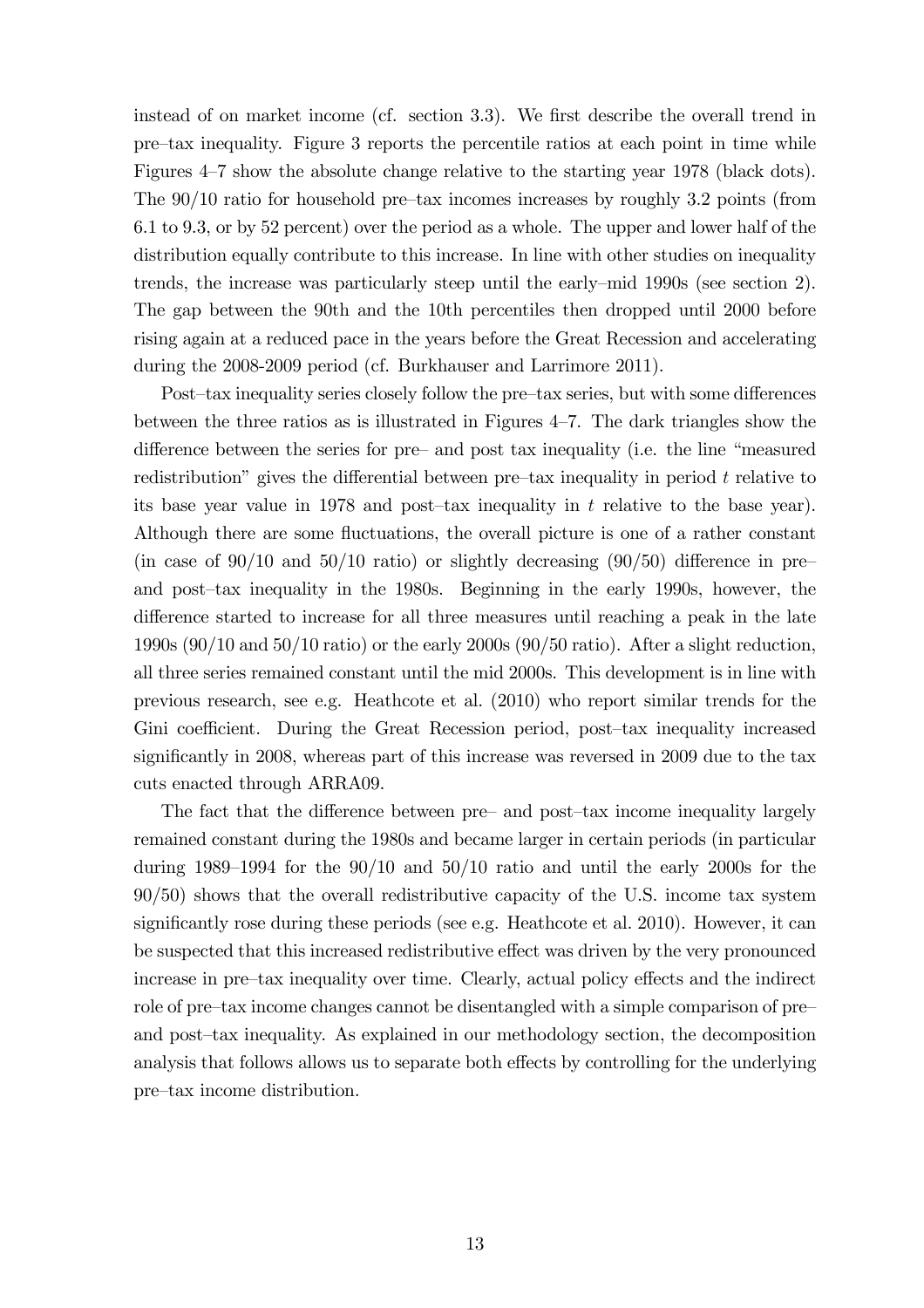instead of on market income (cf. section 3.3). We first describe the overall trend in pre—tax inequality. Figure 3 reports the percentile ratios at each point in time while Figures 4—7 show the absolute change relative to the starting year 1978 (black dots). The 90/10 ratio for household pre—tax incomes increases by roughly 3.2 points (from 6.1 to 9.3, or by 52 percent) over the period as a whole. The upper and lower half of the distribution equally contribute to this increase. In line with other studies on inequality trends, the increase was particularly steep until the early—mid 1990s (see section 2). The gap between the 90th and the 10th percentiles then dropped until 2000 before rising again at a reduced pace in the years before the Great Recession and accelerating during the 2008-2009 period (cf. Burkhauser and Larrimore 2011).

Post—tax inequality series closely follow the pre—tax series, but with some differences between the three ratios as is illustrated in Figures 4—7. The dark triangles show the difference between the series for pre— and post tax inequality (i.e. the line "measured redistribution" gives the differential between pre—tax inequality in period  $t$  relative to its base year value in 1978 and post-tax inequality in  $t$  relative to the base year). Although there are some fluctuations, the overall picture is one of a rather constant (in case of  $90/10$  and  $50/10$  ratio) or slightly decreasing  $(90/50)$  difference in preand post—tax inequality in the 1980s. Beginning in the early 1990s, however, the difference started to increase for all three measures until reaching a peak in the late 1990s (90/10 and 50/10 ratio) or the early 2000s (90/50 ratio). After a slight reduction, all three series remained constant until the mid 2000s. This development is in line with previous research, see e.g. Heathcote et al. (2010) who report similar trends for the Gini coefficient. During the Great Recession period, post—tax inequality increased significantly in 2008, whereas part of this increase was reversed in 2009 due to the tax cuts enacted through ARRA09.

The fact that the difference between pre— and post—tax income inequality largely remained constant during the 1980s and became larger in certain periods (in particular during 1989—1994 for the 90/10 and 50/10 ratio and until the early 2000s for the 90/50) shows that the overall redistributive capacity of the U.S. income tax system significantly rose during these periods (see e.g. Heathcote et al. 2010). However, it can be suspected that this increased redistributive effect was driven by the very pronounced increase in pre—tax inequality over time. Clearly, actual policy effects and the indirect role of pre—tax income changes cannot be disentangled with a simple comparison of pre and post—tax inequality. As explained in our methodology section, the decomposition analysis that follows allows us to separate both effects by controlling for the underlying pre—tax income distribution.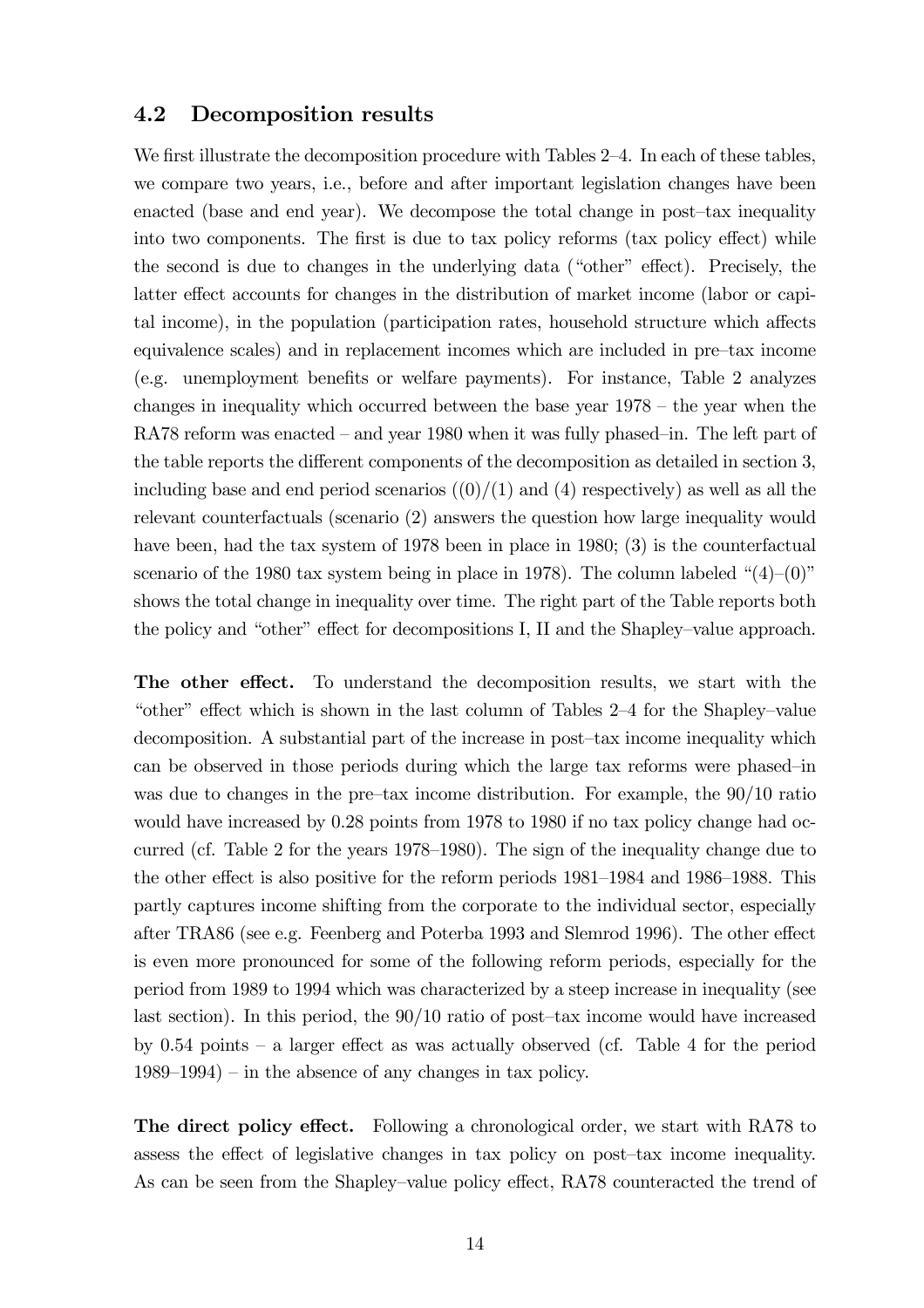#### 4.2 Decomposition results

We first illustrate the decomposition procedure with Tables 2–4. In each of these tables, we compare two years, i.e., before and after important legislation changes have been enacted (base and end year). We decompose the total change in post—tax inequality into two components. The first is due to tax policy reforms (tax policy effect) while the second is due to changes in the underlying data ("other" effect). Precisely, the latter effect accounts for changes in the distribution of market income (labor or capital income), in the population (participation rates, household structure which affects equivalence scales) and in replacement incomes which are included in pre—tax income (e.g. unemployment benefits or welfare payments). For instance, Table 2 analyzes changes in inequality which occurred between the base year 1978 — the year when the RA78 reform was enacted — and year 1980 when it was fully phased—in. The left part of the table reports the different components of the decomposition as detailed in section 3, including base and end period scenarios  $((0)/(1)$  and  $(4)$  respectively) as well as all the relevant counterfactuals (scenario (2) answers the question how large inequality would have been, had the tax system of 1978 been in place in 1980; (3) is the counterfactual scenario of the 1980 tax system being in place in 1978). The column labeled " $(4)$ - $(0)$ " shows the total change in inequality over time. The right part of the Table reports both the policy and "other" effect for decompositions I, II and the Shapley—value approach.

The other effect. To understand the decomposition results, we start with the "other" effect which is shown in the last column of Tables 2—4 for the Shapley—value decomposition. A substantial part of the increase in post—tax income inequality which can be observed in those periods during which the large tax reforms were phased—in was due to changes in the pre—tax income distribution. For example, the 90/10 ratio would have increased by 0.28 points from 1978 to 1980 if no tax policy change had occurred (cf. Table 2 for the years 1978—1980). The sign of the inequality change due to the other effect is also positive for the reform periods 1981—1984 and 1986—1988. This partly captures income shifting from the corporate to the individual sector, especially after TRA86 (see e.g. Feenberg and Poterba 1993 and Slemrod 1996). The other effect is even more pronounced for some of the following reform periods, especially for the period from 1989 to 1994 which was characterized by a steep increase in inequality (see last section). In this period, the 90/10 ratio of post—tax income would have increased by 0.54 points — a larger effect as was actually observed (cf. Table 4 for the period 1989—1994) — in the absence of any changes in tax policy.

The direct policy effect. Following a chronological order, we start with RA78 to assess the effect of legislative changes in tax policy on post—tax income inequality. As can be seen from the Shapley—value policy effect, RA78 counteracted the trend of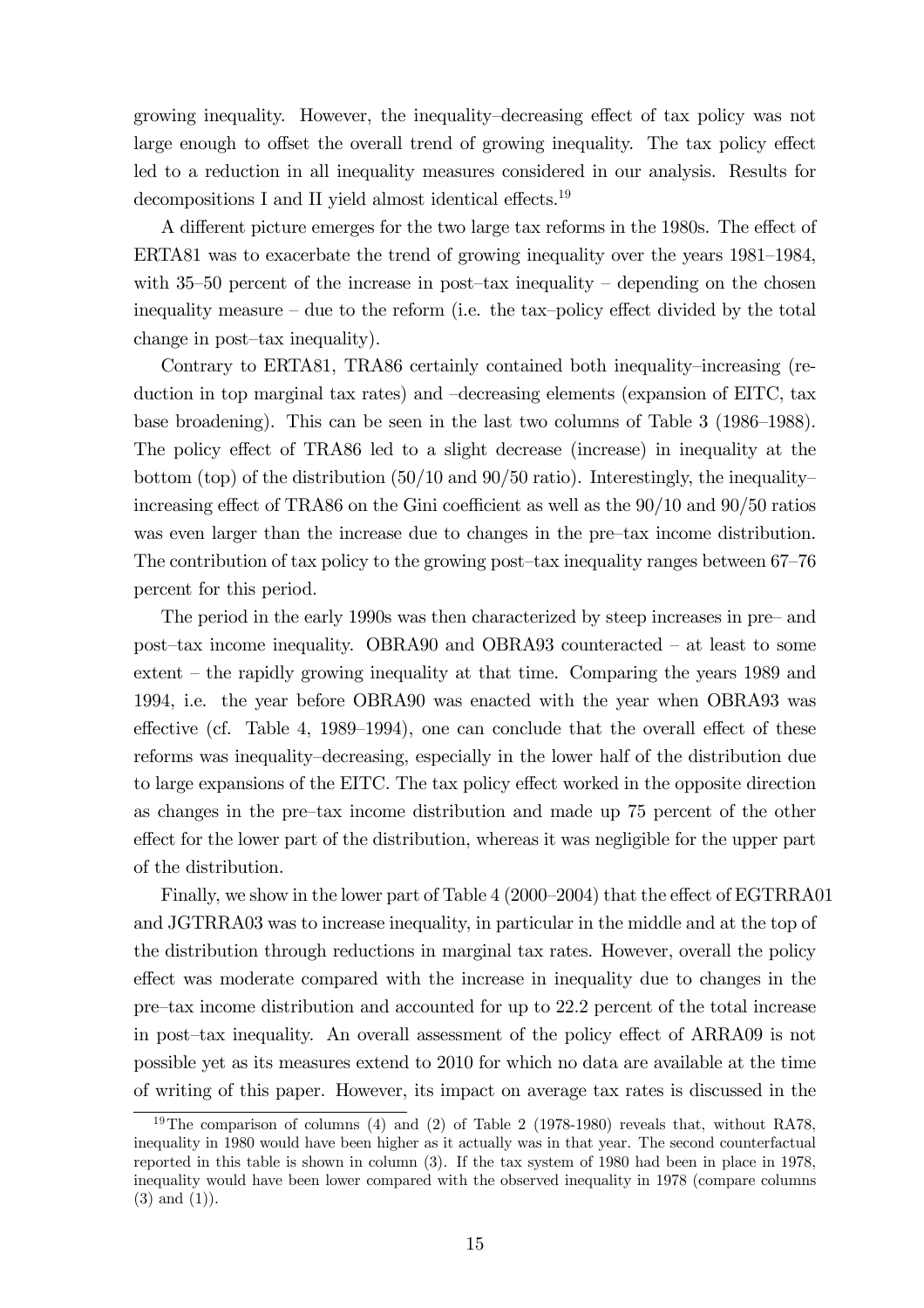growing inequality. However, the inequality—decreasing effect of tax policy was not large enough to offset the overall trend of growing inequality. The tax policy effect led to a reduction in all inequality measures considered in our analysis. Results for decompositions I and II yield almost identical effects.<sup>19</sup>

A different picture emerges for the two large tax reforms in the 1980s. The effect of ERTA81 was to exacerbate the trend of growing inequality over the years 1981—1984, with  $35-50$  percent of the increase in post-tax inequality – depending on the chosen inequality measure — due to the reform (i.e. the tax—policy effect divided by the total change in post—tax inequality).

Contrary to ERTA81, TRA86 certainly contained both inequality—increasing (reduction in top marginal tax rates) and —decreasing elements (expansion of EITC, tax base broadening). This can be seen in the last two columns of Table 3 (1986—1988). The policy effect of TRA86 led to a slight decrease (increase) in inequality at the bottom (top) of the distribution  $(50/10$  and  $90/50$  ratio). Interestingly, the inequalityincreasing effect of TRA86 on the Gini coefficient as well as the 90/10 and 90/50 ratios was even larger than the increase due to changes in the pre—tax income distribution. The contribution of tax policy to the growing post—tax inequality ranges between 67—76 percent for this period.

The period in the early 1990s was then characterized by steep increases in pre— and post—tax income inequality. OBRA90 and OBRA93 counteracted — at least to some extent — the rapidly growing inequality at that time. Comparing the years 1989 and 1994, i.e. the year before OBRA90 was enacted with the year when OBRA93 was effective (cf. Table 4, 1989—1994), one can conclude that the overall effect of these reforms was inequality—decreasing, especially in the lower half of the distribution due to large expansions of the EITC. The tax policy effect worked in the opposite direction as changes in the pre—tax income distribution and made up 75 percent of the other effect for the lower part of the distribution, whereas it was negligible for the upper part of the distribution.

Finally, we show in the lower part of Table 4 (2000—2004) that the effect of EGTRRA01 and JGTRRA03 was to increase inequality, in particular in the middle and at the top of the distribution through reductions in marginal tax rates. However, overall the policy effect was moderate compared with the increase in inequality due to changes in the pre—tax income distribution and accounted for up to 22.2 percent of the total increase in post—tax inequality. An overall assessment of the policy effect of ARRA09 is not possible yet as its measures extend to 2010 for which no data are available at the time of writing of this paper. However, its impact on average tax rates is discussed in the

<sup>&</sup>lt;sup>19</sup>The comparison of columns (4) and (2) of Table 2 (1978-1980) reveals that, without RA78, inequality in 1980 would have been higher as it actually was in that year. The second counterfactual reported in this table is shown in column (3). If the tax system of 1980 had been in place in 1978, inequality would have been lower compared with the observed inequality in 1978 (compare columns  $(3)$  and  $(1)$ ).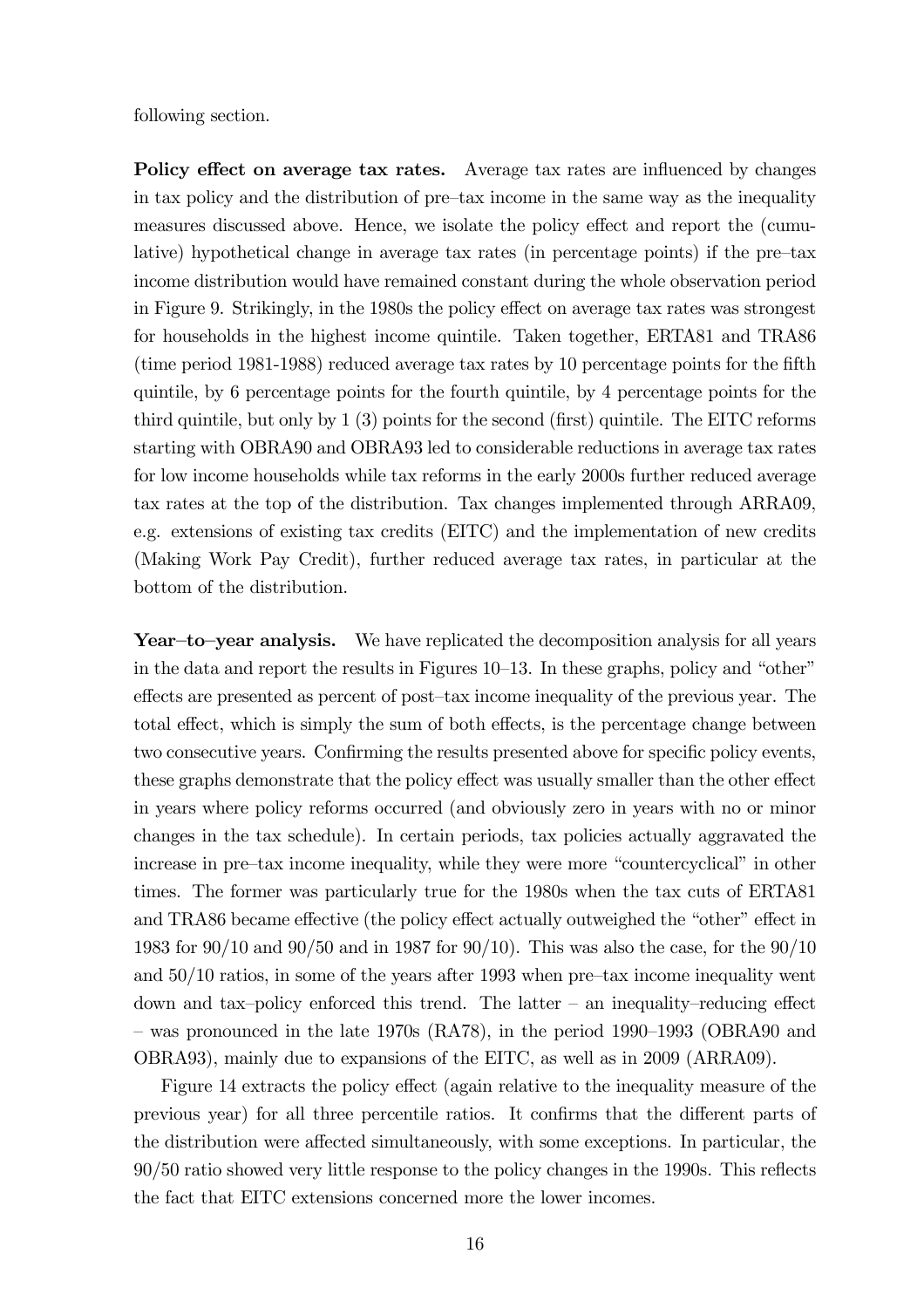following section.

Policy effect on average tax rates. Average tax rates are influenced by changes in tax policy and the distribution of pre—tax income in the same way as the inequality measures discussed above. Hence, we isolate the policy effect and report the (cumulative) hypothetical change in average tax rates (in percentage points) if the pre—tax income distribution would have remained constant during the whole observation period in Figure 9. Strikingly, in the 1980s the policy effect on average tax rates was strongest for households in the highest income quintile. Taken together, ERTA81 and TRA86 (time period 1981-1988) reduced average tax rates by 10 percentage points for the fifth quintile, by 6 percentage points for the fourth quintile, by 4 percentage points for the third quintile, but only by 1 (3) points for the second (first) quintile. The EITC reforms starting with OBRA90 and OBRA93 led to considerable reductions in average tax rates for low income households while tax reforms in the early 2000s further reduced average tax rates at the top of the distribution. Tax changes implemented through ARRA09, e.g. extensions of existing tax credits (EITC) and the implementation of new credits (Making Work Pay Credit), further reduced average tax rates, in particular at the bottom of the distribution.

Year—to—year analysis. We have replicated the decomposition analysis for all years in the data and report the results in Figures 10—13. In these graphs, policy and "other" effects are presented as percent of post—tax income inequality of the previous year. The total effect, which is simply the sum of both effects, is the percentage change between two consecutive years. Confirming the results presented above for specific policy events, these graphs demonstrate that the policy effect was usually smaller than the other effect in years where policy reforms occurred (and obviously zero in years with no or minor changes in the tax schedule). In certain periods, tax policies actually aggravated the increase in pre—tax income inequality, while they were more "countercyclical" in other times. The former was particularly true for the 1980s when the tax cuts of ERTA81 and TRA86 became effective (the policy effect actually outweighed the "other" effect in 1983 for 90/10 and 90/50 and in 1987 for 90/10). This was also the case, for the 90/10 and 50/10 ratios, in some of the years after 1993 when pre—tax income inequality went down and tax—policy enforced this trend. The latter — an inequality—reducing effect — was pronounced in the late 1970s (RA78), in the period 1990—1993 (OBRA90 and OBRA93), mainly due to expansions of the EITC, as well as in 2009 (ARRA09).

Figure 14 extracts the policy effect (again relative to the inequality measure of the previous year) for all three percentile ratios. It confirms that the different parts of the distribution were affected simultaneously, with some exceptions. In particular, the 90/50 ratio showed very little response to the policy changes in the 1990s. This reflects the fact that EITC extensions concerned more the lower incomes.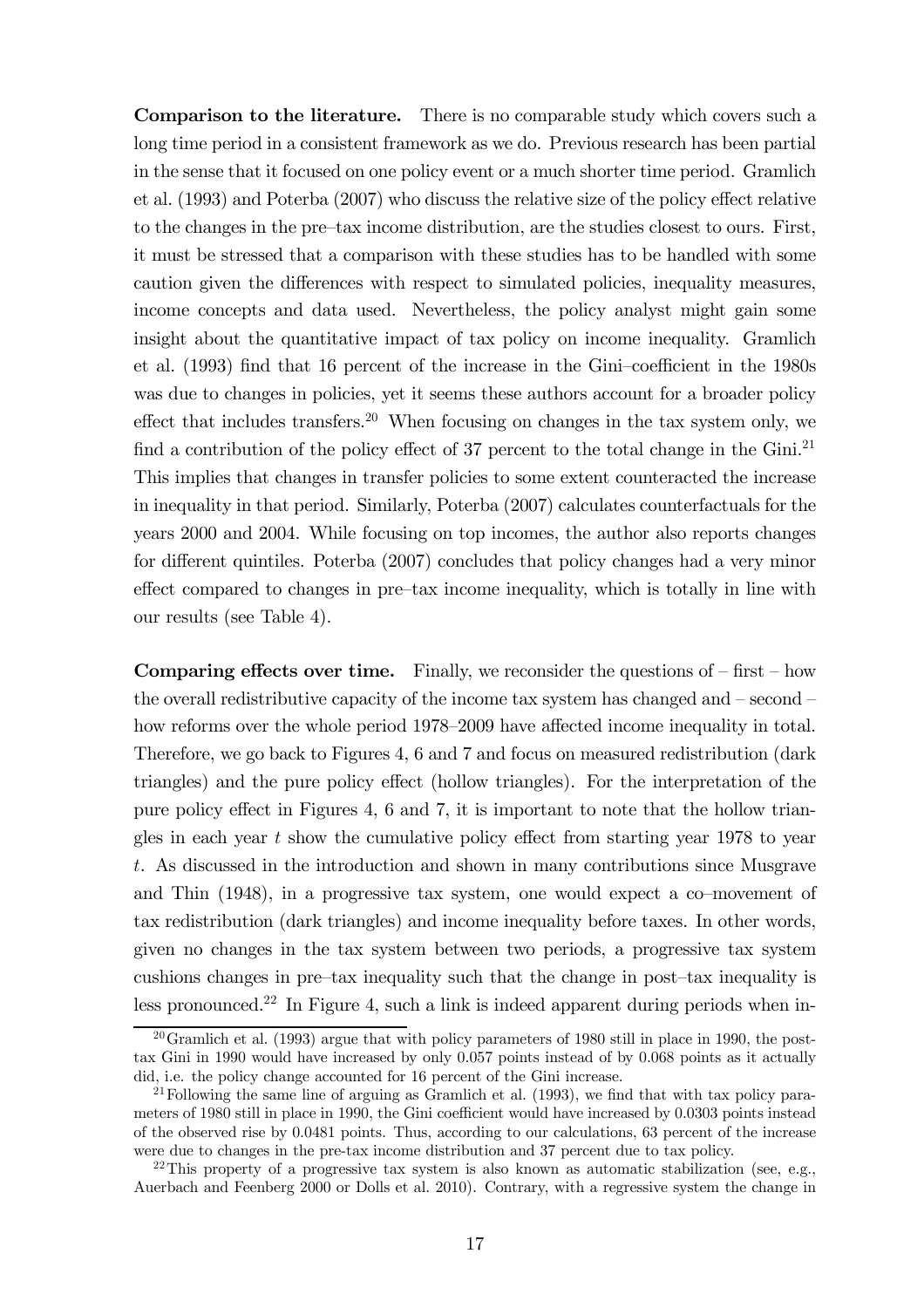Comparison to the literature. There is no comparable study which covers such a long time period in a consistent framework as we do. Previous research has been partial in the sense that it focused on one policy event or a much shorter time period. Gramlich et al. (1993) and Poterba (2007) who discuss the relative size of the policy effect relative to the changes in the pre—tax income distribution, are the studies closest to ours. First, it must be stressed that a comparison with these studies has to be handled with some caution given the differences with respect to simulated policies, inequality measures, income concepts and data used. Nevertheless, the policy analyst might gain some insight about the quantitative impact of tax policy on income inequality. Gramlich et al. (1993) find that 16 percent of the increase in the Gini—coefficient in the 1980s was due to changes in policies, yet it seems these authors account for a broader policy effect that includes transfers.<sup>20</sup> When focusing on changes in the tax system only, we find a contribution of the policy effect of 37 percent to the total change in the  $Gini.<sup>21</sup>$ This implies that changes in transfer policies to some extent counteracted the increase in inequality in that period. Similarly, Poterba (2007) calculates counterfactuals for the years 2000 and 2004. While focusing on top incomes, the author also reports changes for different quintiles. Poterba (2007) concludes that policy changes had a very minor effect compared to changes in pre—tax income inequality, which is totally in line with our results (see Table 4).

**Comparing effects over time.** Finally, we reconsider the questions of  $-\text{first} - \text{how}$ the overall redistributive capacity of the income tax system has changed and — second how reforms over the whole period 1978—2009 have affected income inequality in total. Therefore, we go back to Figures 4, 6 and 7 and focus on measured redistribution (dark triangles) and the pure policy effect (hollow triangles). For the interpretation of the pure policy effect in Figures 4, 6 and 7, it is important to note that the hollow triangles in each year  $t$  show the cumulative policy effect from starting year 1978 to year t. As discussed in the introduction and shown in many contributions since Musgrave and Thin (1948), in a progressive tax system, one would expect a co—movement of tax redistribution (dark triangles) and income inequality before taxes. In other words, given no changes in the tax system between two periods, a progressive tax system cushions changes in pre—tax inequality such that the change in post—tax inequality is less pronounced.<sup>22</sup> In Figure 4, such a link is indeed apparent during periods when in-

 $20$ Gramlich et al. (1993) argue that with policy parameters of 1980 still in place in 1990, the posttax Gini in 1990 would have increased by only 0.057 points instead of by 0.068 points as it actually did, i.e. the policy change accounted for 16 percent of the Gini increase.

<sup>&</sup>lt;sup>21</sup> Following the same line of arguing as Gramlich et al. (1993), we find that with tax policy parameters of 1980 still in place in 1990, the Gini coefficient would have increased by 0.0303 points instead of the observed rise by 0.0481 points. Thus, according to our calculations, 63 percent of the increase were due to changes in the pre-tax income distribution and 37 percent due to tax policy.

<sup>&</sup>lt;sup>22</sup>This property of a progressive tax system is also known as automatic stabilization (see, e.g., Auerbach and Feenberg 2000 or Dolls et al. 2010). Contrary, with a regressive system the change in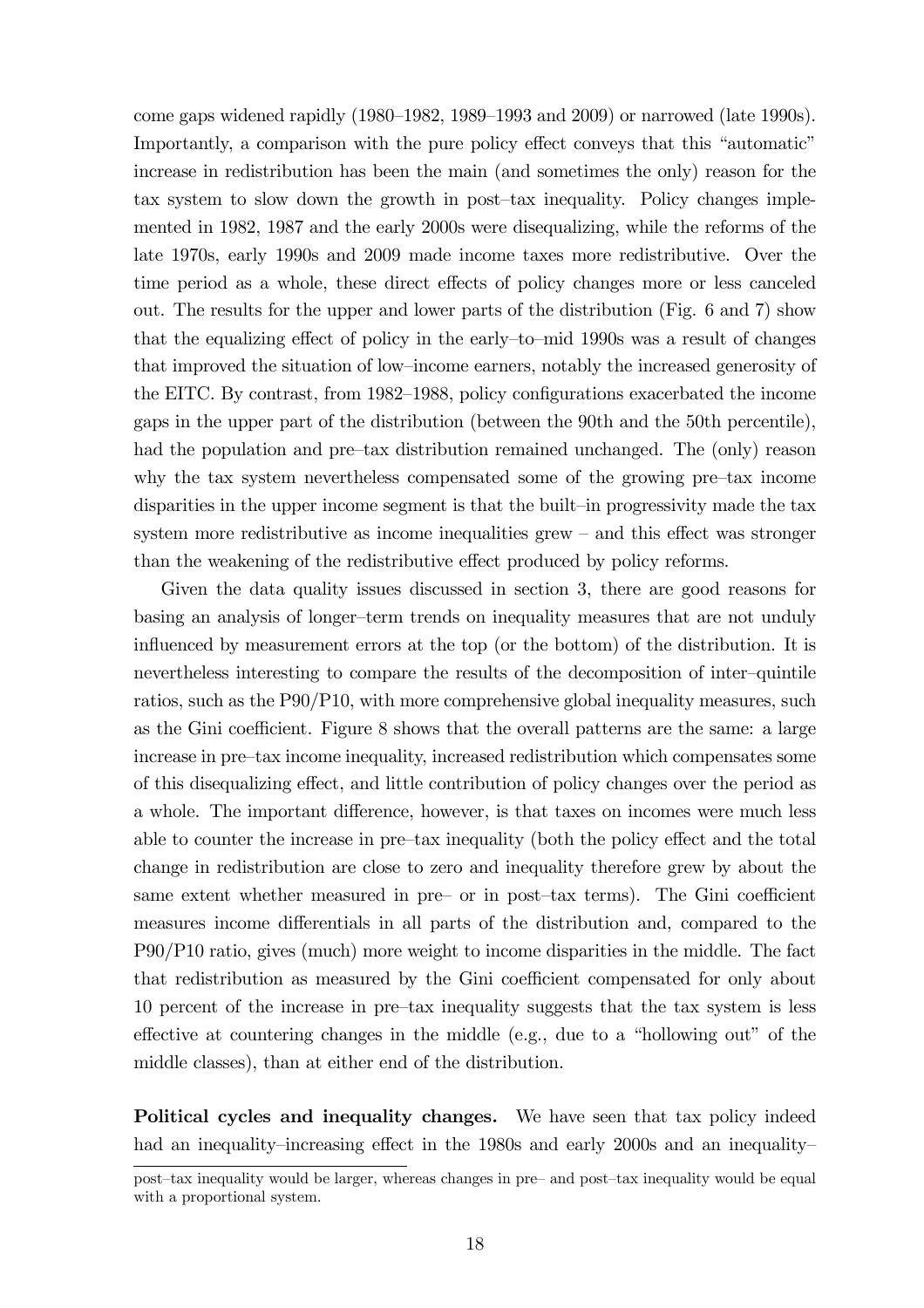come gaps widened rapidly (1980—1982, 1989—1993 and 2009) or narrowed (late 1990s). Importantly, a comparison with the pure policy effect conveys that this "automatic" increase in redistribution has been the main (and sometimes the only) reason for the tax system to slow down the growth in post—tax inequality. Policy changes implemented in 1982, 1987 and the early 2000s were disequalizing, while the reforms of the late 1970s, early 1990s and 2009 made income taxes more redistributive. Over the time period as a whole, these direct effects of policy changes more or less canceled out. The results for the upper and lower parts of the distribution (Fig. 6 and 7) show that the equalizing effect of policy in the early—to—mid 1990s was a result of changes that improved the situation of low—income earners, notably the increased generosity of the EITC. By contrast, from 1982—1988, policy configurations exacerbated the income gaps in the upper part of the distribution (between the 90th and the 50th percentile), had the population and pre-tax distribution remained unchanged. The (only) reason why the tax system nevertheless compensated some of the growing pre—tax income disparities in the upper income segment is that the built—in progressivity made the tax system more redistributive as income inequalities grew — and this effect was stronger than the weakening of the redistributive effect produced by policy reforms.

Given the data quality issues discussed in section 3, there are good reasons for basing an analysis of longer—term trends on inequality measures that are not unduly influenced by measurement errors at the top (or the bottom) of the distribution. It is nevertheless interesting to compare the results of the decomposition of inter—quintile ratios, such as the P90/P10, with more comprehensive global inequality measures, such as the Gini coefficient. Figure 8 shows that the overall patterns are the same: a large increase in pre—tax income inequality, increased redistribution which compensates some of this disequalizing effect, and little contribution of policy changes over the period as a whole. The important difference, however, is that taxes on incomes were much less able to counter the increase in pre—tax inequality (both the policy effect and the total change in redistribution are close to zero and inequality therefore grew by about the same extent whether measured in pre— or in post—tax terms). The Gini coefficient measures income differentials in all parts of the distribution and, compared to the P90/P10 ratio, gives (much) more weight to income disparities in the middle. The fact that redistribution as measured by the Gini coefficient compensated for only about 10 percent of the increase in pre—tax inequality suggests that the tax system is less effective at countering changes in the middle (e.g., due to a "hollowing out" of the middle classes), than at either end of the distribution.

Political cycles and inequality changes. We have seen that tax policy indeed had an inequality–increasing effect in the 1980s and early 2000s and an inequality–

post—tax inequality would be larger, whereas changes in pre— and post—tax inequality would be equal with a proportional system.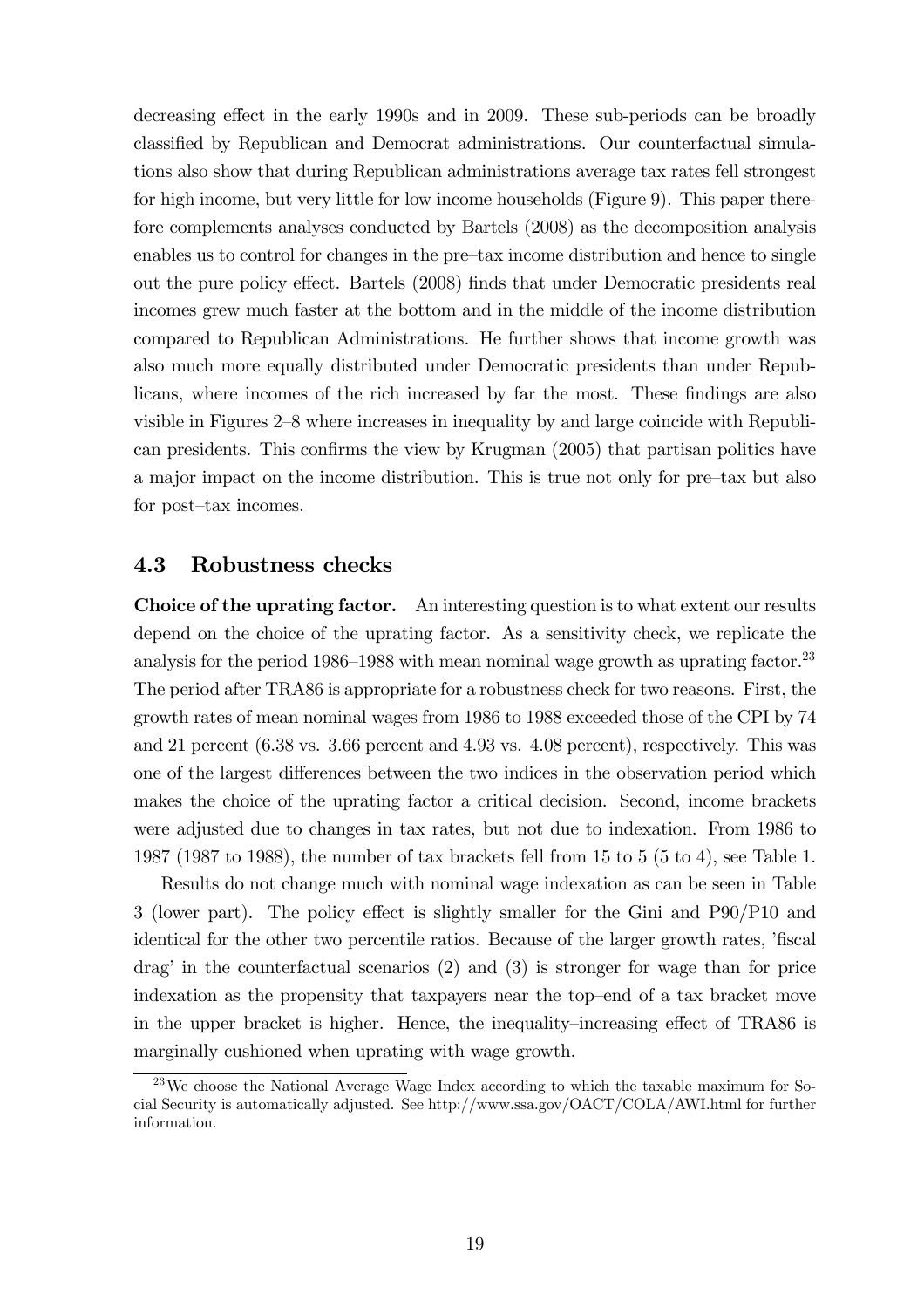decreasing effect in the early 1990s and in 2009. These sub-periods can be broadly classified by Republican and Democrat administrations. Our counterfactual simulations also show that during Republican administrations average tax rates fell strongest for high income, but very little for low income households (Figure 9). This paper therefore complements analyses conducted by Bartels (2008) as the decomposition analysis enables us to control for changes in the pre—tax income distribution and hence to single out the pure policy effect. Bartels (2008) finds that under Democratic presidents real incomes grew much faster at the bottom and in the middle of the income distribution compared to Republican Administrations. He further shows that income growth was also much more equally distributed under Democratic presidents than under Republicans, where incomes of the rich increased by far the most. These findings are also visible in Figures 2—8 where increases in inequality by and large coincide with Republican presidents. This confirms the view by Krugman (2005) that partisan politics have a major impact on the income distribution. This is true not only for pre—tax but also for post—tax incomes.

#### 4.3 Robustness checks

Choice of the uprating factor. An interesting question is to what extent our results depend on the choice of the uprating factor. As a sensitivity check, we replicate the analysis for the period 1986–1988 with mean nominal wage growth as uprating factor.<sup>23</sup> The period after TRA86 is appropriate for a robustness check for two reasons. First, the growth rates of mean nominal wages from 1986 to 1988 exceeded those of the CPI by 74 and 21 percent (6.38 vs. 3.66 percent and 4.93 vs. 4.08 percent), respectively. This was one of the largest differences between the two indices in the observation period which makes the choice of the uprating factor a critical decision. Second, income brackets were adjusted due to changes in tax rates, but not due to indexation. From 1986 to 1987 (1987 to 1988), the number of tax brackets fell from 15 to 5 (5 to 4), see Table 1.

Results do not change much with nominal wage indexation as can be seen in Table 3 (lower part). The policy effect is slightly smaller for the Gini and P90/P10 and identical for the other two percentile ratios. Because of the larger growth rates, 'fiscal drag' in the counterfactual scenarios (2) and (3) is stronger for wage than for price indexation as the propensity that taxpayers near the top—end of a tax bracket move in the upper bracket is higher. Hence, the inequality—increasing effect of TRA86 is marginally cushioned when uprating with wage growth.

 $^{23}$ We choose the National Average Wage Index according to which the taxable maximum for Social Security is automatically adjusted. See http://www.ssa.gov/OACT/COLA/AWI.html for further information.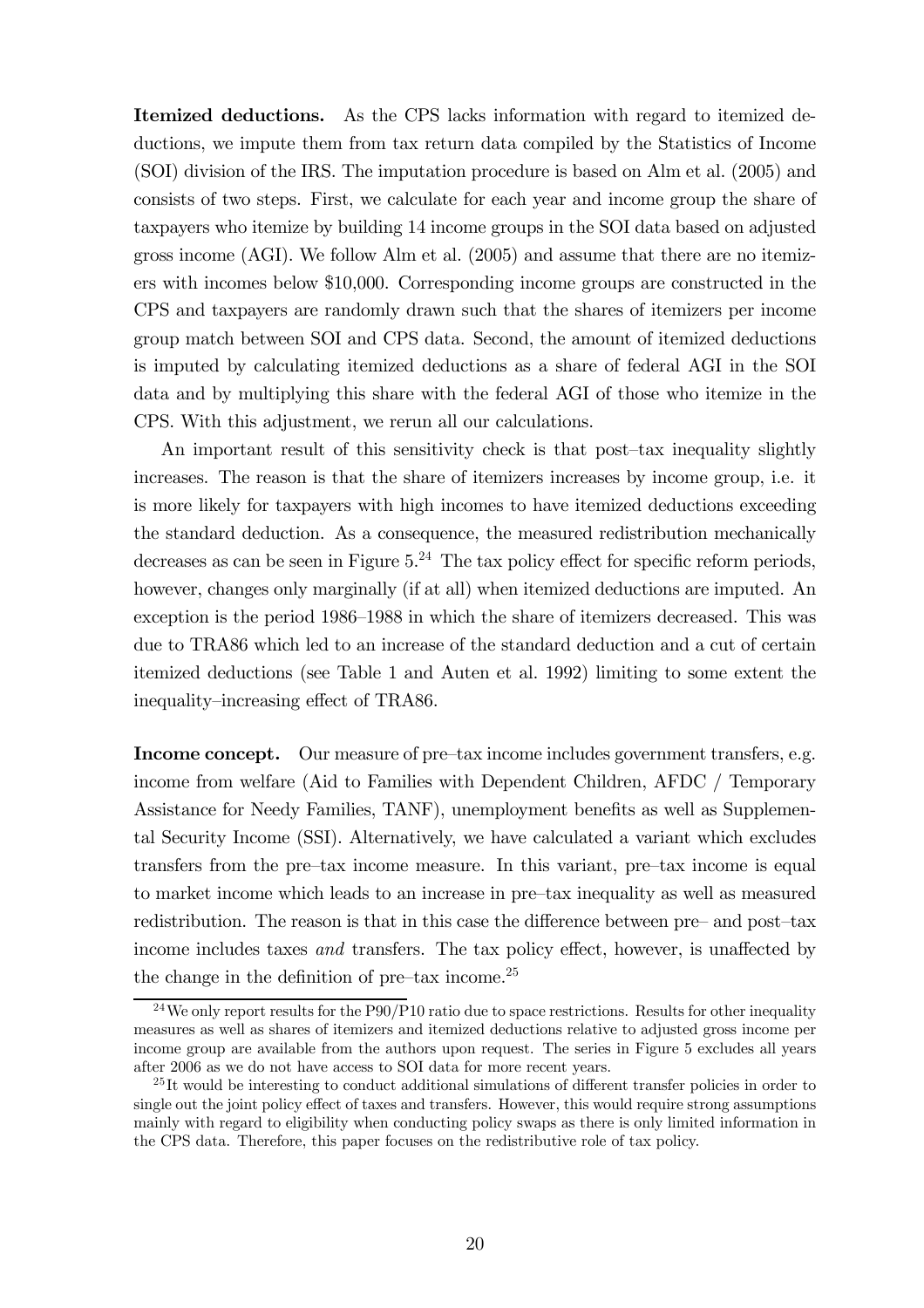Itemized deductions. As the CPS lacks information with regard to itemized deductions, we impute them from tax return data compiled by the Statistics of Income (SOI) division of the IRS. The imputation procedure is based on Alm et al. (2005) and consists of two steps. First, we calculate for each year and income group the share of taxpayers who itemize by building 14 income groups in the SOI data based on adjusted gross income (AGI). We follow Alm et al. (2005) and assume that there are no itemizers with incomes below \$10,000. Corresponding income groups are constructed in the CPS and taxpayers are randomly drawn such that the shares of itemizers per income group match between SOI and CPS data. Second, the amount of itemized deductions is imputed by calculating itemized deductions as a share of federal AGI in the SOI data and by multiplying this share with the federal AGI of those who itemize in the CPS. With this adjustment, we rerun all our calculations.

An important result of this sensitivity check is that post—tax inequality slightly increases. The reason is that the share of itemizers increases by income group, i.e. it is more likely for taxpayers with high incomes to have itemized deductions exceeding the standard deduction. As a consequence, the measured redistribution mechanically decreases as can be seen in Figure  $5.^{24}$ . The tax policy effect for specific reform periods, however, changes only marginally (if at all) when itemized deductions are imputed. An exception is the period 1986—1988 in which the share of itemizers decreased. This was due to TRA86 which led to an increase of the standard deduction and a cut of certain itemized deductions (see Table 1 and Auten et al. 1992) limiting to some extent the inequality—increasing effect of TRA86.

Income concept. Our measure of pre-tax income includes government transfers, e.g. income from welfare (Aid to Families with Dependent Children, AFDC / Temporary Assistance for Needy Families, TANF), unemployment benefits as well as Supplemental Security Income (SSI). Alternatively, we have calculated a variant which excludes transfers from the pre—tax income measure. In this variant, pre—tax income is equal to market income which leads to an increase in pre—tax inequality as well as measured redistribution. The reason is that in this case the difference between pre— and post—tax income includes taxes and transfers. The tax policy effect, however, is unaffected by the change in the definition of pre-tax income.<sup>25</sup>

 $24$ We only report results for the P90/P10 ratio due to space restrictions. Results for other inequality measures as well as shares of itemizers and itemized deductions relative to adjusted gross income per income group are available from the authors upon request. The series in Figure 5 excludes all years after 2006 as we do not have access to SOI data for more recent years.

 $^{25}$ It would be interesting to conduct additional simulations of different transfer policies in order to single out the joint policy effect of taxes and transfers. However, this would require strong assumptions mainly with regard to eligibility when conducting policy swaps as there is only limited information in the CPS data. Therefore, this paper focuses on the redistributive role of tax policy.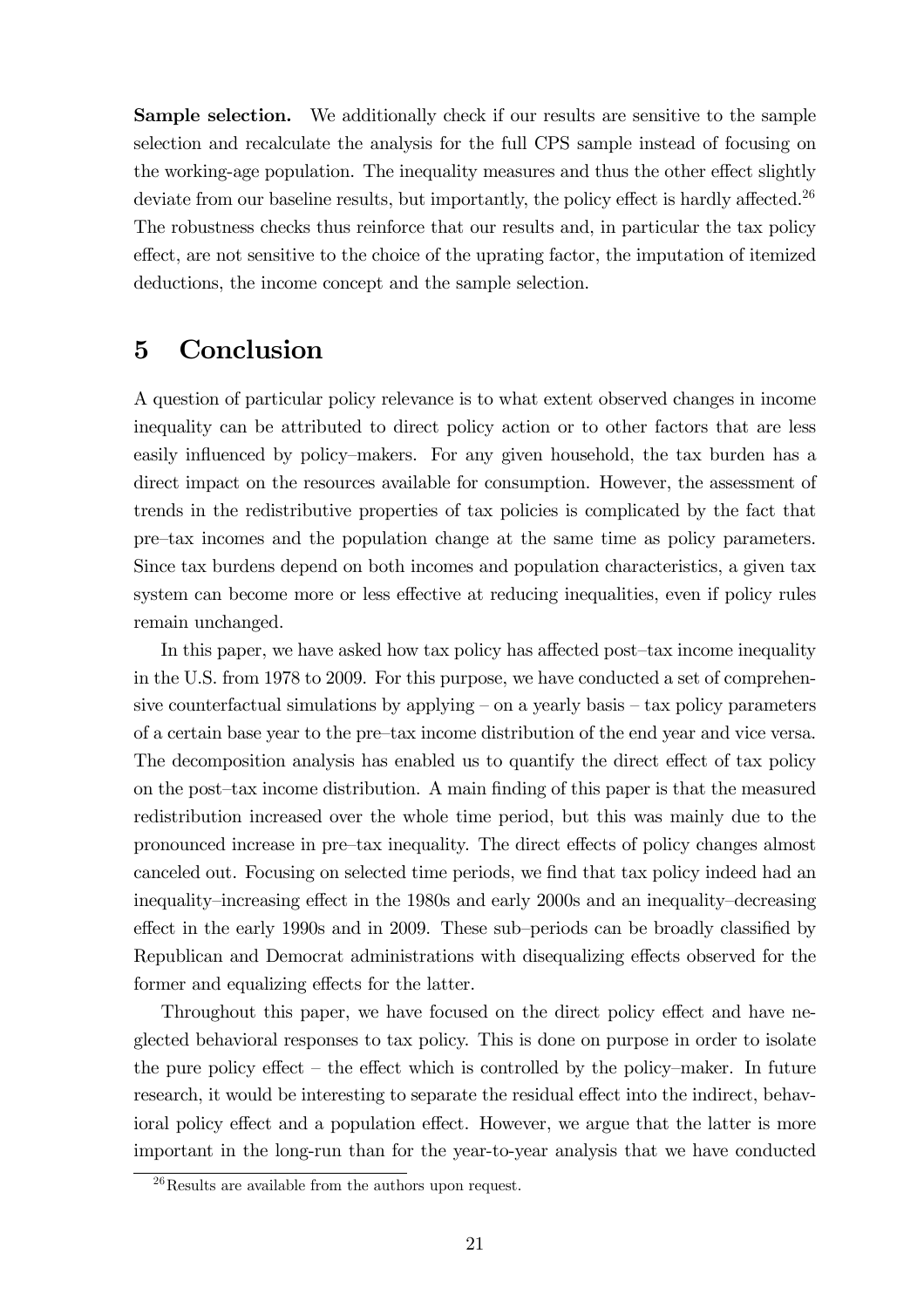Sample selection. We additionally check if our results are sensitive to the sample selection and recalculate the analysis for the full CPS sample instead of focusing on the working-age population. The inequality measures and thus the other effect slightly deviate from our baseline results, but importantly, the policy effect is hardly affected.<sup>26</sup> The robustness checks thus reinforce that our results and, in particular the tax policy effect, are not sensitive to the choice of the uprating factor, the imputation of itemized deductions, the income concept and the sample selection.

#### 5 Conclusion

A question of particular policy relevance is to what extent observed changes in income inequality can be attributed to direct policy action or to other factors that are less easily influenced by policy—makers. For any given household, the tax burden has a direct impact on the resources available for consumption. However, the assessment of trends in the redistributive properties of tax policies is complicated by the fact that pre—tax incomes and the population change at the same time as policy parameters. Since tax burdens depend on both incomes and population characteristics, a given tax system can become more or less effective at reducing inequalities, even if policy rules remain unchanged.

In this paper, we have asked how tax policy has affected post—tax income inequality in the U.S. from 1978 to 2009. For this purpose, we have conducted a set of comprehensive counterfactual simulations by applying  $-$  on a yearly basis  $-$  tax policy parameters of a certain base year to the pre—tax income distribution of the end year and vice versa. The decomposition analysis has enabled us to quantify the direct effect of tax policy on the post—tax income distribution. A main finding of this paper is that the measured redistribution increased over the whole time period, but this was mainly due to the pronounced increase in pre—tax inequality. The direct effects of policy changes almost canceled out. Focusing on selected time periods, we find that tax policy indeed had an inequality—increasing effect in the 1980s and early 2000s and an inequality—decreasing effect in the early 1990s and in 2009. These sub—periods can be broadly classified by Republican and Democrat administrations with disequalizing effects observed for the former and equalizing effects for the latter.

Throughout this paper, we have focused on the direct policy effect and have neglected behavioral responses to tax policy. This is done on purpose in order to isolate the pure policy effect — the effect which is controlled by the policy—maker. In future research, it would be interesting to separate the residual effect into the indirect, behavioral policy effect and a population effect. However, we argue that the latter is more important in the long-run than for the year-to-year analysis that we have conducted

<sup>26</sup>Results are available from the authors upon request.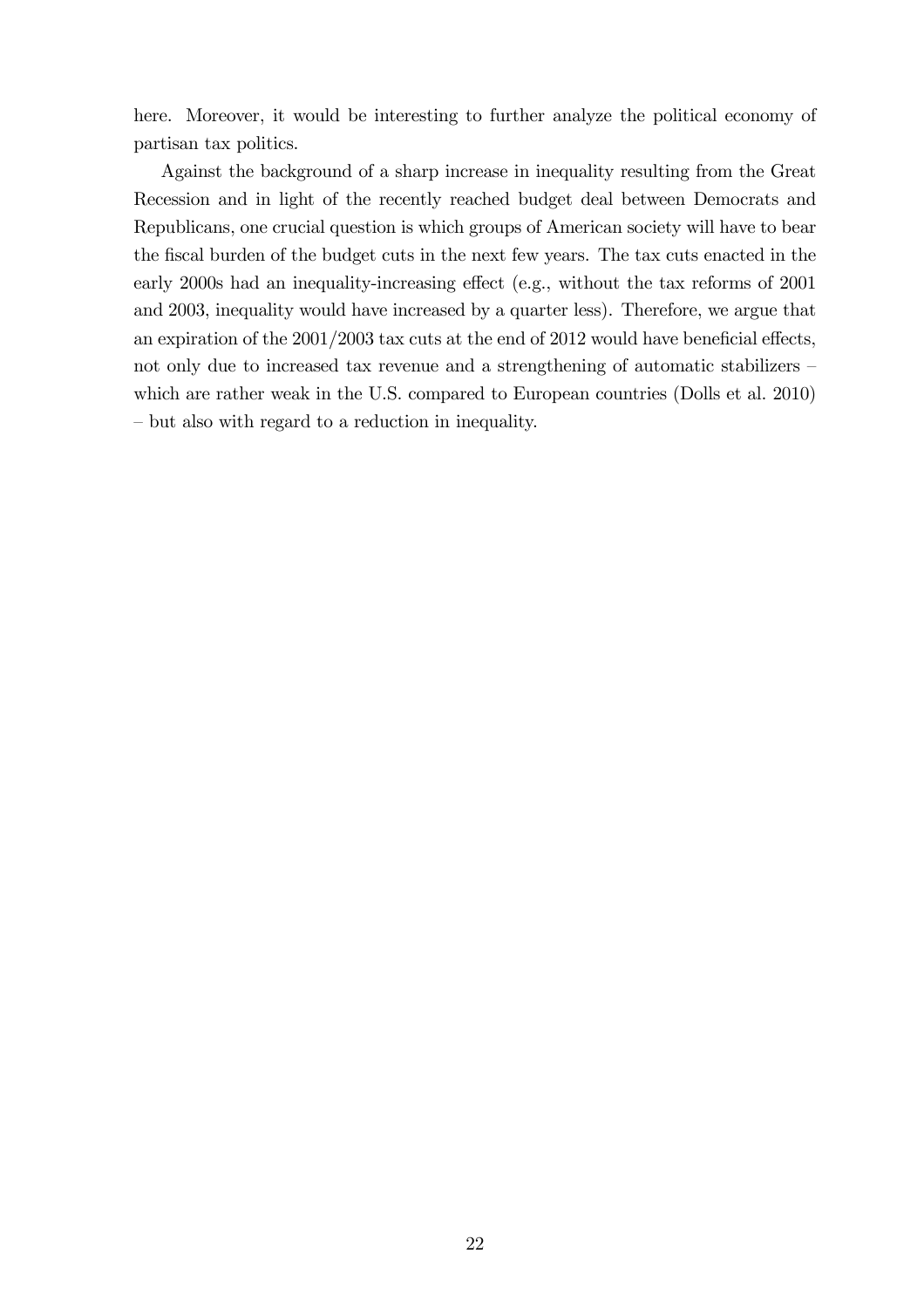here. Moreover, it would be interesting to further analyze the political economy of partisan tax politics.

Against the background of a sharp increase in inequality resulting from the Great Recession and in light of the recently reached budget deal between Democrats and Republicans, one crucial question is which groups of American society will have to bear the fiscal burden of the budget cuts in the next few years. The tax cuts enacted in the early 2000s had an inequality-increasing effect (e.g., without the tax reforms of 2001 and 2003, inequality would have increased by a quarter less). Therefore, we argue that an expiration of the 2001/2003 tax cuts at the end of 2012 would have beneficial effects, not only due to increased tax revenue and a strengthening of automatic stabilizers which are rather weak in the U.S. compared to European countries (Dolls et al. 2010) — but also with regard to a reduction in inequality.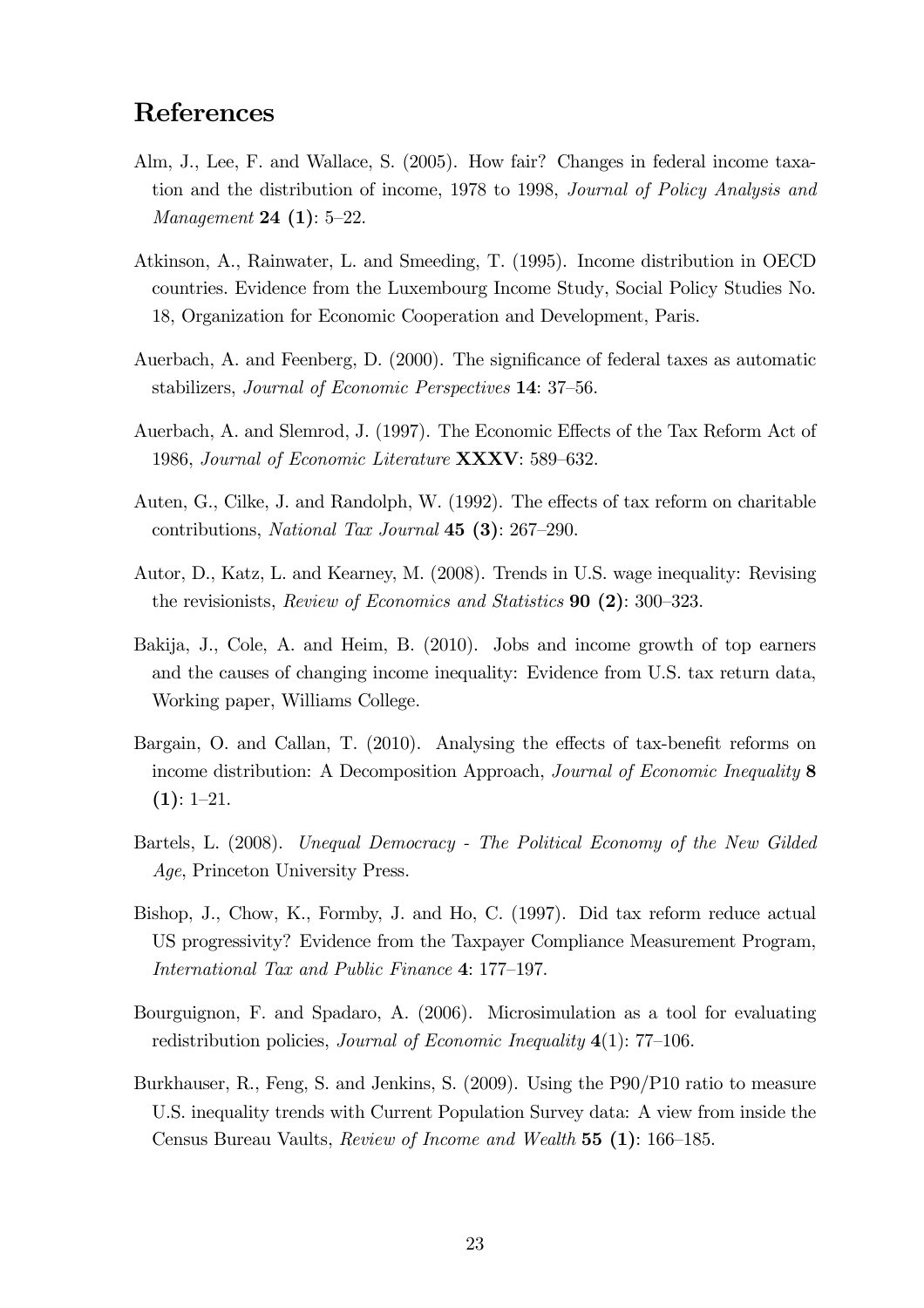## References

- Alm, J., Lee, F. and Wallace, S. (2005). How fair? Changes in federal income taxation and the distribution of income, 1978 to 1998, Journal of Policy Analysis and Management 24 (1): 5—22.
- Atkinson, A., Rainwater, L. and Smeeding, T. (1995). Income distribution in OECD countries. Evidence from the Luxembourg Income Study, Social Policy Studies No. 18, Organization for Economic Cooperation and Development, Paris.
- Auerbach, A. and Feenberg, D. (2000). The significance of federal taxes as automatic stabilizers, Journal of Economic Perspectives 14: 37—56.
- Auerbach, A. and Slemrod, J. (1997). The Economic Effects of the Tax Reform Act of 1986, Journal of Economic Literature XXXV: 589—632.
- Auten, G., Cilke, J. and Randolph, W. (1992). The effects of tax reform on charitable contributions, National Tax Journal 45 (3): 267—290.
- Autor, D., Katz, L. and Kearney, M. (2008). Trends in U.S. wage inequality: Revising the revisionists, Review of Economics and Statistics 90 (2): 300—323.
- Bakija, J., Cole, A. and Heim, B. (2010). Jobs and income growth of top earners and the causes of changing income inequality: Evidence from U.S. tax return data, Working paper, Williams College.
- Bargain, O. and Callan, T. (2010). Analysing the effects of tax-benefit reforms on income distribution: A Decomposition Approach, Journal of Economic Inequality 8  $(1): 1-21.$
- Bartels, L. (2008). Unequal Democracy The Political Economy of the New Gilded Age, Princeton University Press.
- Bishop, J., Chow, K., Formby, J. and Ho, C. (1997). Did tax reform reduce actual US progressivity? Evidence from the Taxpayer Compliance Measurement Program, International Tax and Public Finance 4: 177—197.
- Bourguignon, F. and Spadaro, A. (2006). Microsimulation as a tool for evaluating redistribution policies, *Journal of Economic Inequality*  $4(1)$ : 77–106.
- Burkhauser, R., Feng, S. and Jenkins, S. (2009). Using the P90/P10 ratio to measure U.S. inequality trends with Current Population Survey data: A view from inside the Census Bureau Vaults, Review of Income and Wealth 55 (1): 166—185.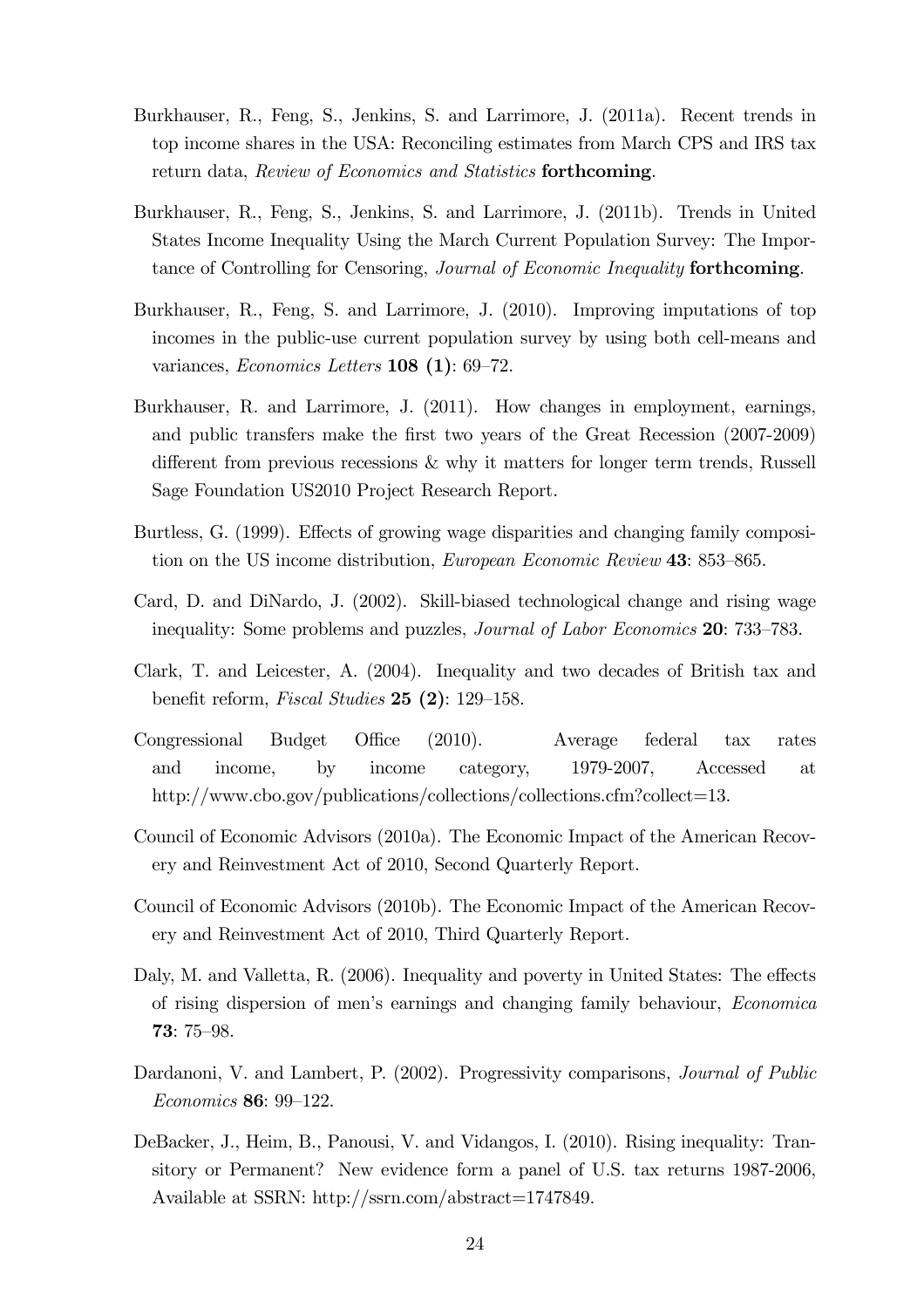- Burkhauser, R., Feng, S., Jenkins, S. and Larrimore, J. (2011a). Recent trends in top income shares in the USA: Reconciling estimates from March CPS and IRS tax return data, Review of Economics and Statistics forthcoming.
- Burkhauser, R., Feng, S., Jenkins, S. and Larrimore, J. (2011b). Trends in United States Income Inequality Using the March Current Population Survey: The Importance of Controlling for Censoring, Journal of Economic Inequality forthcoming.
- Burkhauser, R., Feng, S. and Larrimore, J. (2010). Improving imputations of top incomes in the public-use current population survey by using both cell-means and variances, Economics Letters 108 (1): 69—72.
- Burkhauser, R. and Larrimore, J. (2011). How changes in employment, earnings, and public transfers make the first two years of the Great Recession (2007-2009) different from previous recessions & why it matters for longer term trends, Russell Sage Foundation US2010 Project Research Report.
- Burtless, G. (1999). Effects of growing wage disparities and changing family composition on the US income distribution, European Economic Review 43: 853—865.
- Card, D. and DiNardo, J. (2002). Skill-biased technological change and rising wage inequality: Some problems and puzzles, Journal of Labor Economics 20: 733—783.
- Clark, T. and Leicester, A. (2004). Inequality and two decades of British tax and benefit reform, Fiscal Studies 25 (2): 129—158.
- Congressional Budget Office (2010). Average federal tax rates and income, by income category, 1979-2007, Accessed at http://www.cbo.gov/publications/collections/collections.cfm?collect=13.
- Council of Economic Advisors (2010a). The Economic Impact of the American Recovery and Reinvestment Act of 2010, Second Quarterly Report.
- Council of Economic Advisors (2010b). The Economic Impact of the American Recovery and Reinvestment Act of 2010, Third Quarterly Report.
- Daly, M. and Valletta, R. (2006). Inequality and poverty in United States: The effects of rising dispersion of men's earnings and changing family behaviour, Economica 73: 75—98.
- Dardanoni, V. and Lambert, P. (2002). Progressivity comparisons, Journal of Public Economics 86: 99—122.
- DeBacker, J., Heim, B., Panousi, V. and Vidangos, I. (2010). Rising inequality: Transitory or Permanent? New evidence form a panel of U.S. tax returns 1987-2006, Available at SSRN: http://ssrn.com/abstract=1747849.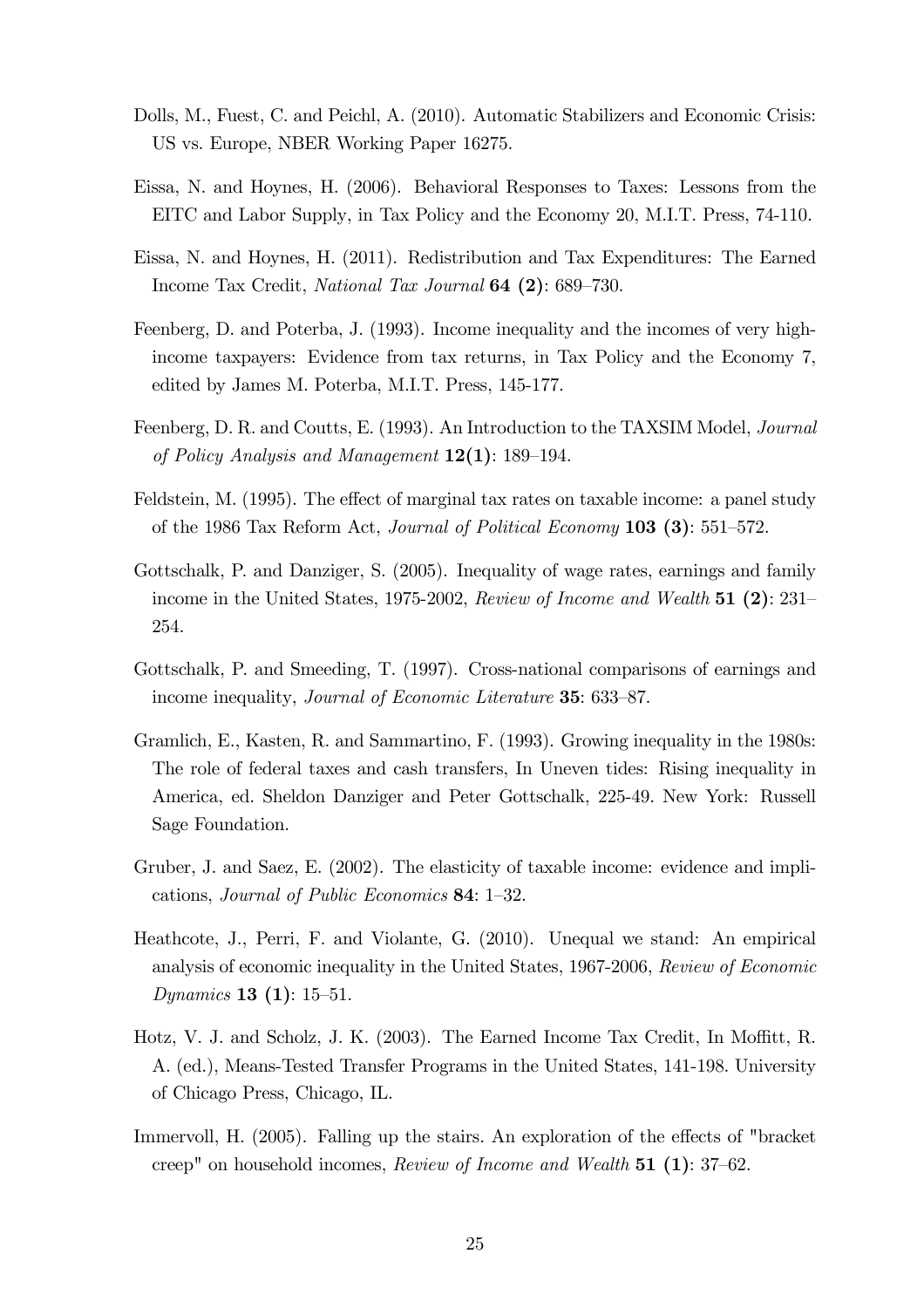- Dolls, M., Fuest, C. and Peichl, A. (2010). Automatic Stabilizers and Economic Crisis: US vs. Europe, NBER Working Paper 16275.
- Eissa, N. and Hoynes, H. (2006). Behavioral Responses to Taxes: Lessons from the EITC and Labor Supply, in Tax Policy and the Economy 20, M.I.T. Press, 74-110.
- Eissa, N. and Hoynes, H. (2011). Redistribution and Tax Expenditures: The Earned Income Tax Credit, National Tax Journal 64 (2): 689—730.
- Feenberg, D. and Poterba, J. (1993). Income inequality and the incomes of very highincome taxpayers: Evidence from tax returns, in Tax Policy and the Economy 7, edited by James M. Poterba, M.I.T. Press, 145-177.
- Feenberg, D. R. and Coutts, E. (1993). An Introduction to the TAXSIM Model, Journal of Policy Analysis and Management  $12(1)$ : 189–194.
- Feldstein, M. (1995). The effect of marginal tax rates on taxable income: a panel study of the 1986 Tax Reform Act, Journal of Political Economy 103 (3): 551—572.
- Gottschalk, P. and Danziger, S. (2005). Inequality of wage rates, earnings and family income in the United States, 1975-2002, Review of Income and Wealth 51 (2): 231— 254.
- Gottschalk, P. and Smeeding, T. (1997). Cross-national comparisons of earnings and income inequality, *Journal of Economic Literature* **35**: 633–87.
- Gramlich, E., Kasten, R. and Sammartino, F. (1993). Growing inequality in the 1980s: The role of federal taxes and cash transfers, In Uneven tides: Rising inequality in America, ed. Sheldon Danziger and Peter Gottschalk, 225-49. New York: Russell Sage Foundation.
- Gruber, J. and Saez, E. (2002). The elasticity of taxable income: evidence and implications, Journal of Public Economics 84: 1—32.
- Heathcote, J., Perri, F. and Violante, G. (2010). Unequal we stand: An empirical analysis of economic inequality in the United States, 1967-2006, Review of Economic Dynamics 13 (1): 15—51.
- Hotz, V. J. and Scholz, J. K. (2003). The Earned Income Tax Credit, In Moffitt, R. A. (ed.), Means-Tested Transfer Programs in the United States, 141-198. University of Chicago Press, Chicago, IL.
- Immervoll, H. (2005). Falling up the stairs. An exploration of the effects of "bracket creep" on household incomes, Review of Income and Wealth 51 (1): 37—62.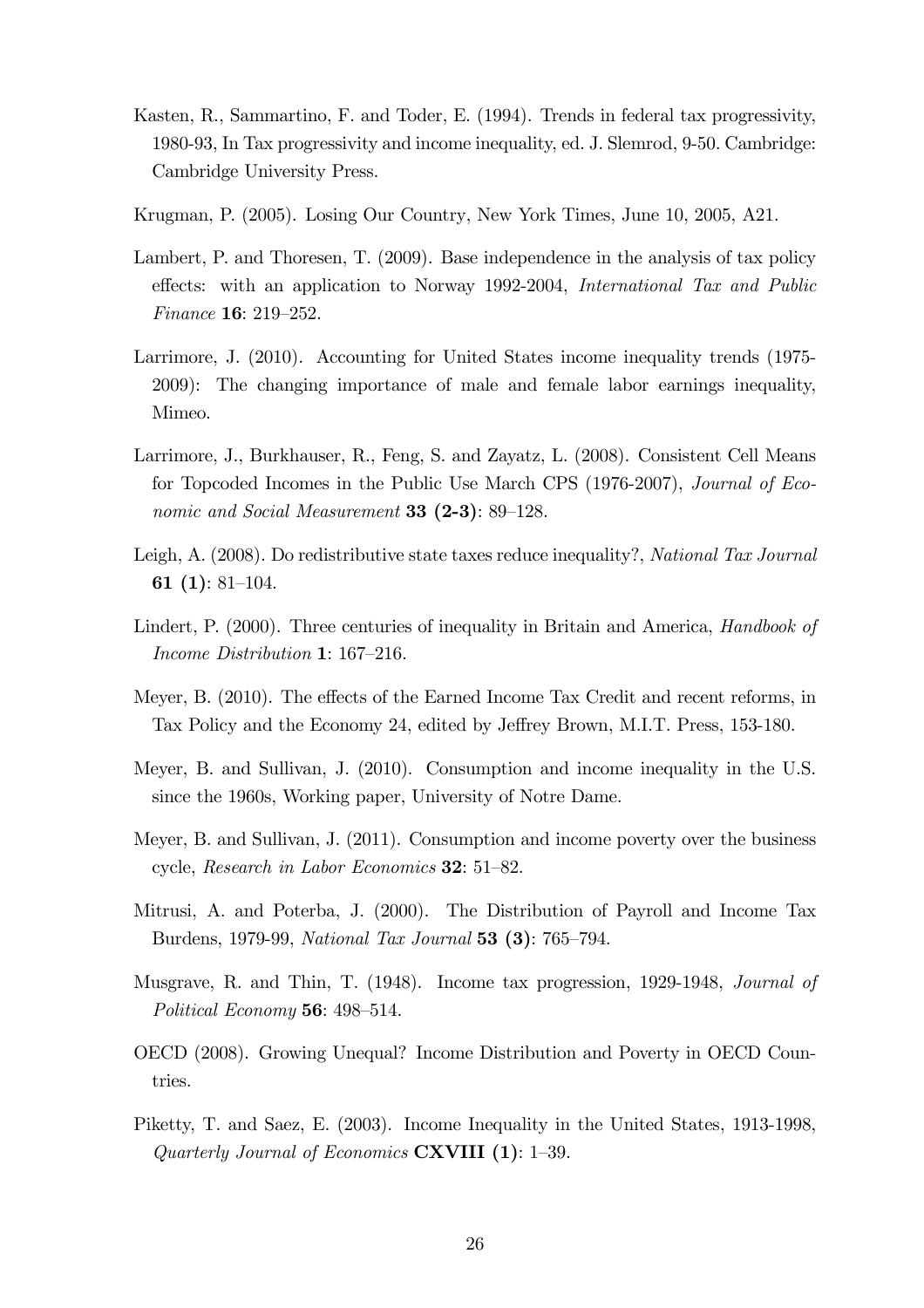- Kasten, R., Sammartino, F. and Toder, E. (1994). Trends in federal tax progressivity, 1980-93, In Tax progressivity and income inequality, ed. J. Slemrod, 9-50. Cambridge: Cambridge University Press.
- Krugman, P. (2005). Losing Our Country, New York Times, June 10, 2005, A21.
- Lambert, P. and Thoresen, T. (2009). Base independence in the analysis of tax policy effects: with an application to Norway 1992-2004, International Tax and Public Finance 16: 219—252.
- Larrimore, J. (2010). Accounting for United States income inequality trends (1975- 2009): The changing importance of male and female labor earnings inequality, Mimeo.
- Larrimore, J., Burkhauser, R., Feng, S. and Zayatz, L. (2008). Consistent Cell Means for Topcoded Incomes in the Public Use March CPS (1976-2007), Journal of Economic and Social Measurement **33 (2-3)**: 89–128.
- Leigh, A. (2008). Do redistributive state taxes reduce inequality?, National Tax Journal 61 (1): 81—104.
- Lindert, P. (2000). Three centuries of inequality in Britain and America, Handbook of Income Distribution 1: 167—216.
- Meyer, B. (2010). The effects of the Earned Income Tax Credit and recent reforms, in Tax Policy and the Economy 24, edited by Jeffrey Brown, M.I.T. Press, 153-180.
- Meyer, B. and Sullivan, J. (2010). Consumption and income inequality in the U.S. since the 1960s, Working paper, University of Notre Dame.
- Meyer, B. and Sullivan, J. (2011). Consumption and income poverty over the business cycle, Research in Labor Economics 32: 51—82.
- Mitrusi, A. and Poterba, J. (2000). The Distribution of Payroll and Income Tax Burdens, 1979-99, National Tax Journal 53 (3): 765—794.
- Musgrave, R. and Thin, T. (1948). Income tax progression, 1929-1948, Journal of Political Economy 56: 498—514.
- OECD (2008). Growing Unequal? Income Distribution and Poverty in OECD Countries.
- Piketty, T. and Saez, E. (2003). Income Inequality in the United States, 1913-1998, Quarterly Journal of Economics CXVIII (1): 1—39.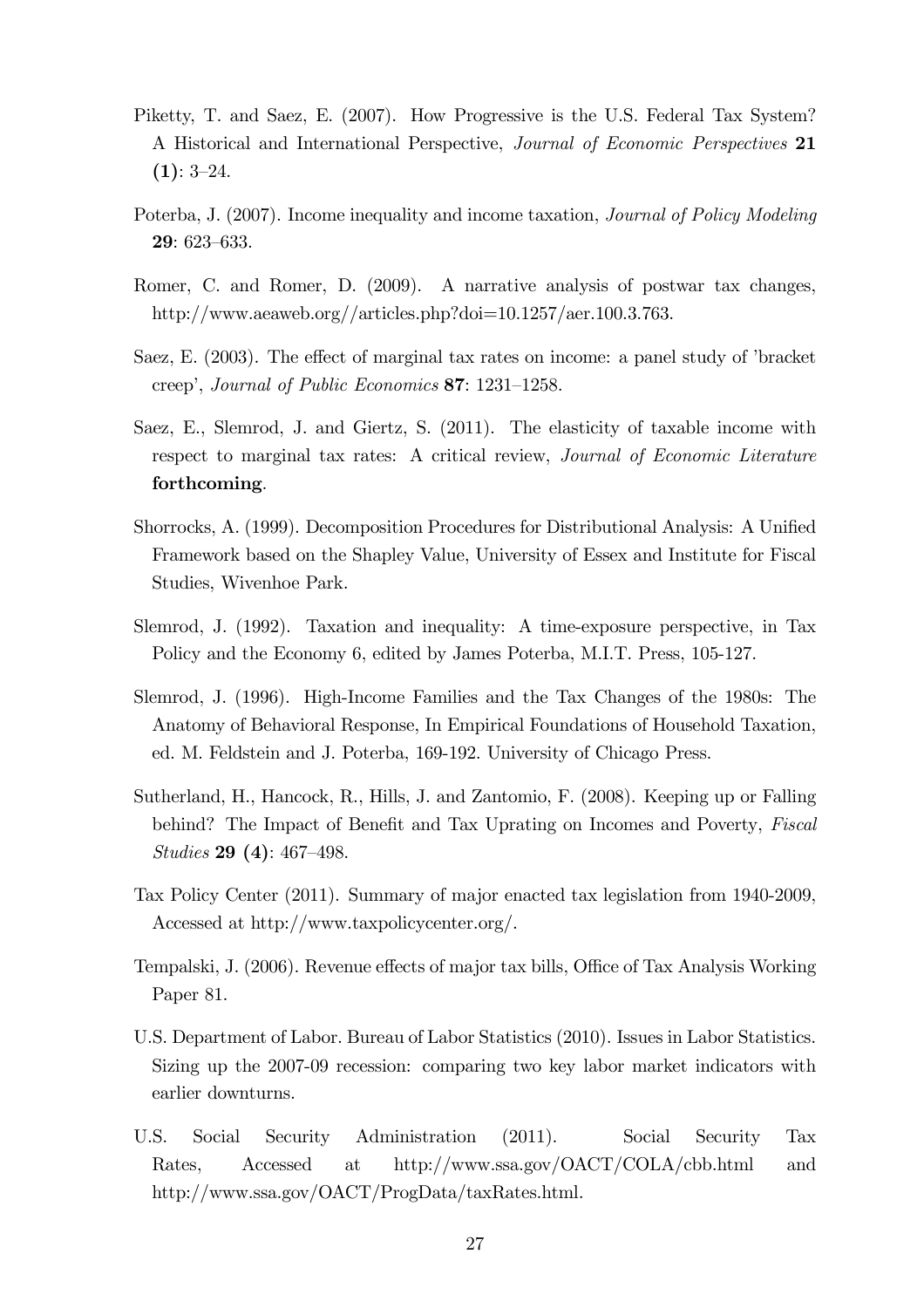- Piketty, T. and Saez, E. (2007). How Progressive is the U.S. Federal Tax System? A Historical and International Perspective, Journal of Economic Perspectives 21  $(1): 3-24.$
- Poterba, J. (2007). Income inequality and income taxation, Journal of Policy Modeling 29: 623—633.
- Romer, C. and Romer, D. (2009). A narrative analysis of postwar tax changes, http://www.aeaweb.org//articles.php?doi=10.1257/aer.100.3.763.
- Saez, E. (2003). The effect of marginal tax rates on income: a panel study of 'bracket creep', Journal of Public Economics 87: 1231—1258.
- Saez, E., Slemrod, J. and Giertz, S. (2011). The elasticity of taxable income with respect to marginal tax rates: A critical review, Journal of Economic Literature forthcoming.
- Shorrocks, A. (1999). Decomposition Procedures for Distributional Analysis: A Unified Framework based on the Shapley Value, University of Essex and Institute for Fiscal Studies, Wivenhoe Park.
- Slemrod, J. (1992). Taxation and inequality: A time-exposure perspective, in Tax Policy and the Economy 6, edited by James Poterba, M.I.T. Press, 105-127.
- Slemrod, J. (1996). High-Income Families and the Tax Changes of the 1980s: The Anatomy of Behavioral Response, In Empirical Foundations of Household Taxation, ed. M. Feldstein and J. Poterba, 169-192. University of Chicago Press.
- Sutherland, H., Hancock, R., Hills, J. and Zantomio, F. (2008). Keeping up or Falling behind? The Impact of Benefit and Tax Uprating on Incomes and Poverty, Fiscal Studies 29 (4): 467—498.
- Tax Policy Center (2011). Summary of major enacted tax legislation from 1940-2009, Accessed at http://www.taxpolicycenter.org/.
- Tempalski, J. (2006). Revenue effects of major tax bills, Office of Tax Analysis Working Paper 81.
- U.S. Department of Labor. Bureau of Labor Statistics (2010). Issues in Labor Statistics. Sizing up the 2007-09 recession: comparing two key labor market indicators with earlier downturns.
- U.S. Social Security Administration (2011). Social Security Tax Rates, Accessed at http://www.ssa.gov/OACT/COLA/cbb.html and http://www.ssa.gov/OACT/ProgData/taxRates.html.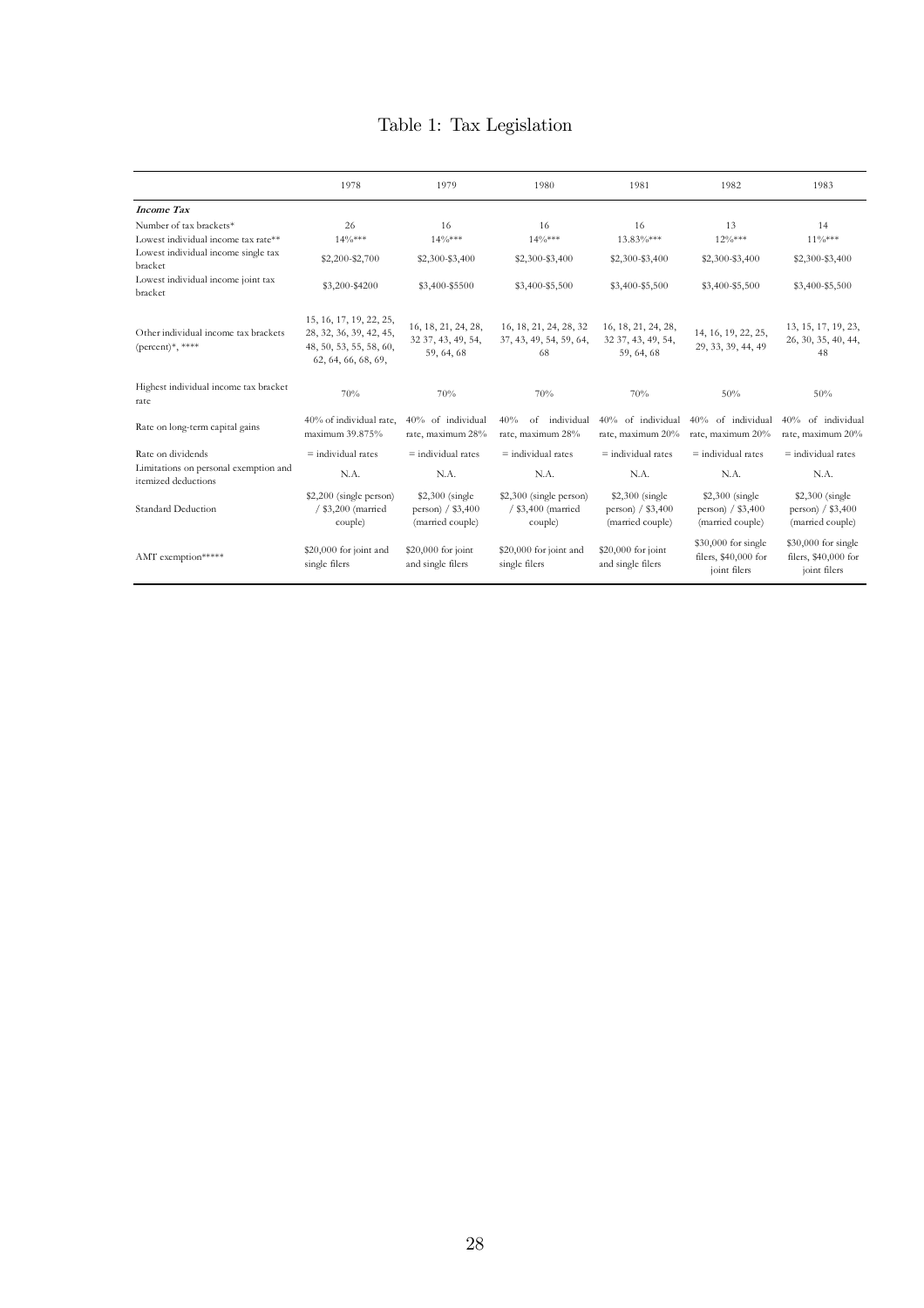#### Table 1: Tax Legislation

|                                                                | 1978                                                                                                 | 1979                                                      | 1980                                                     | 1981                                                      | 1982                                                        | 1983                                                         |  |
|----------------------------------------------------------------|------------------------------------------------------------------------------------------------------|-----------------------------------------------------------|----------------------------------------------------------|-----------------------------------------------------------|-------------------------------------------------------------|--------------------------------------------------------------|--|
| <b>Income Tax</b>                                              |                                                                                                      |                                                           |                                                          |                                                           |                                                             |                                                              |  |
| Number of tax brackets*<br>Lowest individual income tax rate** | 26<br>$14\frac{0}{8}$ ***                                                                            | 16<br>$14\frac{0}{8}$ ***                                 | 16<br>$14\frac{0}{8}$ ***                                | 16<br>$13.83\%***$                                        | 13<br>$12\%***$                                             | 14<br>$11\frac{0}{8}$ ***                                    |  |
| Lowest individual income single tax<br>bracket                 | \$2,200-\$2,700                                                                                      | \$2,300-\$3,400                                           | \$2,300-\$3,400                                          | \$2,300-\$3,400                                           | \$2,300-\$3,400                                             | \$2,300-\$3,400                                              |  |
| Lowest individual income joint tax<br>bracket                  | \$3,200-\$4200                                                                                       | \$3,400-\$5500                                            | \$3,400-\$5,500                                          | \$3,400-\$5,500                                           | \$3,400-\$5,500                                             | \$3,400-\$5,500                                              |  |
| Other individual income tax brackets<br>(percent)*, ****       | 15, 16, 17, 19, 22, 25,<br>28, 32, 36, 39, 42, 45,<br>48, 50, 53, 55, 58, 60,<br>62, 64, 66, 68, 69, | 16, 18, 21, 24, 28,<br>32 37, 43, 49, 54,<br>59, 64, 68   | 16, 18, 21, 24, 28, 32<br>37, 43, 49, 54, 59, 64,<br>68  | 16, 18, 21, 24, 28,<br>32 37, 43, 49, 54,<br>59.64.68     | 14, 16, 19, 22, 25,<br>29, 33, 39, 44, 49                   | 13, 15, 17, 19, 23,<br>26, 30, 35, 40, 44,<br>48             |  |
| Highest individual income tax bracket<br>rate                  | 70%                                                                                                  | 70%                                                       | 70%                                                      | 70%                                                       | 50%                                                         | 50%                                                          |  |
| Rate on long-term capital gains                                | 40% of individual rate.<br>maximum 39.875%                                                           | 40% of individual<br>rate, maximum 28%                    | 40%<br>$\alpha$ f<br>individual<br>rate, maximum 28%     | 40% of individual<br>rate, maximum 20%                    | 40% of individual<br>rate, maximum 20%                      | 40% of individual<br>rate, maximum 20%                       |  |
| Rate on dividends                                              | $=$ individual rates                                                                                 | $=$ individual rates                                      | $=$ individual rates                                     | $=$ individual rates                                      | $=$ individual rates                                        | $=$ individual rates                                         |  |
| Limitations on personal exemption and<br>itemized deductions   | N.A.                                                                                                 | N.A.                                                      | N.A.                                                     | N.A.                                                      | N.A.                                                        | N.A.                                                         |  |
| Standard Deduction                                             | \$2,200 (single person)<br>/ \$3,200 (married<br>couple)                                             | \$2,300 (single<br>person $/$ \$3,400<br>(married couple) | \$2,300 (single person)<br>/ \$3,400 (married<br>couple) | \$2,300 (single<br>person $/$ \$3,400<br>(married couple) | \$2,300 (single<br>person $/$ \$3,400<br>(married couple)   | \$2,300 (single<br>person $/$ \$3,400<br>(married couple)    |  |
| AMT exemption*****                                             | \$20,000 for joint and<br>single filers                                                              | \$20,000 for joint<br>and single filers                   | \$20,000 for joint and<br>single filers                  | \$20,000 for joint<br>and single filers                   | \$30,000 for single<br>filers, \$40,000 for<br>joint filers | $$30,000$ for single<br>filers, \$40,000 for<br>joint filers |  |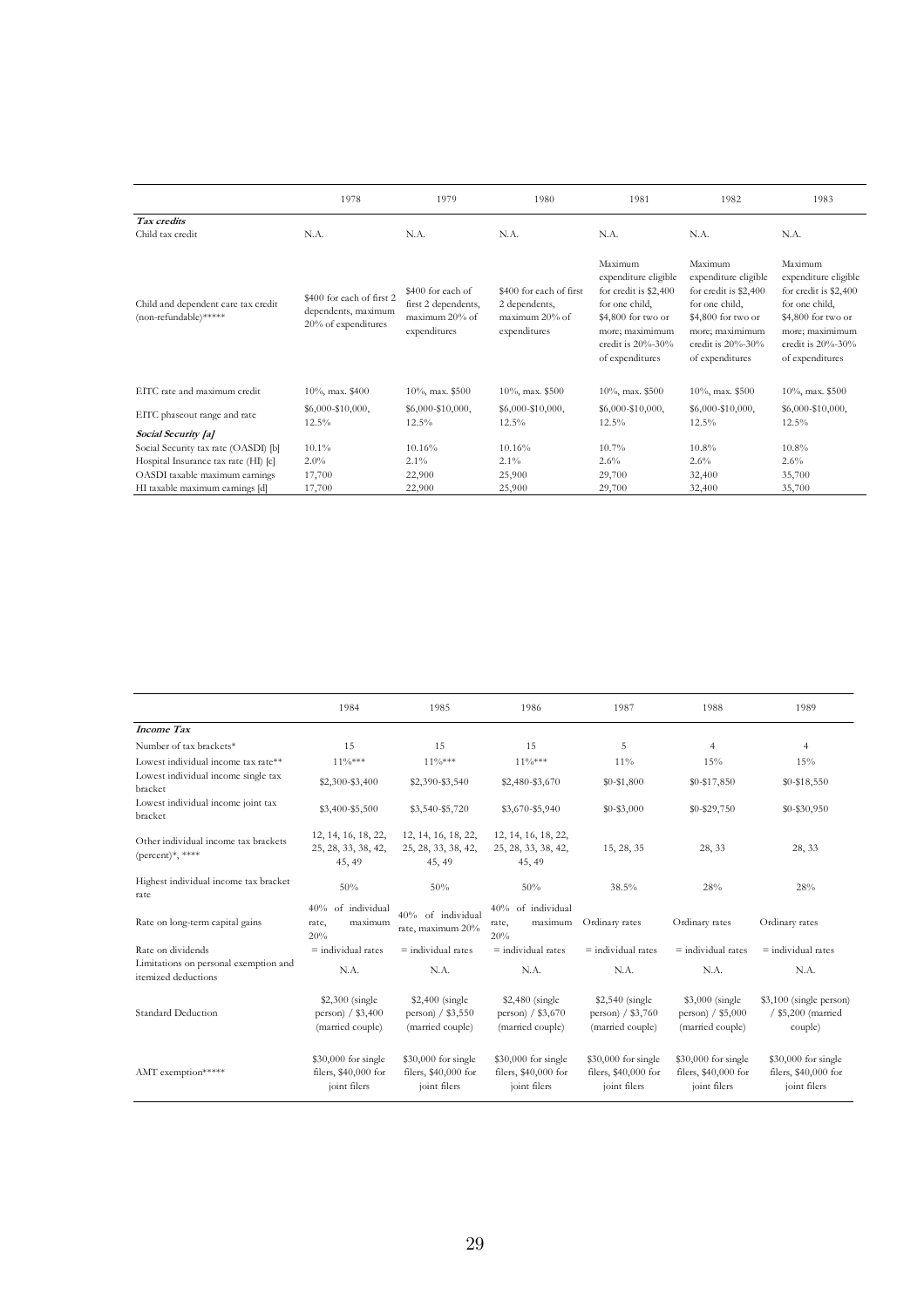|                                                              | 1978                                                                    | 1979                                                                       | 1980                                                                       | 1981                                                                                                                                                        | 1982                                                                                                                                                              | 1983                                                                                                                                                        |
|--------------------------------------------------------------|-------------------------------------------------------------------------|----------------------------------------------------------------------------|----------------------------------------------------------------------------|-------------------------------------------------------------------------------------------------------------------------------------------------------------|-------------------------------------------------------------------------------------------------------------------------------------------------------------------|-------------------------------------------------------------------------------------------------------------------------------------------------------------|
| Tax credits<br>Child tax credit                              | N.A.                                                                    | N.A.                                                                       | N.A.                                                                       | N.A.                                                                                                                                                        | N.A.                                                                                                                                                              | N.A.                                                                                                                                                        |
| Child and dependent care tax credit<br>(non-refundable)***** | \$400 for each of first 2<br>dependents, maximum<br>20% of expenditures | \$400 for each of<br>first 2 dependents,<br>maximum 20% of<br>expenditures | \$400 for each of first<br>2 dependents,<br>maximum 20% of<br>expenditures | Maximum<br>expenditure eligible<br>for credit is \$2,400<br>for one child,<br>\$4,800 for two or<br>more; maximimum<br>credit is 20%-30%<br>of expenditures | Maximum<br>expenditure eligible<br>for credit is \$2,400<br>for one child,<br>\$4,800 for two or<br>more; maximimum<br>credit is $20\% - 30\%$<br>of expenditures | Maximum<br>expenditure eligible<br>for credit is \$2,400<br>for one child,<br>\$4,800 for two or<br>more; maximimum<br>credit is 20%-30%<br>of expenditures |
| EITC rate and maximum credit                                 | $10\%$ , max. \$400                                                     | $10\%$ , max. \$500                                                        | $10\%$ , max. \$500                                                        | $10\%$ , max. \$500                                                                                                                                         | $10\%$ , max. \$500                                                                                                                                               | $10\%$ , max. \$500                                                                                                                                         |
| EITC phaseout range and rate                                 | \$6,000-\$10,000,<br>12.5%                                              | \$6,000-\$10,000,<br>12.5%                                                 | \$6,000-\$10,000,<br>12.5%                                                 | $$6,000-S10,000,$<br>12.5%                                                                                                                                  | $$6,000 - $10,000,$<br>$12.5\%$                                                                                                                                   | \$6,000-\$10,000,<br>$12.5\%$                                                                                                                               |
| Social Security [a]                                          |                                                                         |                                                                            |                                                                            |                                                                                                                                                             |                                                                                                                                                                   |                                                                                                                                                             |
| Social Security tax rate (OASDI) [b]                         | 10.1%                                                                   | 10.16%                                                                     | 10.16%                                                                     | 10.7%                                                                                                                                                       | 10.8%                                                                                                                                                             | 10.8%                                                                                                                                                       |
| Hospital Insurance tax rate (HI) [c]                         | $2.0\%$                                                                 | $2.1\%$                                                                    | $2.1\%$                                                                    | 2.6%                                                                                                                                                        | 2.6%                                                                                                                                                              | $2.6\%$                                                                                                                                                     |
| OASDI taxable maximum earnings                               | 17,700                                                                  | 22,900                                                                     | 25,900                                                                     | 29,700                                                                                                                                                      | 32,400                                                                                                                                                            | 35,700                                                                                                                                                      |
| HI taxable maximum earnings [d]                              | 17,700                                                                  | 22,900                                                                     | 25,900                                                                     | 29,700                                                                                                                                                      | 32,400                                                                                                                                                            | 35,700                                                                                                                                                      |

|                                                                    | 1984                                                                                                                      | 1985                                                        | 1986                                                              | 1987                                                        | 1988                                                         | 1989                                                        |
|--------------------------------------------------------------------|---------------------------------------------------------------------------------------------------------------------------|-------------------------------------------------------------|-------------------------------------------------------------------|-------------------------------------------------------------|--------------------------------------------------------------|-------------------------------------------------------------|
| <b>Income Tax</b>                                                  |                                                                                                                           |                                                             |                                                                   |                                                             |                                                              |                                                             |
| Number of tax brackets*                                            | 15                                                                                                                        | 15                                                          | 15                                                                | 5                                                           | $\overline{4}$                                               | $\overline{4}$                                              |
| Lowest individual income tax rate**                                | $11\%***$                                                                                                                 | $11\%***$                                                   | $11\%***$                                                         | 11%                                                         | 15%                                                          | 15%                                                         |
| Lowest individual income single tax<br>bracket                     | \$2,300-\$3,400                                                                                                           | \$2,390-\$3,540                                             | \$2,480-\$3,670                                                   | $$0 - $1,800$                                               | \$0-\$17,850                                                 | $$0 - $18,550$                                              |
| Lowest individual income joint tax<br>bracket                      | \$3,400-\$5,500                                                                                                           | \$3,540-\$5,720                                             | \$3,670-\$5,940                                                   | $$0 - $3,000$                                               | $$0 - $29,750$                                               | $$0 - $30,950$                                              |
| Other individual income tax brackets<br>$(\text{percent})^*,$ **** | 12, 14, 16, 18, 22,<br>25, 28, 33, 38, 42,<br>45, 49                                                                      | 12, 14, 16, 18, 22,<br>25, 28, 33, 38, 42,<br>45, 49        | 12, 14, 16, 18, 22,<br>25, 28, 33, 38, 42,<br>15, 28, 35<br>45.49 |                                                             | 28, 33                                                       | 28, 33                                                      |
| Highest individual income tax bracket<br>rate                      | 50%                                                                                                                       | 50%                                                         | 50%                                                               | 38.5%                                                       | 28%                                                          | 28%                                                         |
| Rate on long-term capital gains                                    | 40% of individual<br>rate,<br>maximum<br>20%                                                                              | 40% of individual<br>rate, maximum 20%                      | 40% of individual<br>maximum<br>rate,<br>20%                      | Ordinary rates                                              | Ordinary rates                                               | Ordinary rates                                              |
| Rate on dividends                                                  | $=$ individual rates                                                                                                      | $=$ individual rates                                        | $=$ individual rates                                              | $=$ individual rates                                        | $\equiv$ individual rates                                    | $=$ individual rates                                        |
| Limitations on personal exemption and<br>itemized deductions       | N.A.                                                                                                                      | N.A.                                                        | N.A.                                                              | N.A.                                                        | N.A.                                                         | N.A.                                                        |
| Standard Deduction                                                 | $$2,300$ (single)<br>$$2,400$ (single)<br>person) / \$3,550<br>person $/$ \$3,400<br>(married couple)<br>(married couple) |                                                             | $$2,480$ (single)<br>person) $/$ \$3,670<br>(married couple)      | $$2,540$ (single)<br>person) / \$3,760<br>(married couple)  | $$3,000$ (single)<br>person) $/$ \$5,000<br>(married couple) | \$3,100 (single person)<br>/ \$5,200 (married<br>couple)    |
| AMT exemption*****                                                 | $$30,000$ for single<br>filers, \$40,000 for<br>joint filers                                                              | \$30,000 for single<br>filers, \$40,000 for<br>joint filers | \$30,000 for single<br>filers, \$40,000 for<br>joint filers       | \$30,000 for single<br>filers, \$40,000 for<br>joint filers | $$30,000$ for single<br>filers, \$40,000 for<br>joint filers | \$30,000 for single<br>filers, \$40,000 for<br>joint filers |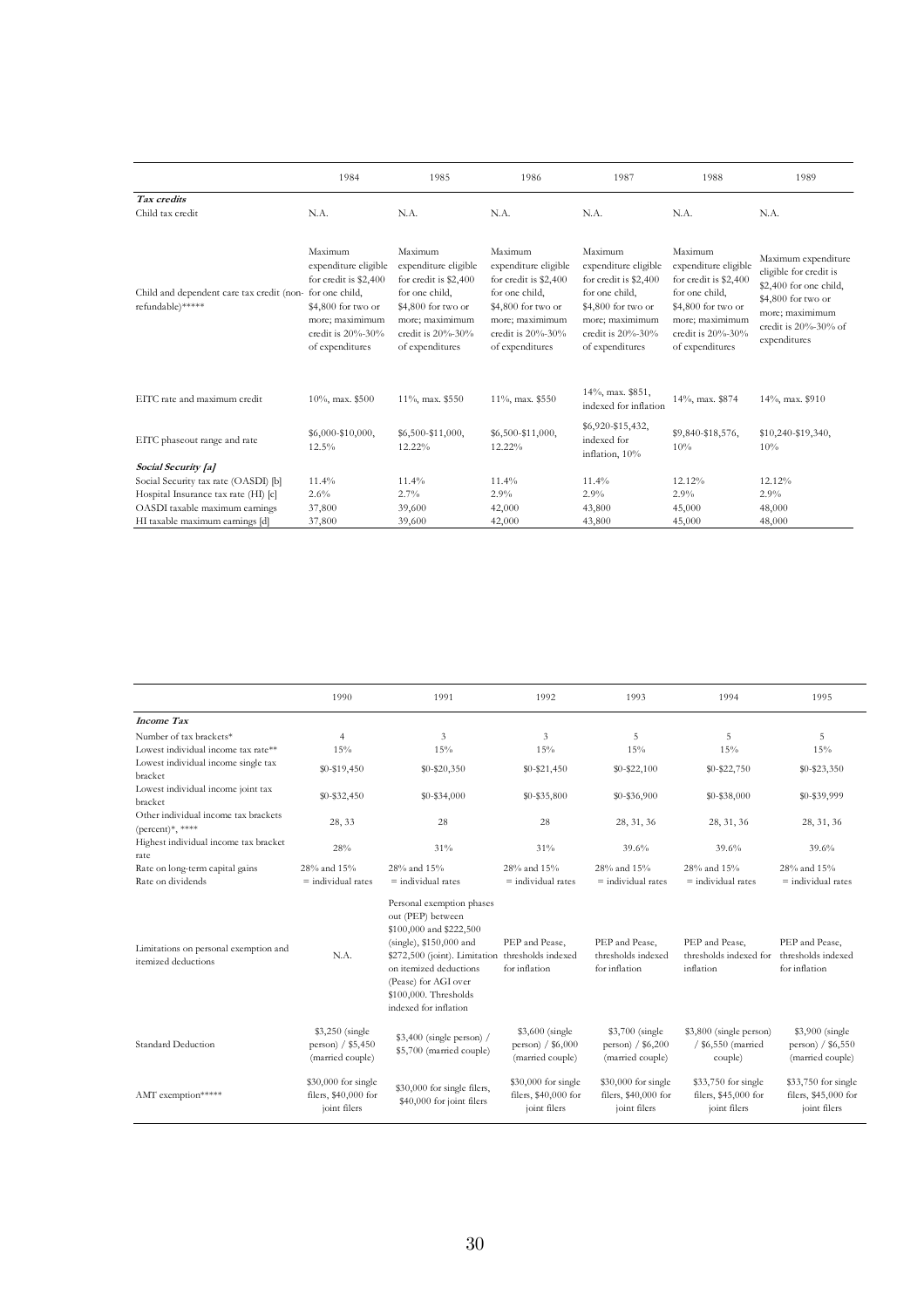|                                                               | 1984                                                                                                                                                        | 1985                                                                                                                                                        | 1986                                                                                                                                                        | 1987<br>1988                                                                                                                                                |                                                                                                                                                             | 1989                                                                                                                                                           |  |
|---------------------------------------------------------------|-------------------------------------------------------------------------------------------------------------------------------------------------------------|-------------------------------------------------------------------------------------------------------------------------------------------------------------|-------------------------------------------------------------------------------------------------------------------------------------------------------------|-------------------------------------------------------------------------------------------------------------------------------------------------------------|-------------------------------------------------------------------------------------------------------------------------------------------------------------|----------------------------------------------------------------------------------------------------------------------------------------------------------------|--|
| Tax credits                                                   |                                                                                                                                                             |                                                                                                                                                             |                                                                                                                                                             |                                                                                                                                                             |                                                                                                                                                             |                                                                                                                                                                |  |
| Child tax credit                                              | N.A.                                                                                                                                                        | N.A.                                                                                                                                                        | N.A.                                                                                                                                                        | N.A.                                                                                                                                                        | N.A.                                                                                                                                                        | N.A.                                                                                                                                                           |  |
| Child and dependent care tax credit (non-<br>refundable)***** | Maximum<br>expenditure eligible<br>for credit is \$2,400<br>for one child.<br>\$4,800 for two or<br>more; maximimum<br>credit is 20%-30%<br>of expenditures | Maximum<br>expenditure eligible<br>for credit is \$2,400<br>for one child.<br>\$4,800 for two or<br>more; maximimum<br>credit is 20%-30%<br>of expenditures | Maximum<br>expenditure eligible<br>for credit is \$2,400<br>for one child,<br>\$4,800 for two or<br>more; maximimum<br>credit is 20%-30%<br>of expenditures | Maximum<br>expenditure eligible<br>for credit is \$2,400<br>for one child,<br>\$4,800 for two or<br>more; maximimum<br>credit is 20%-30%<br>of expenditures | Maximum<br>expenditure eligible<br>for credit is \$2,400<br>for one child,<br>\$4,800 for two or<br>more; maximimum<br>credit is 20%-30%<br>of expenditures | Maximum expenditure<br>eligible for credit is<br>\$2,400 for one child,<br>\$4,800 for two or<br>more; maximimum<br>credit is $20\% - 30\%$ of<br>expenditures |  |
| EITC rate and maximum credit                                  | $10\%$ , max. \$500                                                                                                                                         | 11%, max. \$550                                                                                                                                             | 11%, max. \$550                                                                                                                                             | 14%, max. \$851,<br>indexed for inflation                                                                                                                   | 14%, max. \$874                                                                                                                                             | 14%, max. \$910                                                                                                                                                |  |
| EITC phaseout range and rate                                  | $$6,000 - $10,000,$<br>12.5%                                                                                                                                | \$6,500-\$11,000,<br>12.22%                                                                                                                                 | \$6,500-\$11,000,<br>12.22%                                                                                                                                 | \$6,920-\$15,432,<br>indexed for<br>inflation, 10%                                                                                                          | \$9,840-\$18,576,<br>10%                                                                                                                                    | $$10,240 - $19,340,$<br>10%                                                                                                                                    |  |
| Social Security [a]                                           |                                                                                                                                                             |                                                                                                                                                             |                                                                                                                                                             |                                                                                                                                                             |                                                                                                                                                             |                                                                                                                                                                |  |
| Social Security tax rate (OASDI) [b]                          | 11.4%                                                                                                                                                       | 11.4%                                                                                                                                                       | 11.4%                                                                                                                                                       | 11.4%                                                                                                                                                       | 12.12%                                                                                                                                                      | 12.12%                                                                                                                                                         |  |
| Hospital Insurance tax rate (HI) [c]                          | $2.6\%$                                                                                                                                                     | $2.7\%$                                                                                                                                                     | 2.9%                                                                                                                                                        | 2.9%                                                                                                                                                        | 2.9%                                                                                                                                                        | 2.9%                                                                                                                                                           |  |
| OASDI taxable maximum earnings                                | 37,800                                                                                                                                                      | 39,600                                                                                                                                                      | 42,000                                                                                                                                                      | 43,800                                                                                                                                                      | 45,000                                                                                                                                                      | 48,000                                                                                                                                                         |  |
| HI taxable maximum earnings [d]                               | 37,800                                                                                                                                                      | 39,600                                                                                                                                                      | 42,000                                                                                                                                                      | 43,800                                                                                                                                                      | 45,000                                                                                                                                                      | 48,000                                                                                                                                                         |  |

|                                                                    | 1990                                                        | 1991                                                                                                                                                                                                                                       | 1992                                                        | 1993                                                        | 1994                                                        | 1995                                                        |
|--------------------------------------------------------------------|-------------------------------------------------------------|--------------------------------------------------------------------------------------------------------------------------------------------------------------------------------------------------------------------------------------------|-------------------------------------------------------------|-------------------------------------------------------------|-------------------------------------------------------------|-------------------------------------------------------------|
| <b>Income Tax</b>                                                  |                                                             |                                                                                                                                                                                                                                            |                                                             |                                                             |                                                             |                                                             |
| Number of tax brackets*                                            | 4                                                           | 3                                                                                                                                                                                                                                          | 3                                                           | 5                                                           | 5                                                           | 5                                                           |
| Lowest individual income tax rate**                                | 15%                                                         | 15%                                                                                                                                                                                                                                        | 15%                                                         | 15%                                                         | 15%                                                         | 15%                                                         |
| Lowest individual income single tax<br>bracket                     | \$0-\$19,450                                                | $$0 - $20,350$                                                                                                                                                                                                                             | $$0 - $21,450$                                              | $$0 - $22,100$                                              | \$0-\$22,750                                                | $$0 - $23,350$                                              |
| Lowest individual income joint tax<br>bracket                      | $$0 - $32,450$                                              | $$0 - $34,000$                                                                                                                                                                                                                             | $$0 - $35,800$                                              | \$0-\$36,900                                                | \$0-\$38,000                                                | \$0-\$39,999                                                |
| Other individual income tax brackets<br>$(\text{percent})^*,$ **** | 28, 33                                                      | 28                                                                                                                                                                                                                                         | 28                                                          | 28, 31, 36                                                  | 28, 31, 36                                                  | 28, 31, 36                                                  |
| Highest individual income tax bracket<br>rate                      | 28%                                                         | 31%                                                                                                                                                                                                                                        | 31%                                                         | 39.6%                                                       | 39.6%                                                       | 39.6%                                                       |
| Rate on long-term capital gains<br>Rate on dividends               | 28% and 15%<br>$=$ individual rates                         | 28% and 15%<br>$=$ individual rates                                                                                                                                                                                                        | 28% and 15%<br>$\equiv$ individual rates                    | 28% and 15%<br>$\equiv$ individual rates                    | 28% and 15%<br>$\equiv$ individual rates                    | 28% and 15%<br>$\equiv$ individual rates                    |
| Limitations on personal exemption and<br>itemized deductions       | N.A.                                                        | Personal exemption phases<br>out (PEP) between<br>\$100,000 and \$222,500<br>$(single), $150,000$ and<br>\$272,500 (joint). Limitation<br>on itemized deductions<br>(Pease) for AGI over<br>\$100,000. Thresholds<br>indexed for inflation | PEP and Pease,<br>thresholds indexed<br>for inflation       | PEP and Pease,<br>thresholds indexed<br>for inflation       | PEP and Pease,<br>thresholds indexed for<br>inflation       | PEP and Pease,<br>thresholds indexed<br>for inflation       |
| <b>Standard Deduction</b>                                          | \$3,250 (single)<br>person) / \$5,450<br>(married couple)   | $$3,400$ (single person) /<br>\$5,700 (married couple)                                                                                                                                                                                     | \$3,600 (single<br>person) $/$ \$6,000<br>(married couple)  | \$3,700 (single)<br>person) / \$6,200<br>(married couple)   | \$3,800 (single person)<br>/ \$6,550 (married<br>couple)    | \$3,900 (single<br>person) / \$6,550<br>(married couple)    |
| AMT exemption*****                                                 | \$30,000 for single<br>filers, \$40,000 for<br>joint filers | \$30,000 for single filers,<br>\$40,000 for joint filers                                                                                                                                                                                   | \$30,000 for single<br>filers, \$40,000 for<br>joint filers | \$30,000 for single<br>filers, \$40,000 for<br>joint filers | \$33,750 for single<br>filers, \$45,000 for<br>joint filers | \$33,750 for single<br>filers, \$45,000 for<br>joint filers |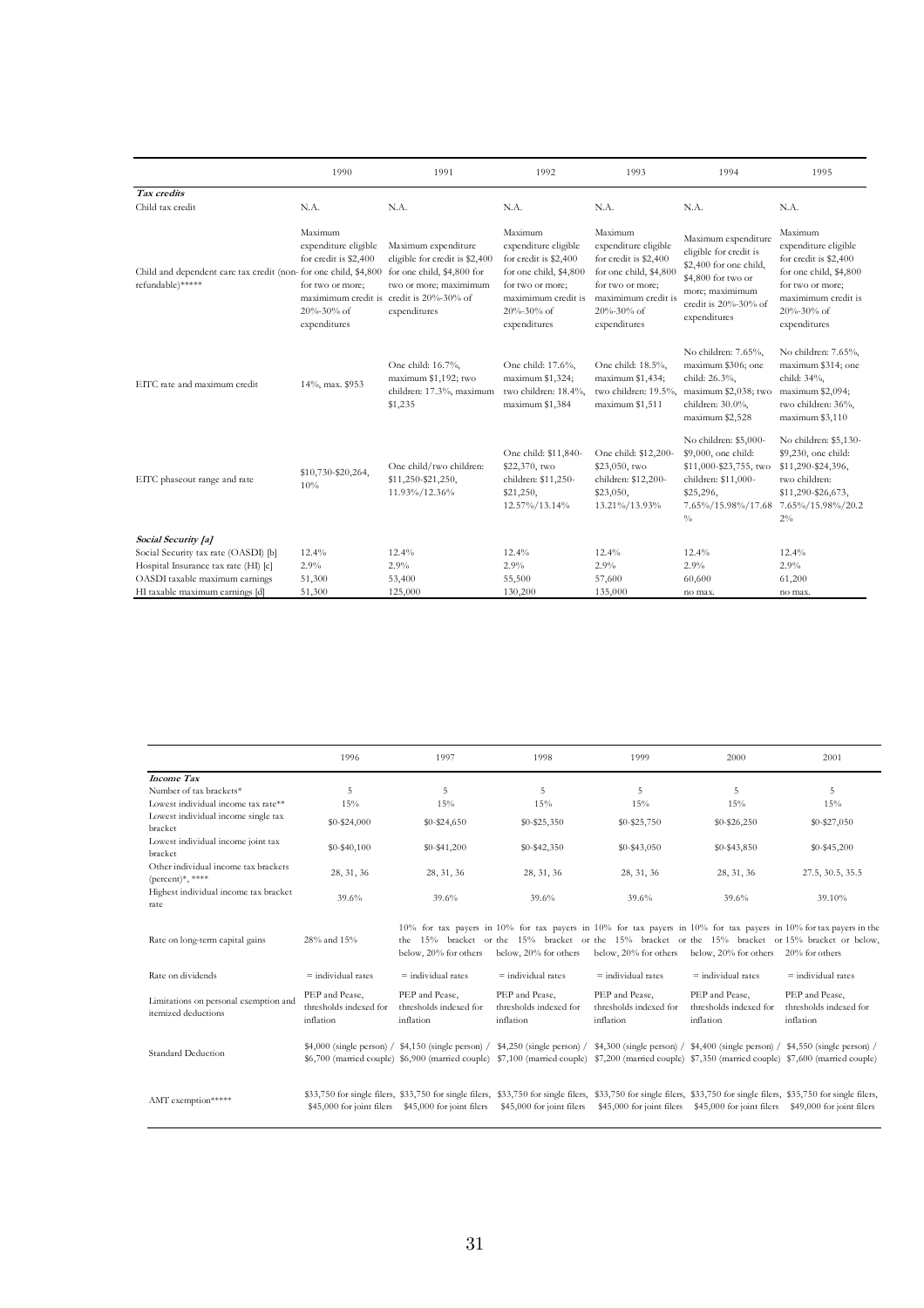|                                                                                      | 1990                                                                                                       | 1991                                                                                                                                                                      | 1992                                                                                                                                                        | 1993                                                                                                                                                        | 1994                                                                                                                                                     | 1995                                                                                                                                                        |
|--------------------------------------------------------------------------------------|------------------------------------------------------------------------------------------------------------|---------------------------------------------------------------------------------------------------------------------------------------------------------------------------|-------------------------------------------------------------------------------------------------------------------------------------------------------------|-------------------------------------------------------------------------------------------------------------------------------------------------------------|----------------------------------------------------------------------------------------------------------------------------------------------------------|-------------------------------------------------------------------------------------------------------------------------------------------------------------|
| Tax credits                                                                          |                                                                                                            |                                                                                                                                                                           |                                                                                                                                                             |                                                                                                                                                             |                                                                                                                                                          |                                                                                                                                                             |
| Child tax credit                                                                     | N.A.                                                                                                       | N.A.                                                                                                                                                                      | N.A.                                                                                                                                                        | N.A.                                                                                                                                                        | N.A.                                                                                                                                                     | N.A.                                                                                                                                                        |
| Child and dependent care tax credit (non- for one child, \$4,800<br>refundable)***** | Maximum<br>expenditure eligible<br>for credit is \$2,400<br>for two or more;<br>20%-30% of<br>expenditures | Maximum expenditure<br>eligible for credit is \$2,400<br>for one child, \$4,800 for<br>two or more; maximimum<br>maximimum credit is credit is 20%-30% of<br>expenditures | Maximum<br>expenditure eligible<br>for credit is \$2,400<br>for one child, \$4,800<br>for two or more;<br>maximimum credit is<br>20%-30% of<br>expenditures | Maximum<br>expenditure eligible<br>for credit is \$2,400<br>for one child, \$4,800<br>for two or more;<br>maximimum credit is<br>20%-30% of<br>expenditures | Maximum expenditure<br>eligible for credit is<br>\$2,400 for one child,<br>\$4,800 for two or<br>more; maximimum<br>credit is 20%-30% of<br>expenditures | Maximum<br>expenditure eligible<br>for credit is \$2,400<br>for one child, \$4,800<br>for two or more;<br>maximimum credit is<br>20%-30% of<br>expenditures |
| EITC rate and maximum credit                                                         | 14%, max. \$953                                                                                            | One child: 16.7%,<br>maximum \$1,192; two<br>children: 17.3%, maximum<br>\$1,235                                                                                          | One child: 17.6%,<br>maximum \$1,324;<br>two children: 18.4%,<br>maximum \$1,384                                                                            | One child: 18.5%,<br>maximum \$1,434;<br>two children: 19.5%,<br>maximum \$1,511                                                                            | No children: 7.65%,<br>maximum \$306; one<br>child: 26.3%,<br>maximum \$2,038; two<br>children: 30.0%,<br>maximum \$2,528                                | No children: 7.65%,<br>maximum \$314; one<br>child: 34%,<br>maximum \$2,094;<br>two children: 36%,<br>maximum \$3,110                                       |
| EITC phaseout range and rate                                                         | \$10,730-\$20,264,<br>10%                                                                                  | One child/two children:<br>\$11,250-\$21,250,<br>11.93%/12.36%                                                                                                            | One child: \$11,840-<br>\$22,370, two<br>children: \$11,250-<br>\$21,250,<br>12.57%/13.14%                                                                  | One child: \$12,200-<br>\$23,050, two<br>children: \$12,200-<br>\$23,050,<br>13.21%/13.93%                                                                  | No children: \$5,000-<br>\$9,000, one child:<br>\$11,000-\$23,755, two<br>children: \$11,000-<br>\$25,296,<br>7.65%/15.98%/17.68<br>$\frac{0}{0}$        | No children: \$5,130-<br>\$9,230, one child:<br>\$11,290-\$24,396,<br>two children:<br>\$11,290-\$26,673,<br>7.65%/15.98%/20.2<br>$2\%$                     |
| Social Security [a]                                                                  |                                                                                                            |                                                                                                                                                                           |                                                                                                                                                             |                                                                                                                                                             |                                                                                                                                                          |                                                                                                                                                             |
| Social Security tax rate (OASDI) [b]                                                 | 12.4%                                                                                                      | 12.4%                                                                                                                                                                     | 12.4%                                                                                                                                                       | 12.4%                                                                                                                                                       | 12.4%                                                                                                                                                    | 12.4%                                                                                                                                                       |
| Hospital Insurance tax rate (HI) [c]                                                 | 2.9%                                                                                                       | 2.9%                                                                                                                                                                      | 2.9%                                                                                                                                                        | 2.9%                                                                                                                                                        | 2.9%                                                                                                                                                     | 2.9%                                                                                                                                                        |
| OASDI taxable maximum earnings                                                       | 51,300                                                                                                     | 53,400                                                                                                                                                                    | 55,500                                                                                                                                                      | 57,600                                                                                                                                                      | 60,600                                                                                                                                                   | 61,200                                                                                                                                                      |
| HI taxable maximum earnings [d]                                                      | 51,300                                                                                                     | 125,000                                                                                                                                                                   | 130,200                                                                                                                                                     | 135,000                                                                                                                                                     | no max.                                                                                                                                                  | no max.                                                                                                                                                     |

|                                                                                     | 1996                                                  | 1997                                                  | 1998                                                                                                                                                                                                                                                                                                                       | 1999                                                  | 2000                                                  | 2001                                                                                                                                                                                                                                        |
|-------------------------------------------------------------------------------------|-------------------------------------------------------|-------------------------------------------------------|----------------------------------------------------------------------------------------------------------------------------------------------------------------------------------------------------------------------------------------------------------------------------------------------------------------------------|-------------------------------------------------------|-------------------------------------------------------|---------------------------------------------------------------------------------------------------------------------------------------------------------------------------------------------------------------------------------------------|
| <b>Income Tax</b><br>Number of tax brackets*<br>Lowest individual income tax rate** | 5<br>15%                                              | 5<br>15%                                              | 5<br>15%                                                                                                                                                                                                                                                                                                                   | 5<br>15%                                              | 5<br>15%                                              | 5<br>15%                                                                                                                                                                                                                                    |
| Lowest individual income single tax<br>bracket                                      | $$0 - $24,000$                                        | $$0 - $24,650$                                        | $$0 - $25,350$                                                                                                                                                                                                                                                                                                             | $$0 - $25,750$                                        | $$0 - $26,250$                                        | $$0 - $27,050$                                                                                                                                                                                                                              |
| Lowest individual income joint tax<br>bracket                                       | $$0 - $40,100$                                        | $$0 - $41,200$                                        | $$0 - $42,350$                                                                                                                                                                                                                                                                                                             | \$0-\$43,050                                          | \$0-\$43,850                                          | $$0 - $45,200$                                                                                                                                                                                                                              |
| Other individual income tax brackets<br>$(\text{percent})^*,$ ****                  | 28, 31, 36                                            | 28, 31, 36                                            | 28, 31, 36                                                                                                                                                                                                                                                                                                                 | 28, 31, 36                                            | 28, 31, 36                                            | 27.5, 30.5, 35.5                                                                                                                                                                                                                            |
| Highest individual income tax bracket<br>rate                                       | 39.6%<br>39.6%                                        |                                                       | 39.6%                                                                                                                                                                                                                                                                                                                      | 39.6%                                                 | 39.6%                                                 | 39.10%                                                                                                                                                                                                                                      |
| Rate on long-term capital gains                                                     | 28% and 15%                                           | below, 20% for others                                 | below, 20% for others                                                                                                                                                                                                                                                                                                      | below, 20% for others                                 | below, 20% for others                                 | 10% for tax payers in 10% for tax payers in 10% for tax payers in 10% for tax payers in 10% for tax payers in the<br>the 15% bracket or the 15% bracket or the 15% bracket or the 15% bracket or 15% bracket or below,<br>$20\%$ for others |
| Rate on dividends                                                                   | $=$ individual rates                                  | $=$ individual rates                                  | $=$ individual rates                                                                                                                                                                                                                                                                                                       | $=$ individual rates                                  | $=$ individual rates                                  | $=$ individual rates                                                                                                                                                                                                                        |
| Limitations on personal exemption and<br>itemized deductions                        | PEP and Pease,<br>thresholds indexed for<br>inflation | PEP and Pease,<br>thresholds indexed for<br>inflation | PEP and Pease,<br>thresholds indexed for<br>inflation                                                                                                                                                                                                                                                                      | PEP and Pease,<br>thresholds indexed for<br>inflation | PEP and Pease,<br>thresholds indexed for<br>inflation | PEP and Pease.<br>thresholds indexed for<br>inflation                                                                                                                                                                                       |
| <b>Standard Deduction</b>                                                           |                                                       |                                                       | $$4,000$ (single person) / $$4,150$ (single person) / $$4,250$ (single person) / $$4,300$ (single person) / $$4,400$ (single person) / $$4,550$ (single person) /<br>\$6,700 (married couple) \$6,900 (married couple) \$7,100 (married couple) \$7,200 (married couple) \$7,350 (married couple) \$7,600 (married couple) |                                                       |                                                       |                                                                                                                                                                                                                                             |
| AMT exemption*****                                                                  |                                                       | \$45,000 for joint filers \$45,000 for joint filers   | \$33,750 for single filers, \$33,750 for single filers, \$33,750 for single filers, \$33,750 for single filers, \$33,750 for single filers, \$35,750 for single filers,<br>\$45,000 for joint filers                                                                                                                       | \$45,000 for joint filers                             | \$45,000 for joint filers                             | \$49,000 for joint filers                                                                                                                                                                                                                   |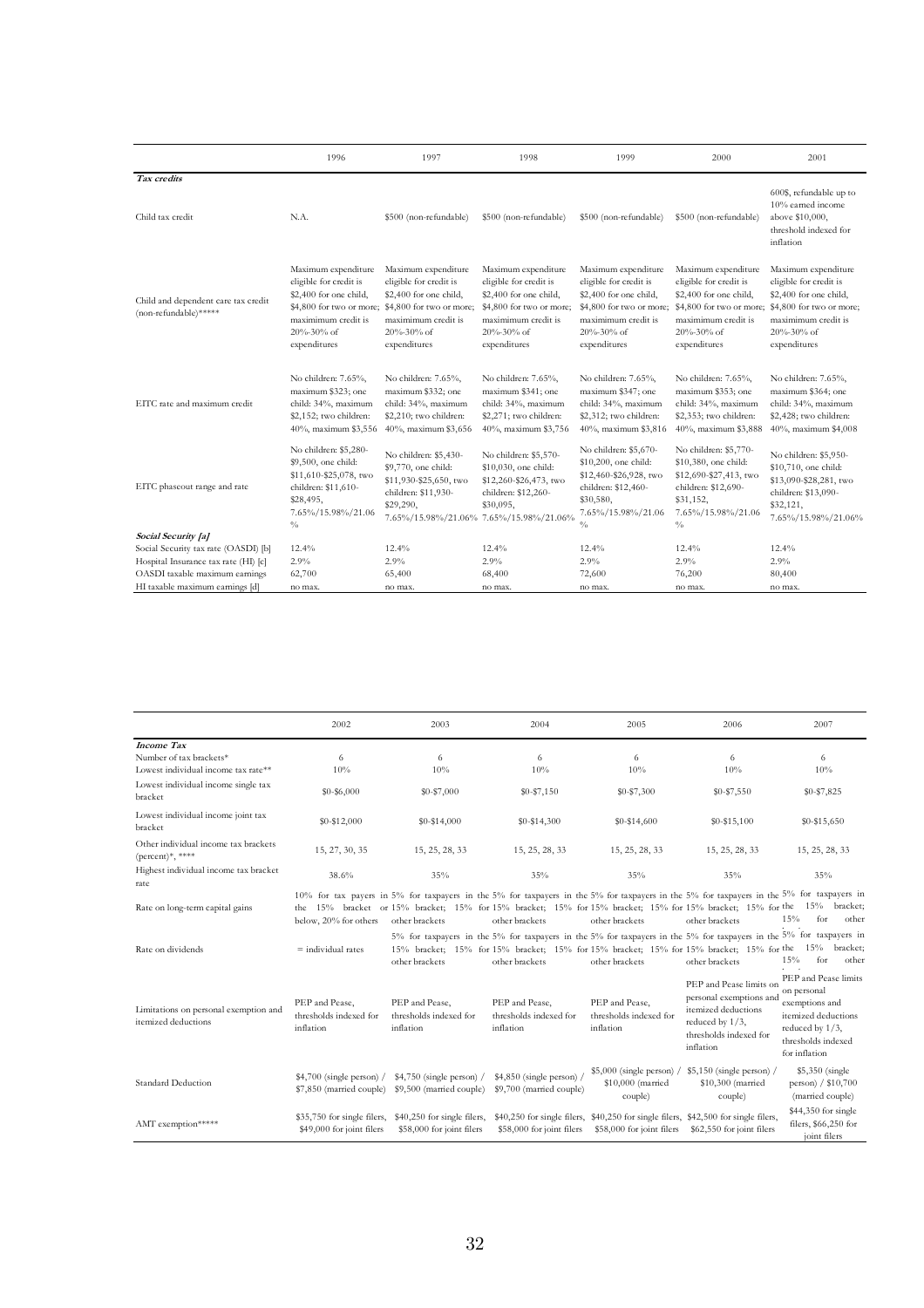|                                                              | 1996                                                                                                                                                     | 1997                                                                                                                                                                                                                                     | 1998                                                                                                                                                           | 1999<br>2000                                                                                                                                             |                                                                                                                                                    | 2001                                                                                                                                                                              |
|--------------------------------------------------------------|----------------------------------------------------------------------------------------------------------------------------------------------------------|------------------------------------------------------------------------------------------------------------------------------------------------------------------------------------------------------------------------------------------|----------------------------------------------------------------------------------------------------------------------------------------------------------------|----------------------------------------------------------------------------------------------------------------------------------------------------------|----------------------------------------------------------------------------------------------------------------------------------------------------|-----------------------------------------------------------------------------------------------------------------------------------------------------------------------------------|
| Tax credits                                                  |                                                                                                                                                          |                                                                                                                                                                                                                                          |                                                                                                                                                                |                                                                                                                                                          |                                                                                                                                                    |                                                                                                                                                                                   |
| Child tax credit                                             | N.A.                                                                                                                                                     | \$500 (non-refundable)                                                                                                                                                                                                                   | \$500 (non-refundable)                                                                                                                                         | \$500 (non-refundable)                                                                                                                                   | \$500 (non-refundable)                                                                                                                             | 600\$, refundable up to<br>10% earned income<br>above \$10,000,<br>threshold indexed for<br>inflation                                                                             |
| Child and dependent care tax credit<br>(non-refundable)***** | Maximum expenditure<br>eligible for credit is<br>\$2,400 for one child,<br>\$4,800 for two or more;<br>maximimum credit is<br>20%-30% of<br>expenditures | Maximum expenditure<br>eligible for credit is<br>\$2,400 for one child,<br>\$4,800 for two or more;<br>maximimum credit is<br>$20\% - 30\%$ of<br>expenditures                                                                           | Maximum expenditure<br>eligible for credit is<br>\$2,400 for one child,<br>\$4,800 for two or more;<br>maximimum credit is<br>$20\% - 30\%$ of<br>expenditures | Maximum expenditure<br>eligible for credit is<br>\$2,400 for one child,<br>\$4,800 for two or more;<br>maximimum credit is<br>20%-30% of<br>expenditures | Maximum expenditure<br>eligible for credit is<br>\$2,400 for one child,<br>maximimum credit is<br>$20\% - 30\%$ of<br>expenditures                 | Maximum expenditure<br>eligible for credit is<br>\$2,400 for one child,<br>\$4,800 for two or more; \$4,800 for two or more;<br>maximimum credit is<br>20%-30% of<br>expenditures |
| EITC rate and maximum credit                                 | No children: 7.65%,<br>maximum \$323; one<br>child: 34%, maximum<br>\$2,152; two children:<br>40%, maximum \$3,556                                       | No children: 7.65%,<br>No children: 7.65%,<br>maximum \$332; one<br>maximum \$341; one<br>child: 34%, maximum<br>child: 34%, maximum<br>\$2,210; two children:<br>\$2,271; two children:<br>40%, maximum \$3,656<br>40%, maximum \$3,756 |                                                                                                                                                                | No children: 7.65%,<br>maximum \$347; one<br>child: 34%, maximum<br>\$2,312; two children:<br>40%, maximum \$3,816                                       | No children: 7.65%,<br>maximum \$353; one<br>child: 34%, maximum<br>\$2,353; two children:<br>40%, maximum \$3,888                                 | No children: 7.65%,<br>maximum \$364; one<br>child: 34%, maximum<br>\$2,428; two children:<br>40%, maximum \$4,008                                                                |
| EITC phaseout range and rate                                 | No children: \$5,280-<br>\$9,500, one child:<br>\$11,610-\$25,078, two<br>children: \$11,610-<br>\$28,495,<br>7.65%/15.98%/21.06<br>$\frac{0}{0}$        | No children: \$5,430-<br>\$9,770, one child:<br>\$11,930-\$25,650, two<br>children: \$11,930-<br>\$29,290,<br>7.65%/15.98%/21.06%                                                                                                        | No children: \$5,570-<br>\$10,030, one child:<br>\$12,260-\$26,473, two<br>children: \$12,260-<br>\$30,095,<br>7.65%/15.98%/21.06%                             | No children: \$5,670-<br>\$10,200, one child:<br>\$12,460-\$26,928, two<br>children: \$12,460-<br>\$30,580,<br>7.65%/15.98%/21.06<br>$\frac{0}{0}$       | No children: \$5,770-<br>\$10,380, one child:<br>\$12,690-\$27,413, two<br>children: \$12,690-<br>\$31,152,<br>7.65%/15.98%/21.06<br>$\frac{0}{0}$ | No children: \$5,950-<br>\$10,710, one child:<br>\$13,090-\$28,281, two<br>children: \$13,090-<br>\$32,121,<br>7.65%/15.98%/21.06%                                                |
| Social Security [a]                                          |                                                                                                                                                          |                                                                                                                                                                                                                                          |                                                                                                                                                                |                                                                                                                                                          |                                                                                                                                                    |                                                                                                                                                                                   |
| Social Security tax rate (OASDI) [b]                         | 12.4%                                                                                                                                                    | 12.4%                                                                                                                                                                                                                                    | 12.4%                                                                                                                                                          | 12.4%                                                                                                                                                    | 12.4%                                                                                                                                              | 12.4%                                                                                                                                                                             |
| Hospital Insurance tax rate (HI) [c]                         | 2.9%                                                                                                                                                     | 2.9%                                                                                                                                                                                                                                     | 2.9%                                                                                                                                                           | 2.9%                                                                                                                                                     | 2.9%                                                                                                                                               | 2.9%                                                                                                                                                                              |
| OASDI taxable maximum earnings                               | 62,700                                                                                                                                                   | 65,400                                                                                                                                                                                                                                   | 68,400                                                                                                                                                         | 72,600                                                                                                                                                   | 76,200                                                                                                                                             | 80,400                                                                                                                                                                            |
| HI taxable maximum earnings [d]                              | no max.                                                                                                                                                  | no max.                                                                                                                                                                                                                                  | no max.                                                                                                                                                        | no max.                                                                                                                                                  | no max.                                                                                                                                            | no max.                                                                                                                                                                           |

|                                                                    | 2002                                                     | 2003<br>2004                                                                                                                                                                                                                                                                           |                                                                                                                                                                                                                                               | 2005                                                                                | 2006                                                                                                                                   | 2007                                                                                                                                      |
|--------------------------------------------------------------------|----------------------------------------------------------|----------------------------------------------------------------------------------------------------------------------------------------------------------------------------------------------------------------------------------------------------------------------------------------|-----------------------------------------------------------------------------------------------------------------------------------------------------------------------------------------------------------------------------------------------|-------------------------------------------------------------------------------------|----------------------------------------------------------------------------------------------------------------------------------------|-------------------------------------------------------------------------------------------------------------------------------------------|
| <b>Income Tax</b>                                                  |                                                          |                                                                                                                                                                                                                                                                                        |                                                                                                                                                                                                                                               |                                                                                     |                                                                                                                                        |                                                                                                                                           |
| Number of tax brackets*                                            | 6                                                        | 6                                                                                                                                                                                                                                                                                      | 6                                                                                                                                                                                                                                             | 6                                                                                   | 6                                                                                                                                      | 6                                                                                                                                         |
| Lowest individual income tax rate**                                | 10%                                                      | 10%                                                                                                                                                                                                                                                                                    | 10%                                                                                                                                                                                                                                           | 10%                                                                                 | 10%                                                                                                                                    | 10%                                                                                                                                       |
| Lowest individual income single tax<br>bracket                     | $$0 - $6,000$                                            | $$0 - $7,000$                                                                                                                                                                                                                                                                          | $$0 - $7,150$                                                                                                                                                                                                                                 | \$0-\$7,300                                                                         | $$0 - $7,550$                                                                                                                          | \$0-\$7,825                                                                                                                               |
| Lowest individual income joint tax<br>bracket                      | \$0-\$12,000                                             | $$0 - $14,000$                                                                                                                                                                                                                                                                         | $$0 - $14,300$                                                                                                                                                                                                                                | $$0-$14,600$                                                                        | $$0 - $15,100$                                                                                                                         | $$0 - $15,650$                                                                                                                            |
| Other individual income tax brackets<br>$(\text{percent})^*,$ **** | 15, 27, 30, 35                                           | 15, 25, 28, 33                                                                                                                                                                                                                                                                         | 15, 25, 28, 33                                                                                                                                                                                                                                | 15, 25, 28, 33                                                                      | 15, 25, 28, 33                                                                                                                         | 15, 25, 28, 33                                                                                                                            |
| Highest individual income tax bracket<br>rate                      | 38.6%                                                    | 35%                                                                                                                                                                                                                                                                                    | 35%                                                                                                                                                                                                                                           | 35%                                                                                 | 35%                                                                                                                                    | 35%                                                                                                                                       |
| Rate on long-term capital gains                                    | below, 20% for others                                    | 10% for tax payers in 5% for taxpayers in the 5% for taxpayers in the 5% for taxpayers in the 5% for taxpayers in the 5% for taxpayers in<br>the 15% bracket or 15% bracket; 15% for 15% bracket; 15% for 15% bracket; 15% for 15% bracket; 15% for the 15% bracket;<br>other brackets | other brackets                                                                                                                                                                                                                                | other brackets                                                                      | other brackets                                                                                                                         | 15%<br>for<br>other                                                                                                                       |
| Rate on dividends                                                  | $=$ individual rates                                     | other brackets                                                                                                                                                                                                                                                                         | 5% for taxpayers in the 5% for taxpayers in the 5% for taxpayers in the 5% for taxpayers in the 5% for taxpayers in<br>15% bracket; 15% for 15% bracket; 15% for 15% bracket; 15% for 15% bracket; 15% for the 15% bracket;<br>other brackets | other brackets                                                                      | other brackets                                                                                                                         | for<br>15%<br>other                                                                                                                       |
| Limitations on personal exemption and<br>itemized deductions       | PEP and Pease,<br>thresholds indexed for<br>inflation    | PEP and Pease,<br>thresholds indexed for<br>inflation                                                                                                                                                                                                                                  | PEP and Pease.<br>thresholds indexed for<br>inflation                                                                                                                                                                                         | PEP and Pease.<br>thresholds indexed for<br>inflation                               | PEP and Pease limits on<br>personal exemptions and<br>itemized deductions<br>reduced by $1/3$ ,<br>thresholds indexed for<br>inflation | PEP and Pease limits<br>on personal<br>exemptions and<br>itemized deductions<br>reduced by $1/3$ ,<br>thresholds indexed<br>for inflation |
| Standard Deduction                                                 | $$4,700$ (single person) /                               | $$4,750$ (single person) /<br>\$7,850 (married couple) \$9,500 (married couple)                                                                                                                                                                                                        | $$4,850$ (single person)<br>\$9,700 (married couple)                                                                                                                                                                                          | \$10,000 (married<br>couple)                                                        | $$5,000$ (single person) / $$5,150$ (single person) /<br>\$10,300 (married<br>couple)                                                  | \$5,350 (single)<br>person) / \$10,700<br>(married couple)                                                                                |
| AMT exemption*****                                                 | \$35,750 for single filers,<br>\$49,000 for joint filers | \$40,250 for single filers,<br>\$58,000 for joint filers                                                                                                                                                                                                                               | \$58,000 for joint filers                                                                                                                                                                                                                     | \$40,250 for single filers, \$40,250 for single filers, \$42,500 for single filers, | \$58,000 for joint filers \$62,550 for joint filers                                                                                    | \$44,350 for single<br>filers, \$66,250 for<br>joint filers                                                                               |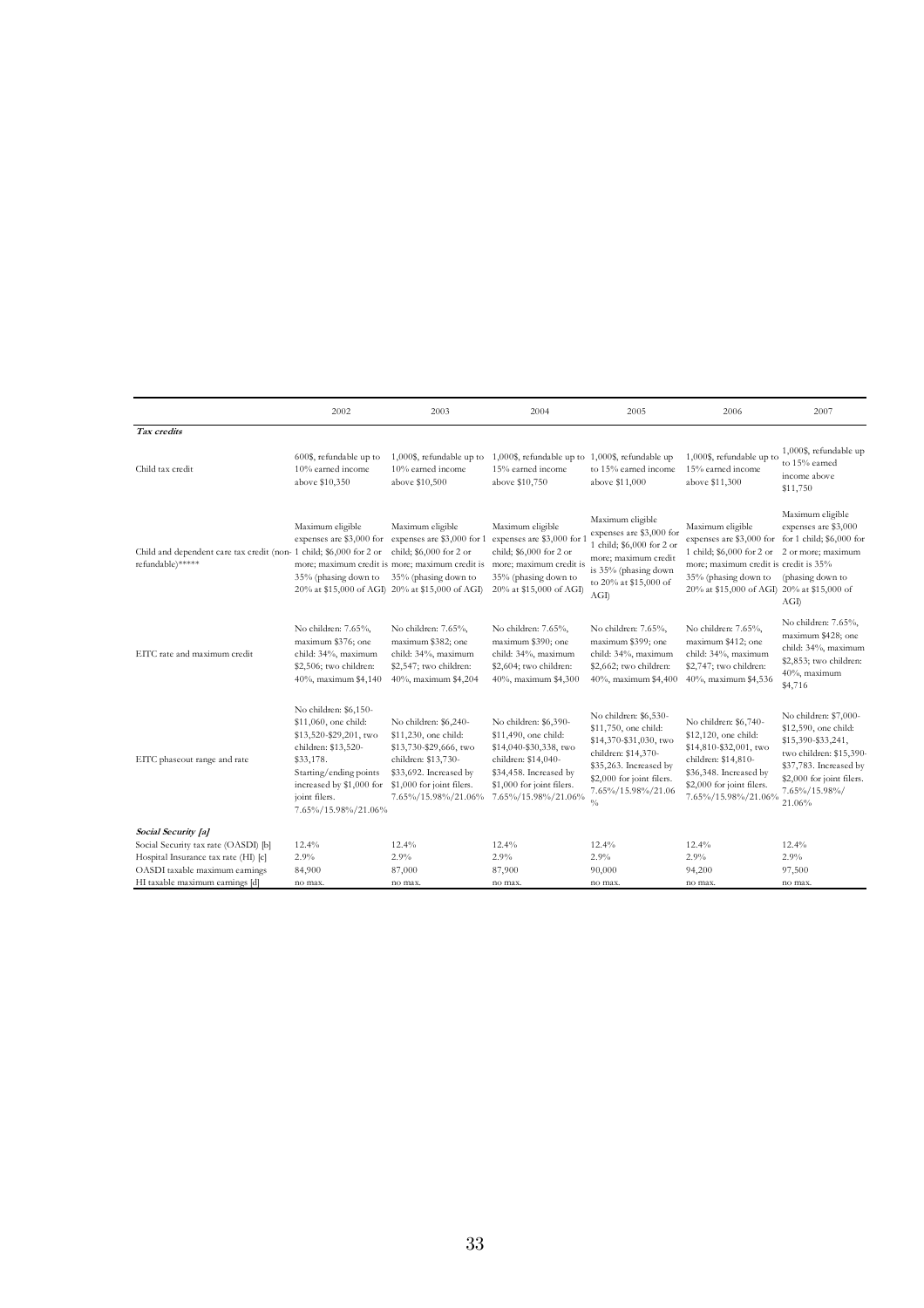|                                                                                         | 2002                                                                                                                                                                                                      | 2003                                                                                                                                                                                                                           | 2004                                                                                                                                                                         | 2005                                                                                                                                                                                         | 2006                                                                                                                                                                                                                                 | 2007                                                                                                                                                                             |
|-----------------------------------------------------------------------------------------|-----------------------------------------------------------------------------------------------------------------------------------------------------------------------------------------------------------|--------------------------------------------------------------------------------------------------------------------------------------------------------------------------------------------------------------------------------|------------------------------------------------------------------------------------------------------------------------------------------------------------------------------|----------------------------------------------------------------------------------------------------------------------------------------------------------------------------------------------|--------------------------------------------------------------------------------------------------------------------------------------------------------------------------------------------------------------------------------------|----------------------------------------------------------------------------------------------------------------------------------------------------------------------------------|
| Tax credits                                                                             |                                                                                                                                                                                                           |                                                                                                                                                                                                                                |                                                                                                                                                                              |                                                                                                                                                                                              |                                                                                                                                                                                                                                      |                                                                                                                                                                                  |
| Child tax credit                                                                        | 600\$, refundable up to<br>10% earned income<br>above \$10,350                                                                                                                                            | 1,000\$, refundable up to<br>10% earned income<br>above \$10,500                                                                                                                                                               | 1,000\$, refundable up to 1,000\$, refundable up<br>15% earned income<br>above \$10,750                                                                                      | to 15% earned income<br>above \$11,000                                                                                                                                                       | 1,000\$, refundable up to<br>15% earned income<br>above \$11,300                                                                                                                                                                     | 1,000\$, refundable up<br>to 15% earned<br>income above<br>\$11,750                                                                                                              |
| Child and dependent care tax credit (non- 1 child; \$6,000 for 2 or<br>refundable)***** | Maximum eligible<br>35% (phasing down to                                                                                                                                                                  | Maximum eligible<br>expenses are \$3,000 for expenses are \$3,000 for 1<br>child; \$6,000 for 2 or<br>more; maximum credit is more; maximum credit is<br>35% (phasing down to<br>20% at \$15,000 of AGI 20% at \$15,000 of AGI | Maximum eligible<br>expenses are \$3,000 for 1<br>child; \$6,000 for 2 or<br>more; maximum credit is<br>35% (phasing down to<br>20% at \$15,000 of AGI)                      | Maximum eligible<br>expenses are \$3,000 for<br>1 child; \$6,000 for 2 or<br>more; maximum credit<br>is 35% (phasing down<br>to 20% at \$15,000 of<br>AGI                                    | Maximum eligible<br>expenses are \$3,000 for for 1 child; \$6,000 for<br>1 child; \$6,000 for 2 or 2 or more; maximum<br>more; maximum credit is credit is 35%<br>35% (phasing down to<br>20% at \$15,000 of AGI) 20% at \$15,000 of | Maximum eligible<br>expenses are \$3,000<br>(phasing down to<br>AGI                                                                                                              |
| EITC rate and maximum credit                                                            | No children: 7.65%,<br>maximum \$376; one<br>child: 34%, maximum<br>\$2,506; two children:<br>40%, maximum \$4,140                                                                                        | No children: 7.65%,<br>maximum \$382; one<br>child: 34%, maximum<br>\$2,547; two children:<br>40%, maximum \$4,204                                                                                                             | No children: 7.65%,<br>maximum \$390; one<br>child: 34%, maximum<br>\$2,604; two children:<br>40%, maximum \$4,300                                                           | No children: 7.65%,<br>maximum \$399; one<br>child: 34%, maximum<br>\$2,662; two children:<br>40%, maximum \$4,400                                                                           | No children: 7.65%,<br>maximum \$412; one<br>child: 34%, maximum<br>\$2,747; two children:<br>40%, maximum \$4,536                                                                                                                   | No children: 7.65%,<br>maximum \$428; one<br>child: 34%, maximum<br>\$2,853; two children:<br>40%, maximum<br>\$4,716                                                            |
| EITC phaseout range and rate                                                            | No children: \$6,150-<br>\$11,060, one child:<br>\$13,520-\$29,201, two<br>children: \$13,520-<br>\$33,178.<br>Starting/ending points<br>increased by \$1,000 for<br>joint filers.<br>7.65%/15.98%/21.06% | No children: \$6,240-<br>\$11,230, one child:<br>\$13,730-\$29,666, two<br>children: \$13,730-<br>\$33,692. Increased by<br>\$1,000 for joint filers.<br>7.65%/15.98%/21.06%                                                   | No children: \$6,390-<br>\$11,490, one child:<br>\$14,040-\$30,338, two<br>children: \$14,040-<br>\$34,458. Increased by<br>\$1,000 for joint filers.<br>7.65%/15.98%/21.06% | No children: \$6,530-<br>\$11,750, one child:<br>\$14,370-\$31,030, two<br>children: \$14,370-<br>\$35,263. Increased by<br>\$2,000 for joint filers.<br>7.65%/15.98%/21.06<br>$\frac{0}{0}$ | No children: \$6,740-<br>\$12,120, one child:<br>\$14,810-\$32,001, two<br>children: \$14,810-<br>\$36,348. Increased by<br>\$2,000 for joint filers.<br>7.65%/15.98%/21.06%                                                         | No children: \$7,000-<br>\$12,590, one child:<br>\$15,390-\$33,241,<br>two children: \$15,390-<br>\$37,783. Increased by<br>\$2,000 for joint filers.<br>7.65%/15.98%/<br>21.06% |
| Social Security [a]                                                                     |                                                                                                                                                                                                           |                                                                                                                                                                                                                                |                                                                                                                                                                              |                                                                                                                                                                                              |                                                                                                                                                                                                                                      |                                                                                                                                                                                  |
| Social Security tax rate (OASDI) [b]                                                    | 12.4%                                                                                                                                                                                                     | 12.4%                                                                                                                                                                                                                          | 12.4%                                                                                                                                                                        | 12.4%                                                                                                                                                                                        | 12.4%                                                                                                                                                                                                                                | 12.4%                                                                                                                                                                            |
| Hospital Insurance tax rate (HI) [c]                                                    | 2.9%                                                                                                                                                                                                      | 2.9%                                                                                                                                                                                                                           | 2.9%                                                                                                                                                                         | 2.9%                                                                                                                                                                                         | 2.9%                                                                                                                                                                                                                                 | 2.9%                                                                                                                                                                             |
| OASDI taxable maximum earnings                                                          | 84,900                                                                                                                                                                                                    | 87,000                                                                                                                                                                                                                         | 87,900                                                                                                                                                                       | 90,000                                                                                                                                                                                       | 94,200                                                                                                                                                                                                                               | 97,500                                                                                                                                                                           |
| HI taxable maximum earnings [d]                                                         | no max.                                                                                                                                                                                                   | no max.                                                                                                                                                                                                                        | no max.                                                                                                                                                                      | no max.                                                                                                                                                                                      | no max.                                                                                                                                                                                                                              | no max.                                                                                                                                                                          |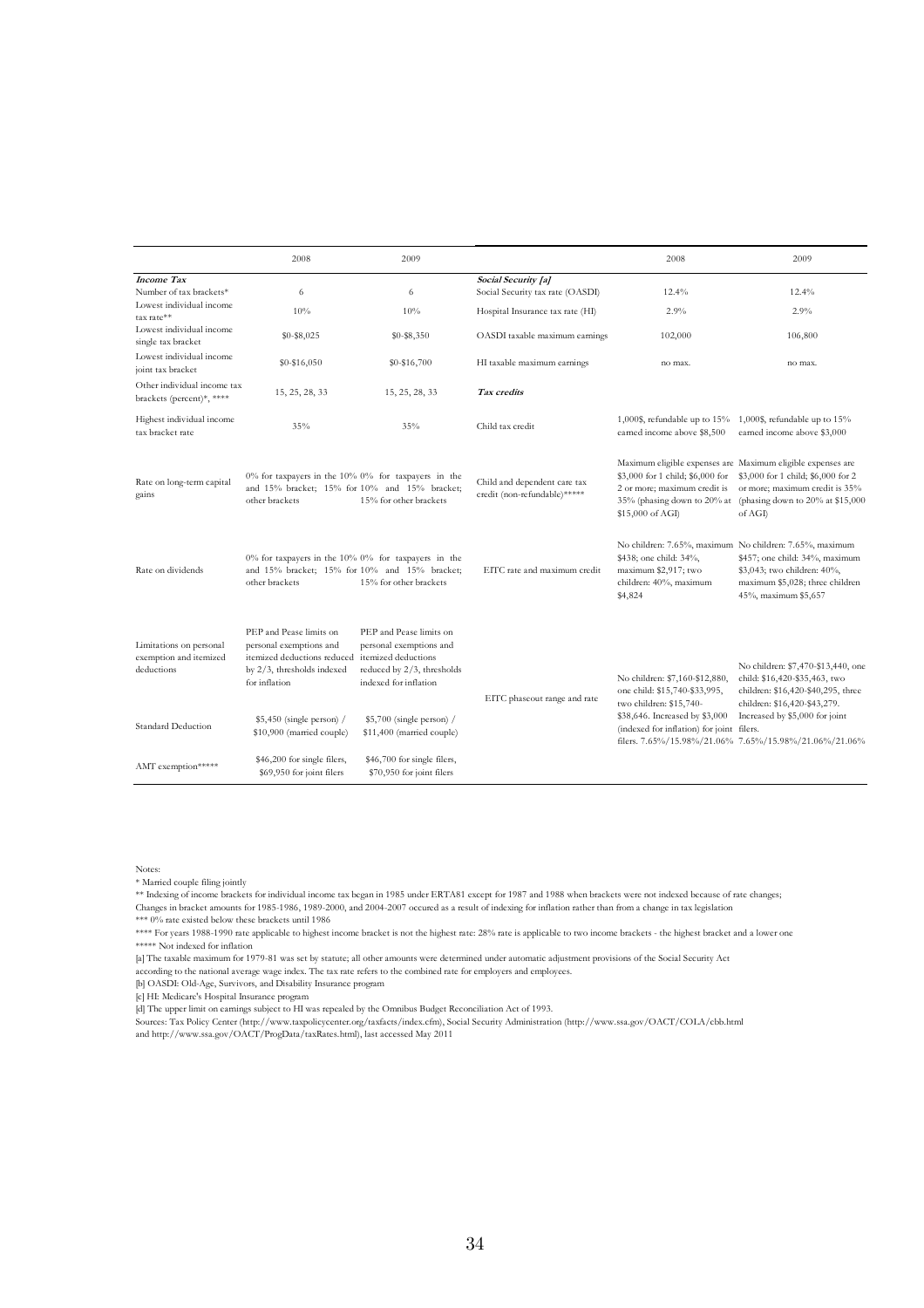|                                                                 | 2008                                                                                                                             | 2009                                                                                                                             |                                                              | 2008                                                                                                   | 2009                                                                                                                                                                                                                                            |
|-----------------------------------------------------------------|----------------------------------------------------------------------------------------------------------------------------------|----------------------------------------------------------------------------------------------------------------------------------|--------------------------------------------------------------|--------------------------------------------------------------------------------------------------------|-------------------------------------------------------------------------------------------------------------------------------------------------------------------------------------------------------------------------------------------------|
| <b>Income Tax</b><br>Number of tax brackets*                    | 6                                                                                                                                | 6                                                                                                                                | Social Security [a]<br>Social Security tax rate (OASDI)      | 12.4%                                                                                                  | 12.4%                                                                                                                                                                                                                                           |
| Lowest individual income<br>tax rate**                          | 10%                                                                                                                              | 10%                                                                                                                              | Hospital Insurance tax rate (HI)                             | 2.9%                                                                                                   | 2.9%                                                                                                                                                                                                                                            |
| Lowest individual income<br>single tax bracket                  | $$0 - $8,025$                                                                                                                    | $$0 - $8,350$                                                                                                                    | OASDI taxable maximum earnings                               | 102,000                                                                                                | 106,800                                                                                                                                                                                                                                         |
| Lowest individual income<br>joint tax bracket                   | \$0-\$16,050                                                                                                                     | \$0-\$16,700                                                                                                                     | HI taxable maximum earnings                                  | no max.                                                                                                | no max.                                                                                                                                                                                                                                         |
| Other individual income tax<br>brackets (percent)*, ****        | 15, 25, 28, 33                                                                                                                   | 15, 25, 28, 33                                                                                                                   | Tax credits                                                  |                                                                                                        |                                                                                                                                                                                                                                                 |
| Highest individual income<br>tax bracket rate                   | 35%                                                                                                                              | 35%                                                                                                                              | Child tax credit                                             | 1,000\$, refundable up to 15%<br>earned income above \$8,500                                           | 1,000\$, refundable up to $15%$<br>earned income above \$3,000                                                                                                                                                                                  |
| Rate on long-term capital<br>gains                              | $0\%$ for taxpayers in the $10\%$ $0\%$ for taxpayers in the<br>and 15% bracket; 15% for 10% and 15% bracket;<br>other brackets  | 15% for other brackets                                                                                                           | Child and dependent care tax<br>credit (non-refundable)***** | 2 or more; maximum credit is<br>\$15,000 of AGI)                                                       | Maximum eligible expenses are Maximum eligible expenses are<br>\$3,000 for 1 child; \$6,000 for \$3,000 for 1 child; \$6,000 for 2<br>or more; maximum credit is 35%<br>35% (phasing down to 20% at (phasing down to 20% at \$15,000<br>of AGI) |
| Rate on dividends                                               | $0\%$ for taxpayers in the $10\%$ $0\%$ for taxpayers in the<br>and 15% bracket: 15% for 10% and 15% bracket:<br>other brackets  | 15% for other brackets                                                                                                           | EITC rate and maximum credit                                 | \$438; one child: 34%,<br>maximum \$2,917; two<br>children: 40%, maximum<br>\$4,824                    | No children: 7.65%, maximum No children: 7.65%, maximum<br>\$457; one child: 34%, maximum<br>\$3,043; two children: 40%,<br>maximum \$5,028; three children<br>45%, maximum \$5,657                                                             |
| Limitations on personal<br>exemption and itemized<br>deductions | PEP and Pease limits on<br>personal exemptions and<br>itemized deductions reduced<br>by 2/3, thresholds indexed<br>for inflation | PEP and Pease limits on<br>personal exemptions and<br>itemized deductions<br>reduced by 2/3, thresholds<br>indexed for inflation | EITC phaseout range and rate                                 | No children: \$7,160-\$12,880,<br>one child: \$15,740-\$33,995,                                        | No children: \$7,470-\$13,440, one<br>child: \$16,420-\$35,463, two<br>children: \$16,420-\$40,295, three                                                                                                                                       |
| Standard Deduction                                              | $$5,450$ (single person) /<br>\$10,900 (married couple)                                                                          | $$5,700$ (single person) /<br>\$11,400 (married couple)                                                                          |                                                              | two children: \$15,740-<br>\$38,646. Increased by \$3,000<br>(indexed for inflation) for joint filers. | children: \$16,420-\$43,279.<br>Increased by \$5,000 for joint<br>filers. 7.65%/15.98%/21.06% 7.65%/15.98%/21.06%/21.06%                                                                                                                        |
| AMT exemption*****                                              | \$46,200 for single filers,<br>\$69,950 for joint filers                                                                         | \$46,700 for single filers,<br>\$70,950 for joint filers                                                                         |                                                              |                                                                                                        |                                                                                                                                                                                                                                                 |

Notes:

\* Married couple filing jointly

\*\* Indexing of income brackets for individual income tax began in 1985 under ERTA81 except for 1987 and 1988 when brackets were not indexed because of rate changes; Changes in bracket amounts for 1985-1986, 1989-2000, and 2004-2007 occured as a result of indexing for inflation rather than from a change in tax legislation \*\*\* 0% rate existed below these brackets until 1986

\*\*\*\* For years 1988-1990 rate applicable to highest income bracket is not the highest rate: 28% rate is applicable to two income brackets - the highest bracket and a lower one \*\*\*\*\* Not indexed for inflation

[a] The taxable maximum for 1979-81 was set by statute; all other amounts were determined under automatic adjustment provisions of the Social Security Act

according to the national average wage index. The tax rate refers to the combined rate for employers and employees. [b] OASDI: Old-Age, Survivors, and Disability Insurance program

[c] HI: Medicare's Hospital Insurance program

[d] The upper limit on earnings subject to HI was repealed by the Omnibus Budget Reconciliation Act of 1993.

Sources: Tax Policy Center (http://www.taxpolicycenter.org/taxfacts/index.cfm), Social Security Administration (http://www.ssa.gov/OACT/COLA/cbb.html and http://www.ssa.gov/OACT/ProgData/taxRates.html), last accessed May 2011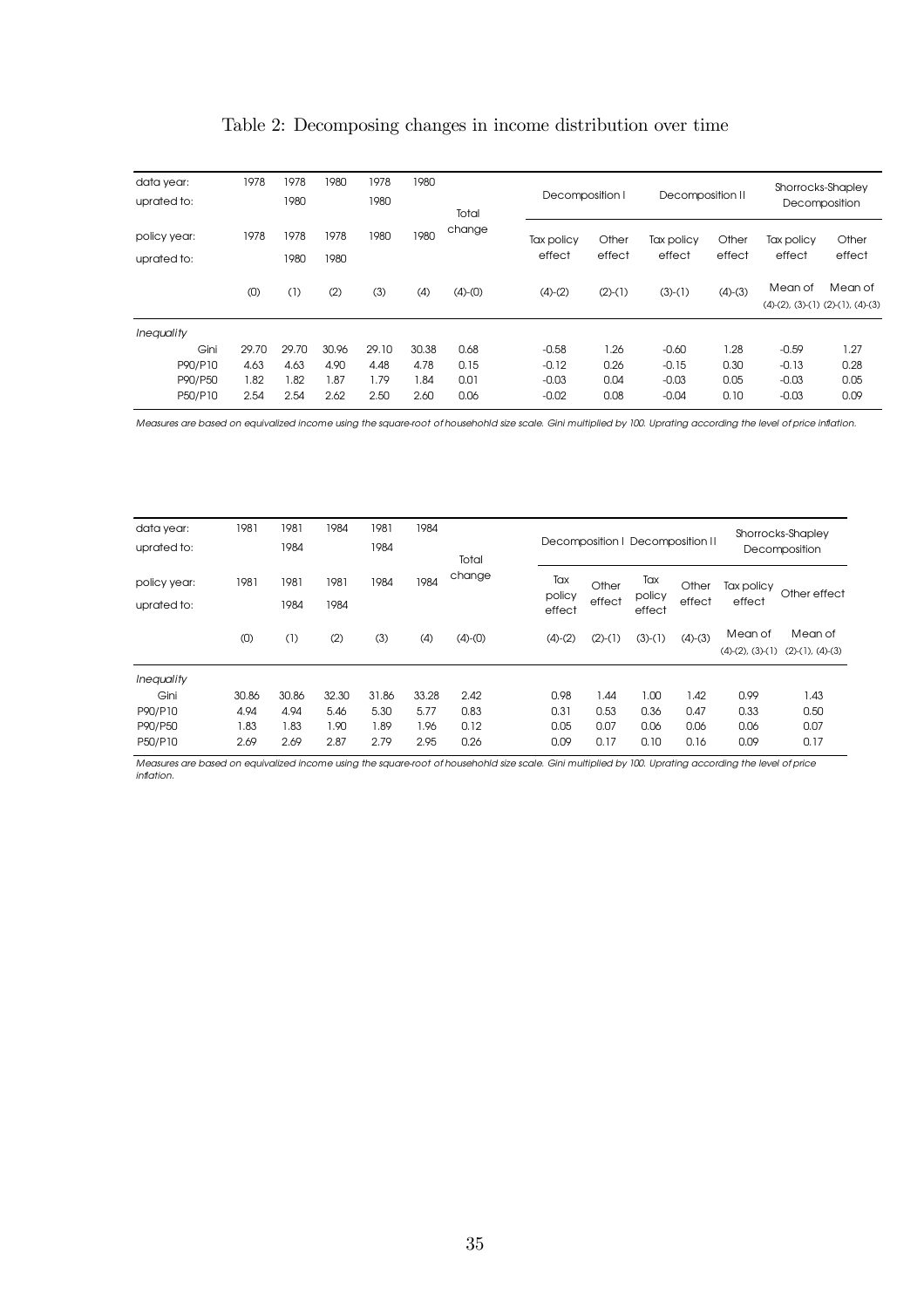| Table 2: Decomposing changes in income distribution over time |  |  |  |
|---------------------------------------------------------------|--|--|--|
|                                                               |  |  |  |

| data year:<br>uprated to:   | 1978  | 1978<br>1980 | 1980         | 1978<br>1980 | 1980  |                 |                      | Decomposition I |                      | Decomposition II |                      | Shorrocks-Shapley<br>Decomposition                     |  |
|-----------------------------|-------|--------------|--------------|--------------|-------|-----------------|----------------------|-----------------|----------------------|------------------|----------------------|--------------------------------------------------------|--|
| policy year:<br>uprated to: | 1978  | 1978<br>1980 | 1978<br>1980 | 1980         | 1980  | Total<br>change | Tax policy<br>effect | Other<br>effect | Tax policy<br>effect | Other<br>effect  | Tax policy<br>effect | Other<br>effect                                        |  |
|                             | (0)   | (1)          | (2)          | (3)          | (4)   | $(4)-(0)$       | $(4)-(2)$            | $(2)-(1)$       | $(3)-(1)$            | $(4)-(3)$        | Mean of              | Mean of<br>$(4)-(2)$ , $(3)-(1)$ $(2)-(1)$ , $(4)-(3)$ |  |
| Inequality                  |       |              |              |              |       |                 |                      |                 |                      |                  |                      |                                                        |  |
| Gini                        | 29.70 | 29.70        | 30.96        | 29.10        | 30.38 | 0.68            | $-0.58$              | 1.26            | $-0.60$              | 1.28             | $-0.59$              | 1.27                                                   |  |
| P90/P10                     | 4.63  | 4.63         | 4.90         | 4.48         | 4.78  | 0.15            | $-0.12$              | 0.26            | $-0.15$              | 0.30             | $-0.13$              | 0.28                                                   |  |
| P90/P50                     | 1.82  | 1.82         | 1.87         | 1.79         | .84   | 0.01            | $-0.03$              | 0.04            | $-0.03$              | 0.05             | $-0.03$              | 0.05                                                   |  |
| P50/P10                     | 2.54  | 2.54         | 2.62         | 2.50         | 2.60  | 0.06            | $-0.02$              | 0.08            | $-0.04$              | 0.10             | $-0.03$              | 0.09                                                   |  |

Measures are based on equivalized income using the square-root of househohld size scale. Gini multiplied by 100. Uprating according the level of price inflation.

| data year:<br>uprated to:   | 1981  | 1981<br>1984 | 1984         | 1981<br>1984 | 1984  | Total     |                         |                 |                         | Decomposition   Decomposition |                      | Shorrocks-Shapley<br>Decomposition |                                  |
|-----------------------------|-------|--------------|--------------|--------------|-------|-----------|-------------------------|-----------------|-------------------------|-------------------------------|----------------------|------------------------------------|----------------------------------|
| policy year:<br>uprated to: | 1981  | 1981<br>1984 | 1981<br>1984 | 1984         | 1984  | change    | Tax<br>policy<br>effect | Other<br>effect | Tax<br>policy<br>effect | Other<br>effect               | Tax policy<br>effect | Other effect                       |                                  |
|                             | (0)   | (1)          | (2)          | (3)          | (4)   | $(4)-(0)$ |                         | $(4)-(2)$       | $(2)-(1)$               | $(3)-(1)$                     | $(4)-(3)$            | Mean of<br>$(4)-(2)$ , $(3)-(1)$   | Mean of<br>$(2)-(1)$ , $(4)-(3)$ |
| <i>Inequality</i>           |       |              |              |              |       |           |                         |                 |                         |                               |                      |                                    |                                  |
| Gini                        | 30.86 | 30.86        | 32.30        | 31.86        | 33.28 | 2.42      |                         | 0.98            | 1.44                    | 1.00                          | 1.42                 | 0.99                               | 1.43                             |
| P90/P10                     | 4.94  | 4.94         | 5.46         | 5.30         | 5.77  | 0.83      |                         | 0.31            | 0.53                    | 0.36                          | 0.47                 | 0.33                               | 0.50                             |
| P90/P50                     | .83   | 1.83         | 1.90         | 1.89         | 1.96  | 0.12      |                         | 0.05            | 0.07                    | 0.06                          | 0.06                 | 0.06                               | 0.07                             |
| P50/P10                     | 2.69  | 2.69         | 2.87         | 2.79         | 2.95  | 0.26      |                         | 0.09            | 0.17                    | 0.10                          | 0.16                 | 0.09                               | 0.17                             |

Measures are based on equivalized income using the square-root of househohld size scale. Gini multiplied by 100. Uprating according the level of price inflation.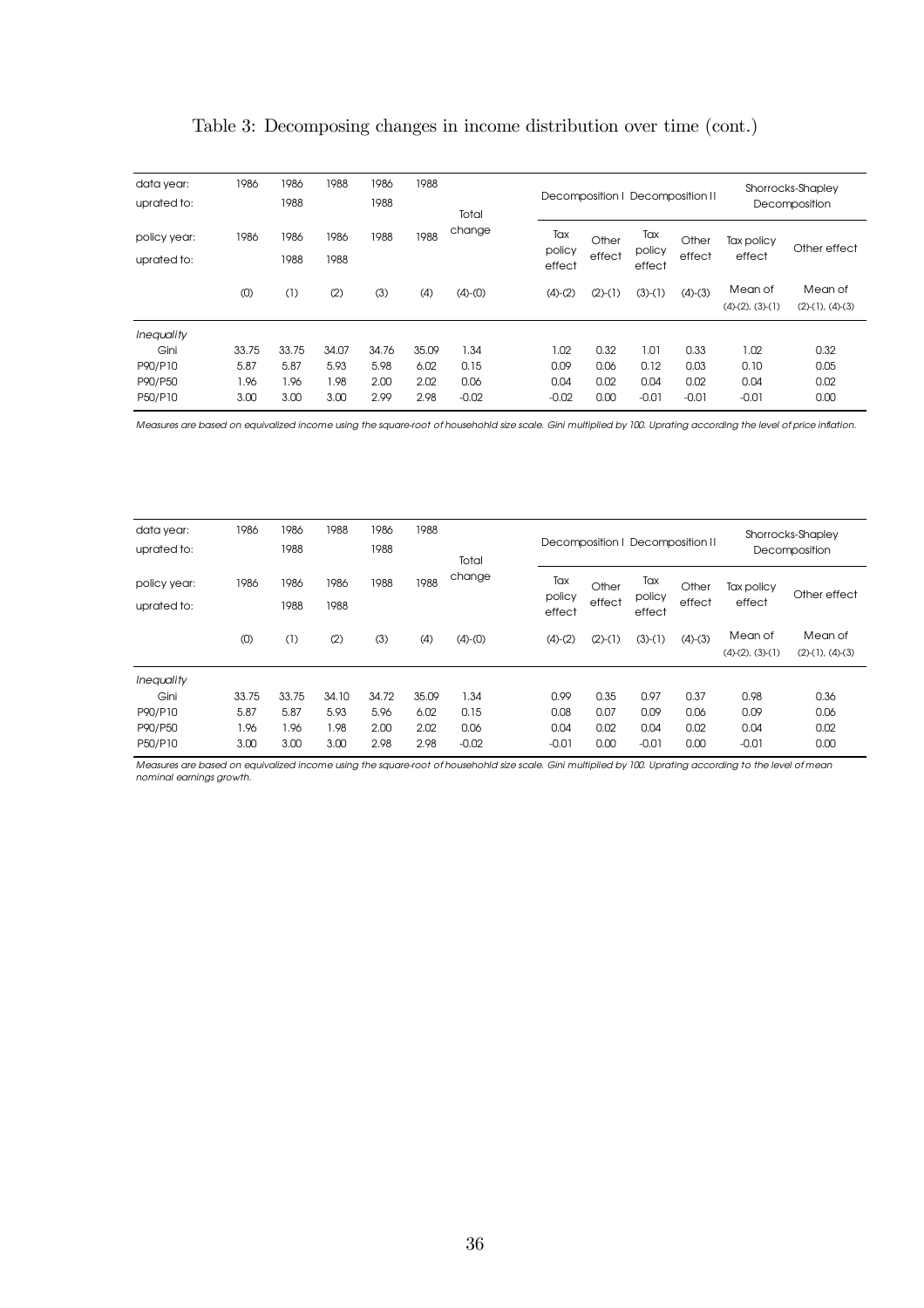|  | Table 3: Decomposing changes in income distribution over time (cont.) |  |  |  |  |  |  |
|--|-----------------------------------------------------------------------|--|--|--|--|--|--|
|--|-----------------------------------------------------------------------|--|--|--|--|--|--|

| data year:<br>uprated to:   | 1986  | 1986<br>1988 | 1988         | 1986<br>1988 | 1988  | Total     |  |                         | Decomposition   Decomposition |                         |                 | Shorrocks-Shapley<br>Decomposition |                                  |  |
|-----------------------------|-------|--------------|--------------|--------------|-------|-----------|--|-------------------------|-------------------------------|-------------------------|-----------------|------------------------------------|----------------------------------|--|
| policy year:<br>uprated to: | 1986  | 1986<br>1988 | 1986<br>1988 | 1988         | 1988  | change    |  | Tax<br>policy<br>effect | Other<br>effect               | Tax<br>policy<br>effect | Other<br>effect | Tax policy<br>effect               | Other effect                     |  |
|                             | (0)   | (1)          | (2)          | (3)          | (4)   | $(4)-(0)$ |  | $(4)-(2)$               | $(2)-(1)$                     | $(3)-(1)$               | $(4)-(3)$       | Mean of<br>$(4)-(2)$ , $(3)-(1)$   | Mean of<br>$(2)-(1)$ , $(4)-(3)$ |  |
| <b>Inequality</b>           |       |              |              |              |       |           |  |                         |                               |                         |                 |                                    |                                  |  |
| Gini                        | 33.75 | 33.75        | 34.07        | 34.76        | 35.09 | 1.34      |  | 1.02                    | 0.32                          | 1.01                    | 0.33            | 1.02                               | 0.32                             |  |
| P90/P10                     | 5.87  | 5.87         | 5.93         | 5.98         | 6.02  | 0.15      |  | 0.09                    | 0.06                          | 0.12                    | 0.03            | 0.10                               | 0.05                             |  |
| P90/P50                     | 1.96  | 1.96         | 1.98         | 2.00         | 2.02  | 0.06      |  | 0.04                    | 0.02                          | 0.04                    | 0.02            | 0.04                               | 0.02                             |  |
| P50/P10                     | 3.00  | 3.00         | 3.00         | 2.99         | 2.98  | $-0.02$   |  | $-0.02$                 | 0.00                          | $-0.01$                 | $-0.01$         | $-0.01$                            | 0.00                             |  |

Measures are based on equivalized income using the square-root of househohld size scale. Gini multiplied by 100. Uprating according the level of price inflation.

| data year:<br>uprated to:   | 1986  | 1986<br>1988 | 1988         | 1986<br>1988 | 1988  | Total     |                  |           | Decomposition   Decomposition |                         |                 | Shorrocks-Shapley<br>Decomposition |                                  |  |
|-----------------------------|-------|--------------|--------------|--------------|-------|-----------|------------------|-----------|-------------------------------|-------------------------|-----------------|------------------------------------|----------------------------------|--|
| policy year:<br>uprated to: | 1986  | 1986<br>1988 | 1986<br>1988 | 1988         | 1988  | change    | policy<br>effect |           | Other<br>effect               | Tax<br>policy<br>effect | Other<br>effect | Tax policy<br>effect               | Other effect                     |  |
|                             | (0)   | (1)          | (2)          | (3)          | (4)   | $(4)-(0)$ |                  | $(4)-(2)$ | $(2)-(1)$                     | $(3)-(1)$               | $(4)-(3)$       | Mean of<br>$(4)-(2)$ , $(3)-(1)$   | Mean of<br>$(2)-(1)$ , $(4)-(3)$ |  |
| Inequality                  |       |              |              |              |       |           |                  |           |                               |                         |                 |                                    |                                  |  |
| Gini                        | 33.75 | 33.75        | 34.10        | 34.72        | 35.09 | 1.34      |                  | 0.99      | 0.35                          | 0.97                    | 0.37            | 0.98                               | 0.36                             |  |
| P90/P10                     | 5.87  | 5.87         | 5.93         | 5.96         | 6.02  | 0.15      |                  | 0.08      | 0.07                          | 0.09                    | 0.06            | 0.09                               | 0.06                             |  |
| P90/P50                     | 1.96  | 1.96         | 1.98         | 2.00         | 2.02  | 0.06      |                  | 0.04      | 0.02                          | 0.04                    | 0.02            | 0.04                               | 0.02                             |  |
| P50/P10                     | 3.00  | 3.00         | 3.00         | 2.98         | 2.98  | $-0.02$   |                  | $-0.01$   | 0.00                          | $-0.01$                 | 0.00            | $-0.01$                            | 0.00                             |  |

Measures are based on equivalized income using the square-root of househohld size scale. Gini multiplied by 100. Uprating according to the level of mean nominal earnings growth.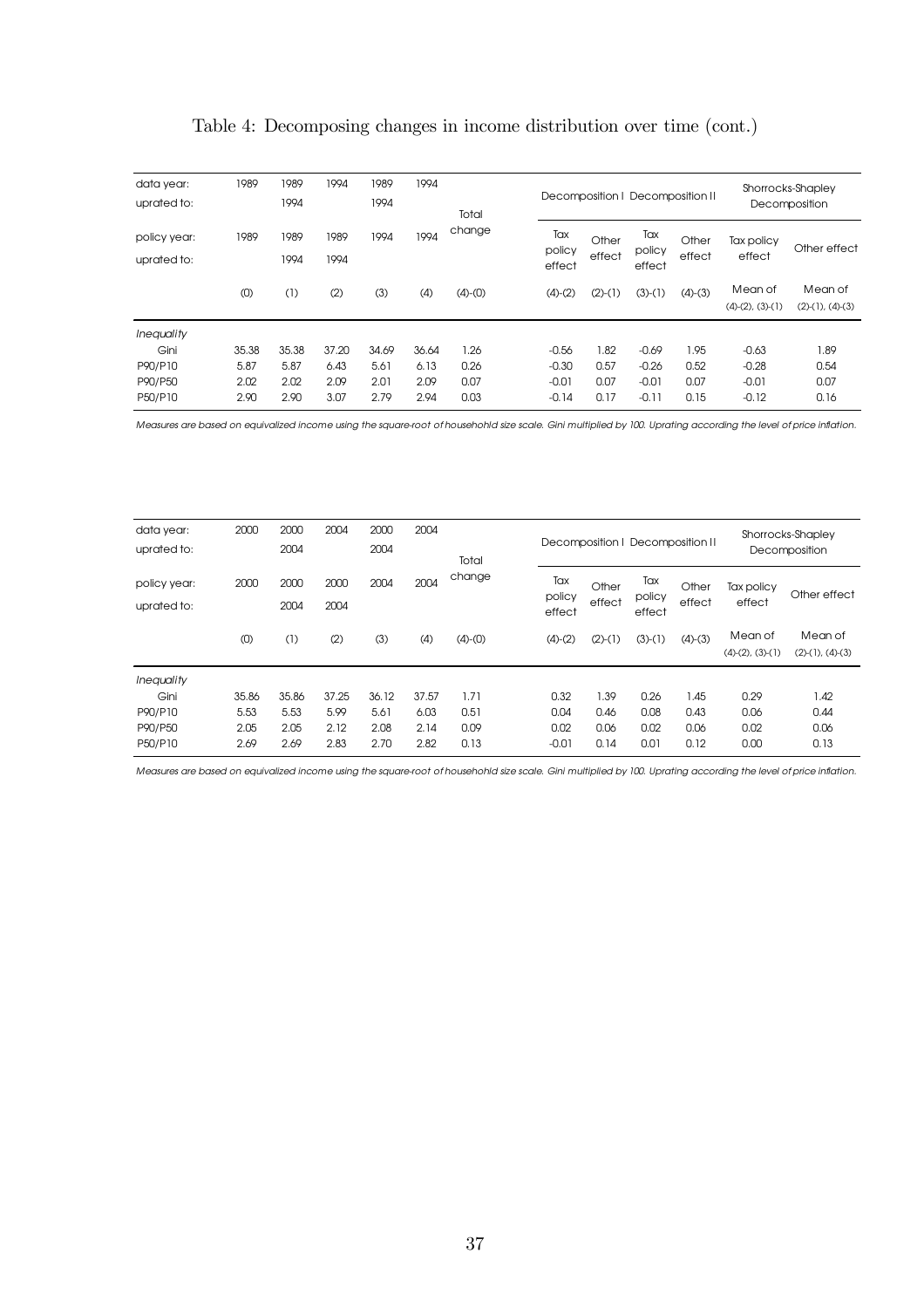|  |  |  |  |  | Table 4: Decomposing changes in income distribution over time (cont.) |  |  |  |
|--|--|--|--|--|-----------------------------------------------------------------------|--|--|--|
|--|--|--|--|--|-----------------------------------------------------------------------|--|--|--|

| data year:<br>uprated to:                           | 1989                          | 1989<br>1994                  | 1994                          | 1989<br>1994                  | 1994                          | Total                        |                                          |                              |                                          | Decomposition   Decomposition | Shorrocks-Shapley<br>Decomposition       |                                  |  |
|-----------------------------------------------------|-------------------------------|-------------------------------|-------------------------------|-------------------------------|-------------------------------|------------------------------|------------------------------------------|------------------------------|------------------------------------------|-------------------------------|------------------------------------------|----------------------------------|--|
| policy year:<br>uprated to:                         | 1989                          | 1989<br>1994                  | 1989<br>1994                  | 1994                          | 1994                          | change                       | Tax<br>policy<br>effect                  | Other<br>effect              | Tax<br>policy<br>effect                  | Other<br>effect               | Tax policy<br>effect                     | Other effect                     |  |
|                                                     | (0)                           | (1)                           | (2)                           | (3)                           | (4)                           | $(4)-(0)$                    | $(4)-(2)$                                | $(2)-(1)$                    | $(3)-(1)$                                | $(4)-(3)$                     | Mean of<br>$(4)-(2)$ , $(3)-(1)$         | Mean of<br>$(2)-(1)$ , $(4)-(3)$ |  |
| Inequality<br>Gini<br>P90/P10<br>P90/P50<br>P50/P10 | 35.38<br>5.87<br>2.02<br>2.90 | 35.38<br>5.87<br>2.02<br>2.90 | 37.20<br>6.43<br>2.09<br>3.07 | 34.69<br>5.61<br>2.01<br>2.79 | 36.64<br>6.13<br>2.09<br>2.94 | 1.26<br>0.26<br>0.07<br>0.03 | $-0.56$<br>$-0.30$<br>$-0.01$<br>$-0.14$ | 1.82<br>0.57<br>0.07<br>0.17 | $-0.69$<br>$-0.26$<br>$-0.01$<br>$-0.11$ | 1.95<br>0.52<br>0.07<br>0.15  | $-0.63$<br>$-0.28$<br>$-0.01$<br>$-0.12$ | 1.89<br>0.54<br>0.07<br>0.16     |  |

Measures are based on equivalized income using the square-root of househohld size scale. Gini multiplied by 100. Uprating according the level of price inflation.

| data year:<br>uprated to:   | 2000  | 2000<br>2004 | 2004         | 2000<br>2004 | 2004  | Total<br>change |  |                         | Decomposition   Decomposition |                         | Shorrocks-Shapley<br>Decomposition |                                  |                                  |
|-----------------------------|-------|--------------|--------------|--------------|-------|-----------------|--|-------------------------|-------------------------------|-------------------------|------------------------------------|----------------------------------|----------------------------------|
| policy year:<br>uprated to: | 2000  | 2000<br>2004 | 2000<br>2004 | 2004         | 2004  |                 |  | Tax<br>policy<br>effect | Other<br>effect               | Tax<br>policy<br>effect | Other<br>effect                    | Tax policy<br>effect             | Other effect                     |
|                             | (0)   | (1)          | (2)          | (3)          | (4)   | $(4)-(0)$       |  | $(4)-(2)$               | $(2)-(1)$                     | $(3)-(1)$               | $(4)-(3)$                          | Mean of<br>$(4)-(2)$ , $(3)-(1)$ | Mean of<br>$(2)-(1)$ , $(4)-(3)$ |
| <b>Inequality</b>           |       |              |              |              |       |                 |  |                         |                               |                         |                                    |                                  |                                  |
| Gini                        | 35.86 | 35.86        | 37.25        | 36.12        | 37.57 | 1.71            |  | 0.32                    | 1.39                          | 0.26                    | 1.45                               | 0.29                             | 1.42                             |
| P90/P10                     | 5.53  | 5.53         | 5.99         | 5.61         | 6.03  | 0.51            |  | 0.04                    | 0.46                          | 0.08                    | 0.43                               | 0.06                             | 0.44                             |
| P90/P50                     | 2.05  | 2.05         | 2.12         | 2.08         | 2.14  | 0.09            |  | 0.02                    | 0.06                          | 0.02                    | 0.06                               | 0.02                             | 0.06                             |
| P50/P10                     | 2.69  | 2.69         | 2.83         | 2.70         | 2.82  | 0.13            |  | $-0.01$                 | 0.14                          | 0.01                    | 0.12                               | 0.00                             | 0.13                             |

Measures are based on equivalized income using the square-root of househohld size scale. Gini multiplied by 100. Uprating according the level of price inflation.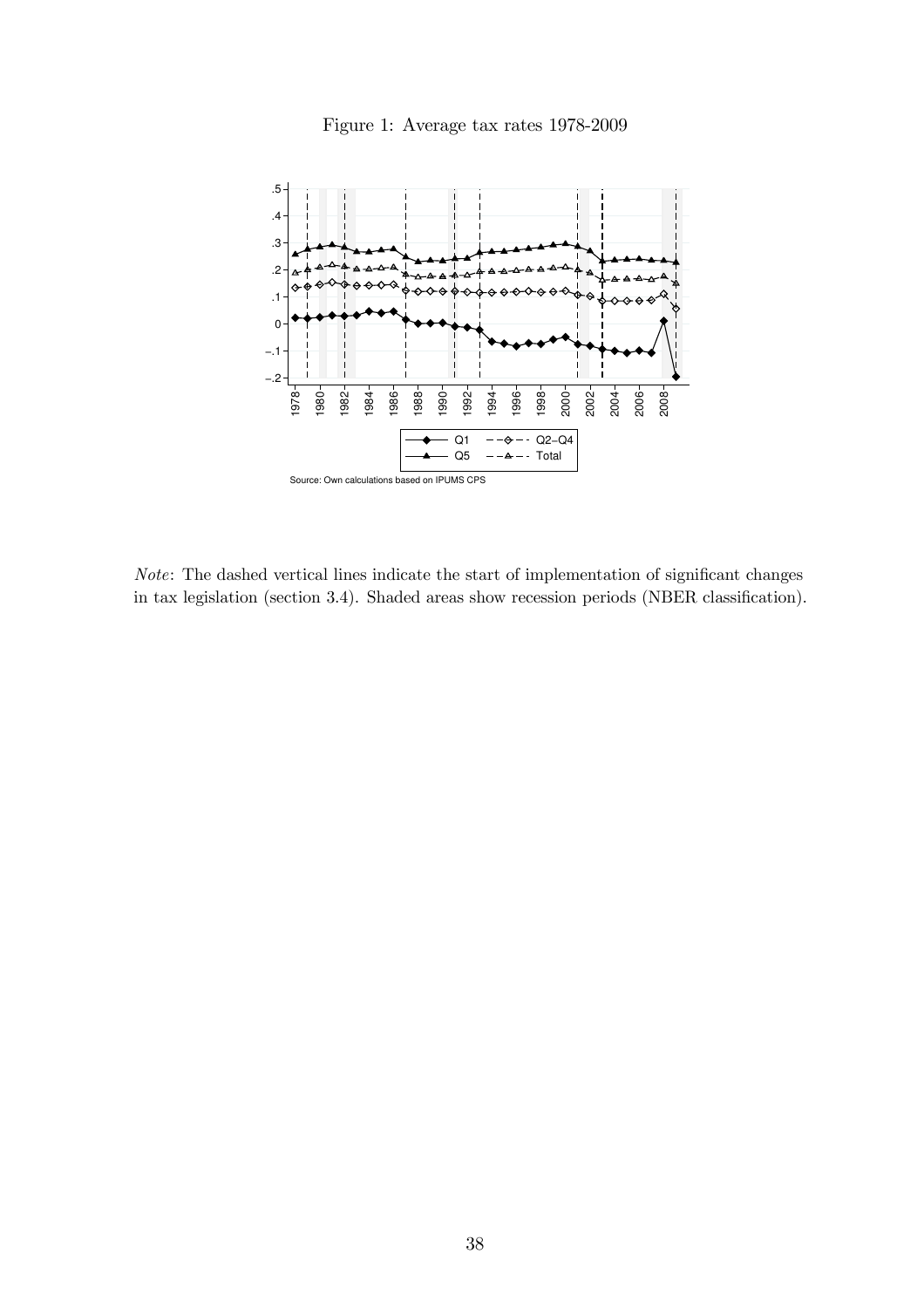

Figure 1: Average tax rates 1978-2009

Note: The dashed vertical lines indicate the start of implementation of significant changes in tax legislation (section 3.4). Shaded areas show recession periods (NBER classification).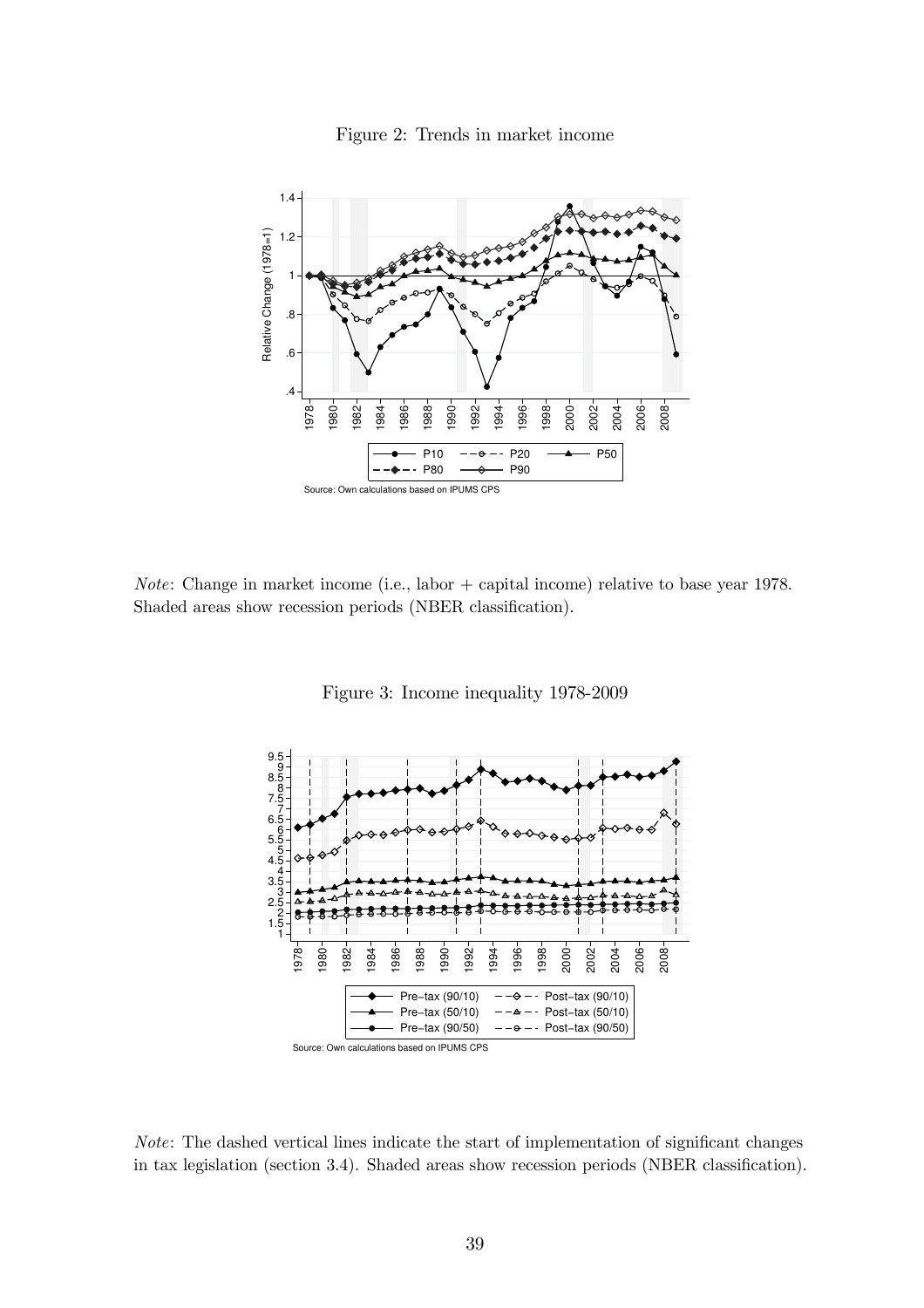



Note: Change in market income (i.e., labor + capital income) relative to base year 1978. Shaded areas show recession periods (NBER classification).





Note: The dashed vertical lines indicate the start of implementation of significant changes in tax legislation (section 3.4). Shaded areas show recession periods (NBER classification).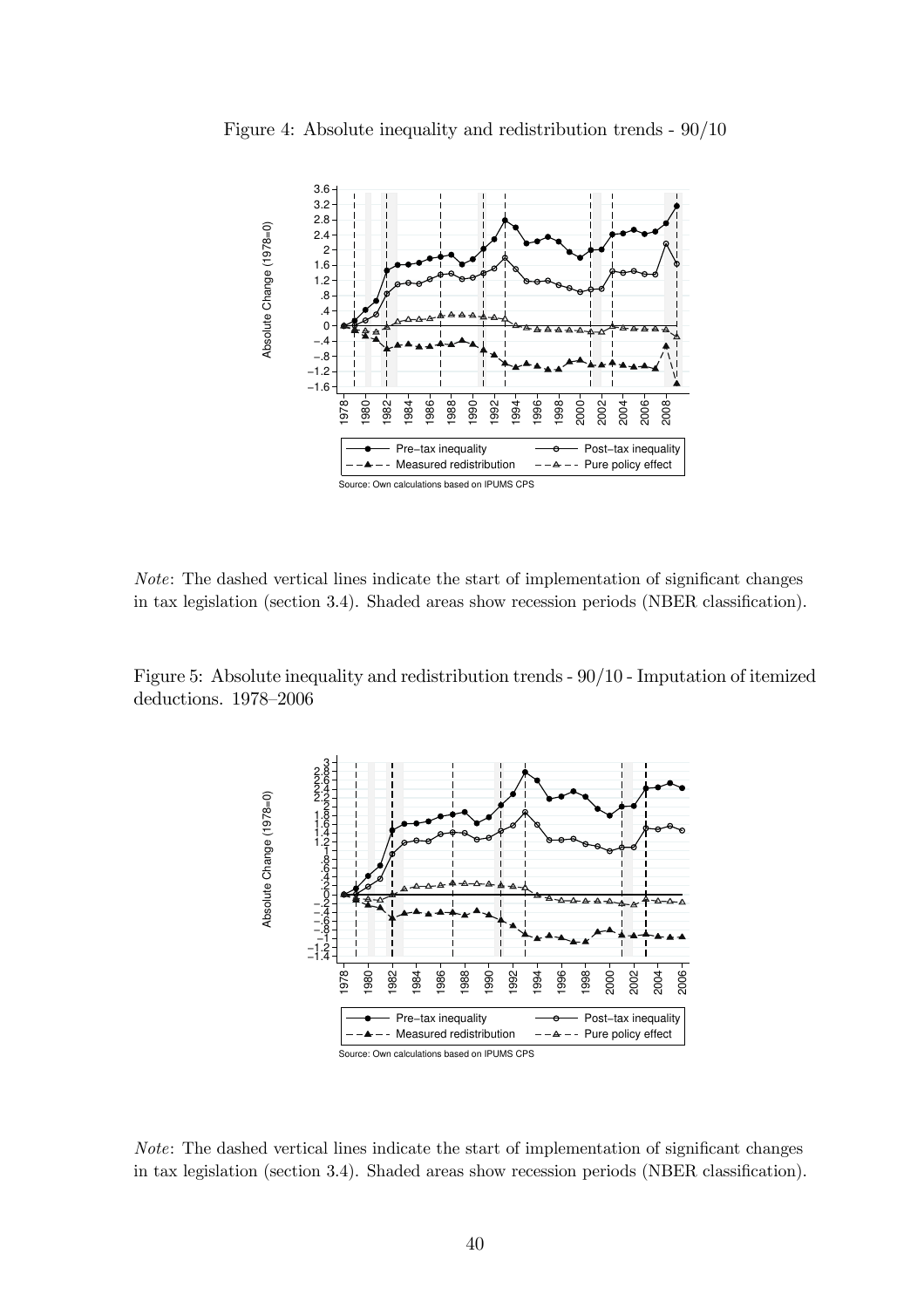



Note: The dashed vertical lines indicate the start of implementation of significant changes in tax legislation (section 3.4). Shaded areas show recession periods (NBER classification).

Figure 5: Absolute inequality and redistribution trends - 90/10 - Imputation of itemized deductions. 1978—2006



Note: The dashed vertical lines indicate the start of implementation of significant changes in tax legislation (section 3.4). Shaded areas show recession periods (NBER classification).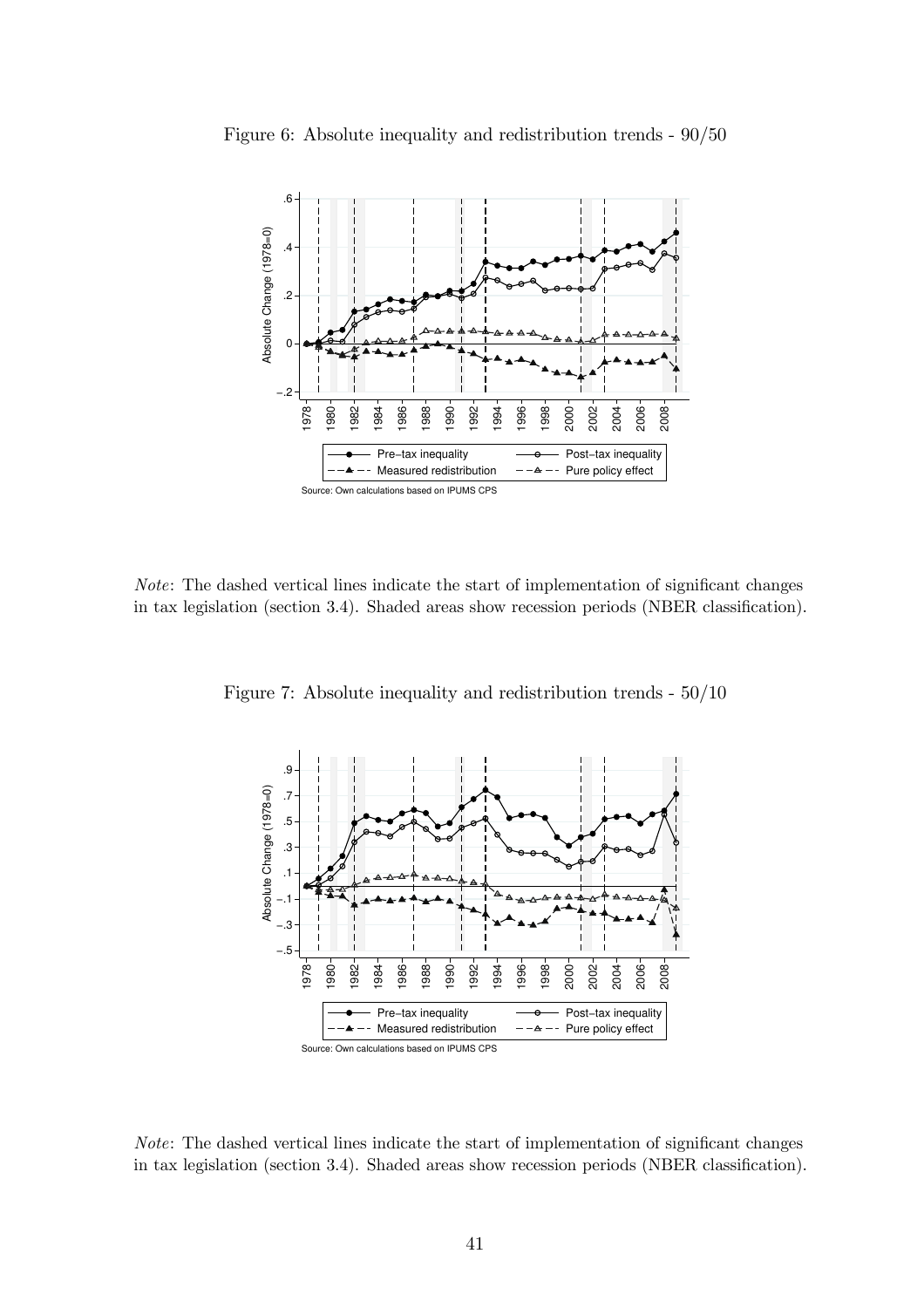

Figure 6: Absolute inequality and redistribution trends - 90/50

Note: The dashed vertical lines indicate the start of implementation of significant changes in tax legislation (section 3.4). Shaded areas show recession periods (NBER classification).

Figure 7: Absolute inequality and redistribution trends - 50/10



Note: The dashed vertical lines indicate the start of implementation of significant changes in tax legislation (section 3.4). Shaded areas show recession periods (NBER classification).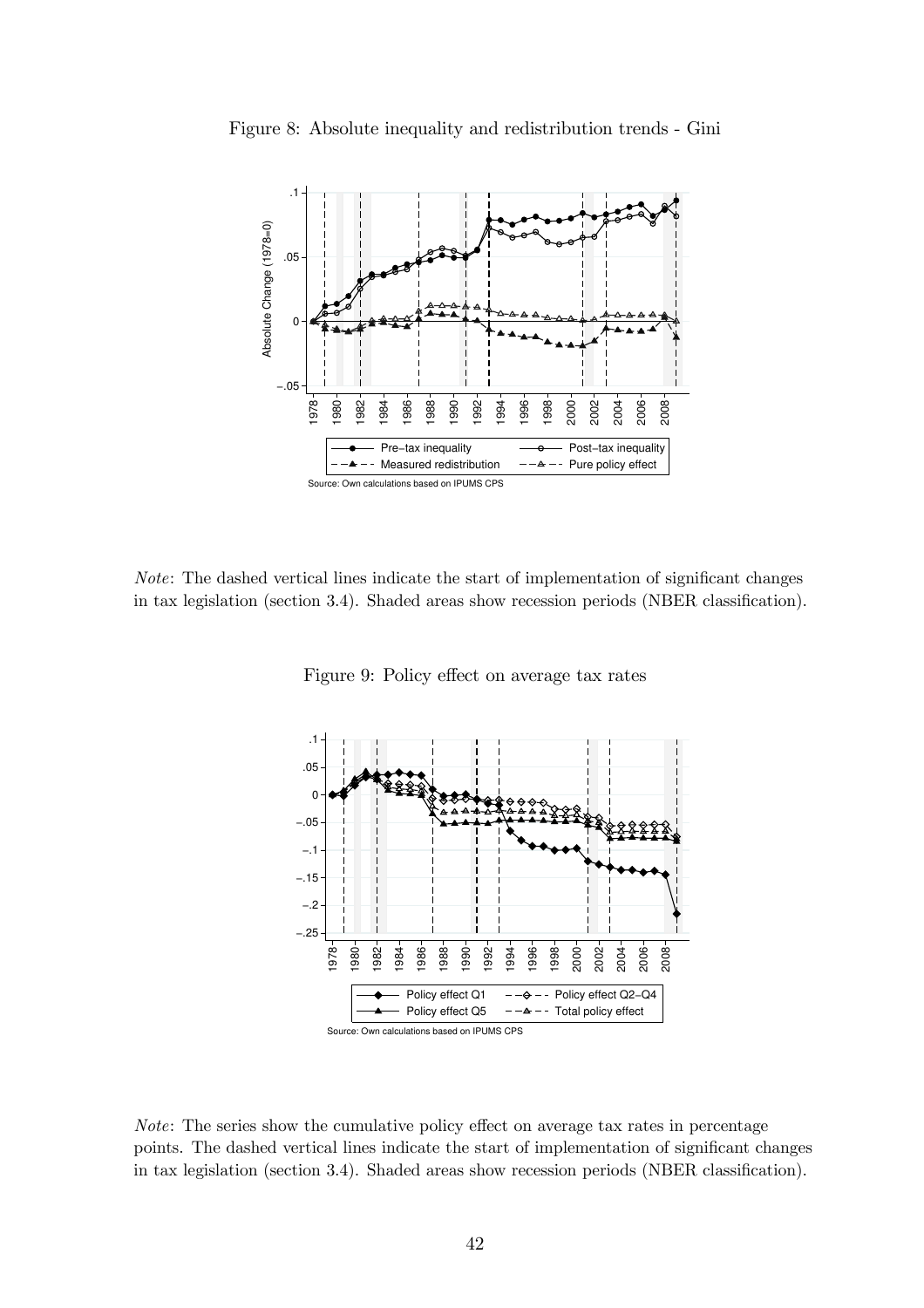

Figure 8: Absolute inequality and redistribution trends - Gini

Note: The dashed vertical lines indicate the start of implementation of significant changes in tax legislation (section 3.4). Shaded areas show recession periods (NBER classification).



Figure 9: Policy effect on average tax rates

Note: The series show the cumulative policy effect on average tax rates in percentage points. The dashed vertical lines indicate the start of implementation of significant changes in tax legislation (section 3.4). Shaded areas show recession periods (NBER classification).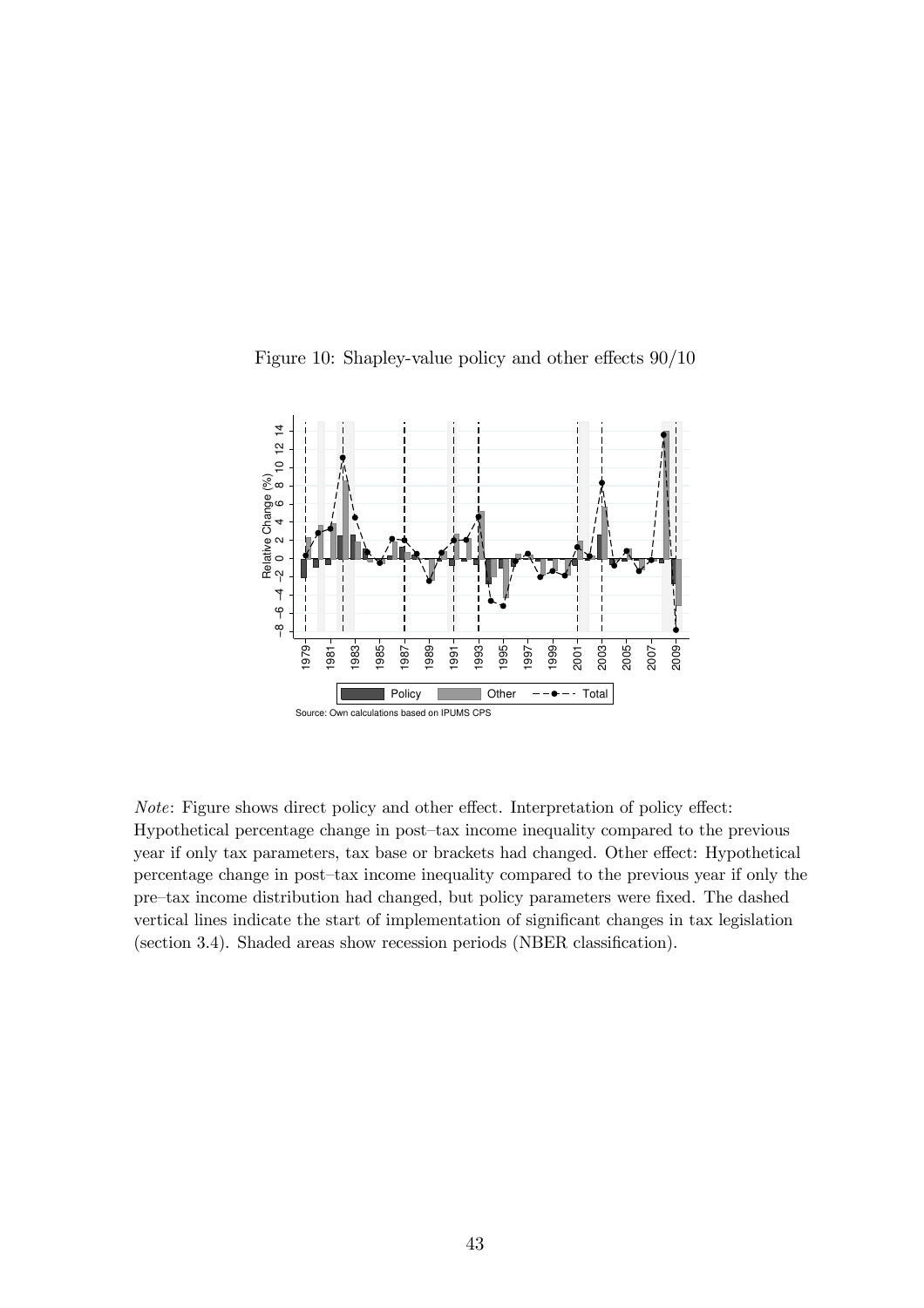

Figure 10: Shapley-value policy and other effects 90/10

Note: Figure shows direct policy and other effect. Interpretation of policy effect: Hypothetical percentage change in post—tax income inequality compared to the previous year if only tax parameters, tax base or brackets had changed. Other effect: Hypothetical percentage change in post—tax income inequality compared to the previous year if only the pre—tax income distribution had changed, but policy parameters were fixed. The dashed vertical lines indicate the start of implementation of significant changes in tax legislation (section 3.4). Shaded areas show recession periods (NBER classification).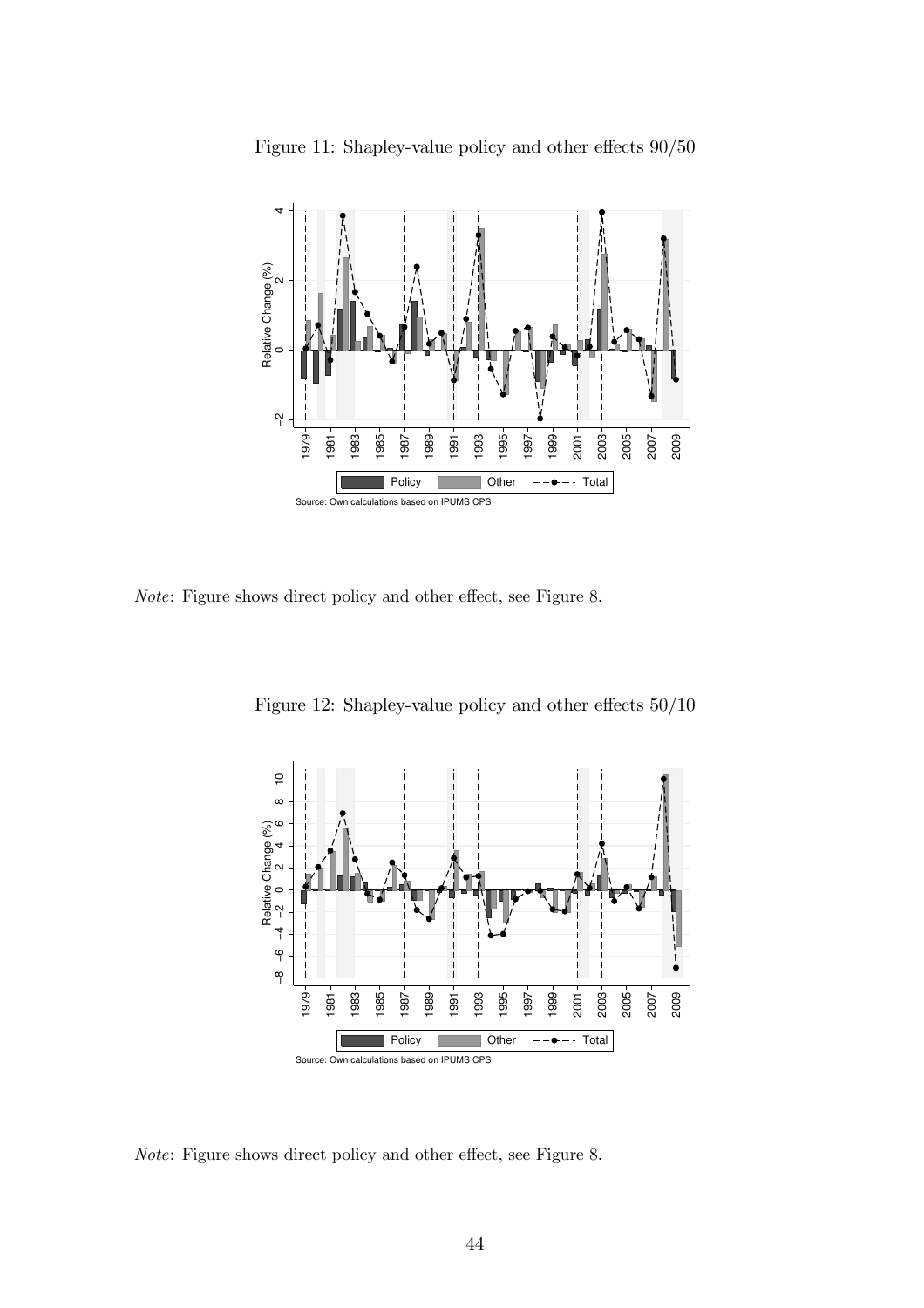

Figure 11: Shapley-value policy and other effects 90/50

Note: Figure shows direct policy and other effect, see Figure 8.

Figure 12: Shapley-value policy and other effects 50/10



Note: Figure shows direct policy and other effect, see Figure 8.